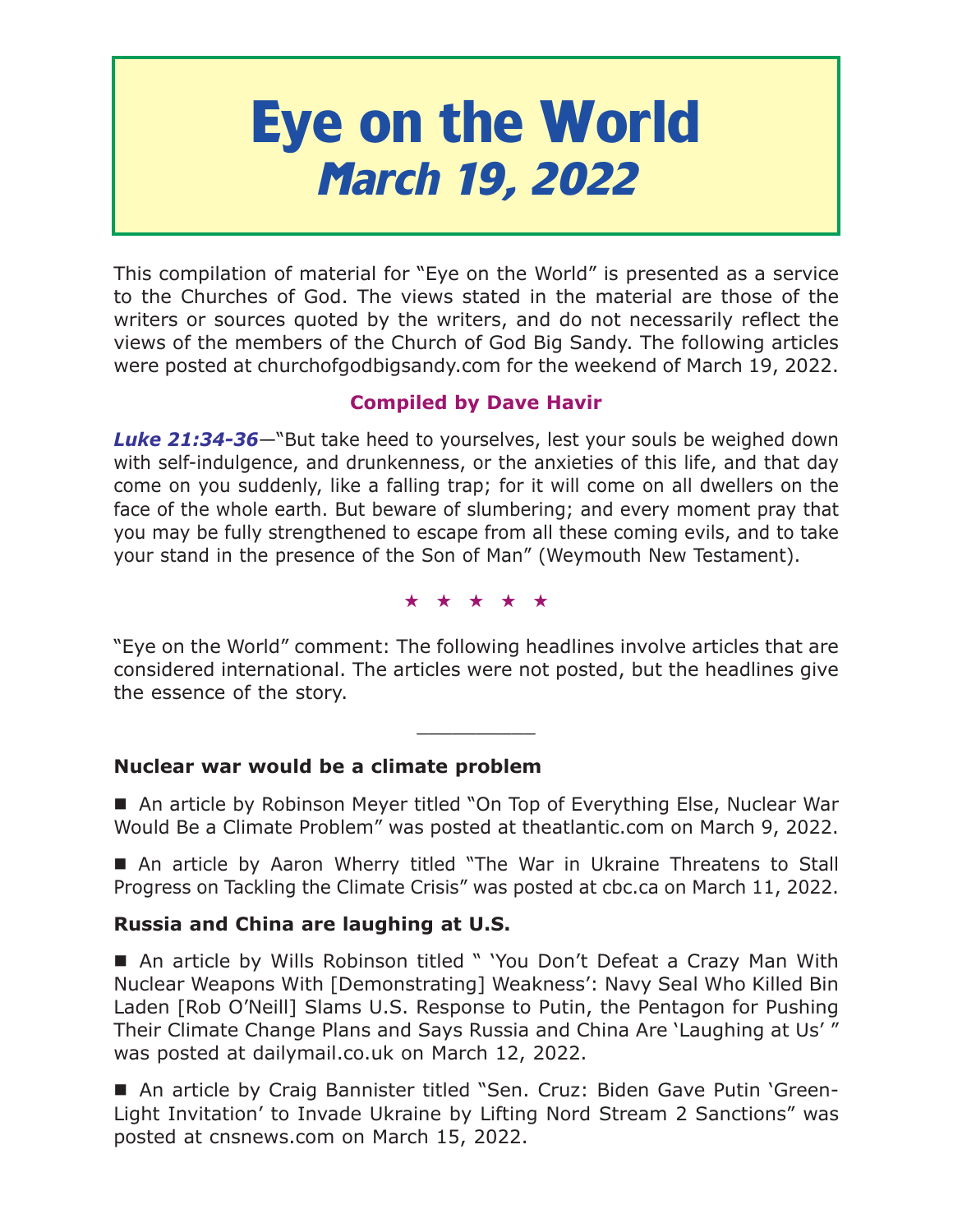# **Eye on the World March 19, 2022**

This compilation of material for "Eye on the World" is presented as a service to the Churches of God. The views stated in the material are those of the writers or sources quoted by the writers, and do not necessarily reflect the views of the members of the Church of God Big Sandy. The following articles were posted at churchofgodbigsandy.com for the weekend of March 19, 2022.

# **Compiled by Dave Havir**

*Luke 21:34-36*—"But take heed to yourselves, lest your souls be weighed down with self-indulgence, and drunkenness, or the anxieties of this life, and that day come on you suddenly, like a falling trap; for it will come on all dwellers on the face of the whole earth. But beware of slumbering; and every moment pray that you may be fully strengthened to escape from all these coming evils, and to take your stand in the presence of the Son of Man" (Weymouth New Testament).

★★★★★

"Eye on the World" comment: The following headlines involve articles that are considered international. The articles were not posted, but the headlines give the essence of the story.

 $\overline{\phantom{a}}$  , where  $\overline{\phantom{a}}$ 

# **Nuclear war would be a climate problem**

■ An article by Robinson Meyer titled "On Top of Everything Else, Nuclear War Would Be a Climate Problem" was posted at theatlantic.com on March 9, 2022.

■ An article by Aaron Wherry titled "The War in Ukraine Threatens to Stall Progress on Tackling the Climate Crisis" was posted at cbc.ca on March 11, 2022.

# **Russia and China are laughing at U.S.**

■ An article by Wills Robinson titled " 'You Don't Defeat a Crazy Man With Nuclear Weapons With [Demonstrating] Weakness': Navy Seal Who Killed Bin Laden [Rob O'Neill] Slams U.S. Response to Putin, the Pentagon for Pushing Their Climate Change Plans and Says Russia and China Are 'Laughing at Us' " was posted at dailymail.co.uk on March 12, 2022.

■ An article by Craig Bannister titled "Sen. Cruz: Biden Gave Putin 'Green-Light Invitation' to Invade Ukraine by Lifting Nord Stream 2 Sanctions" was posted at cnsnews.com on March 15, 2022.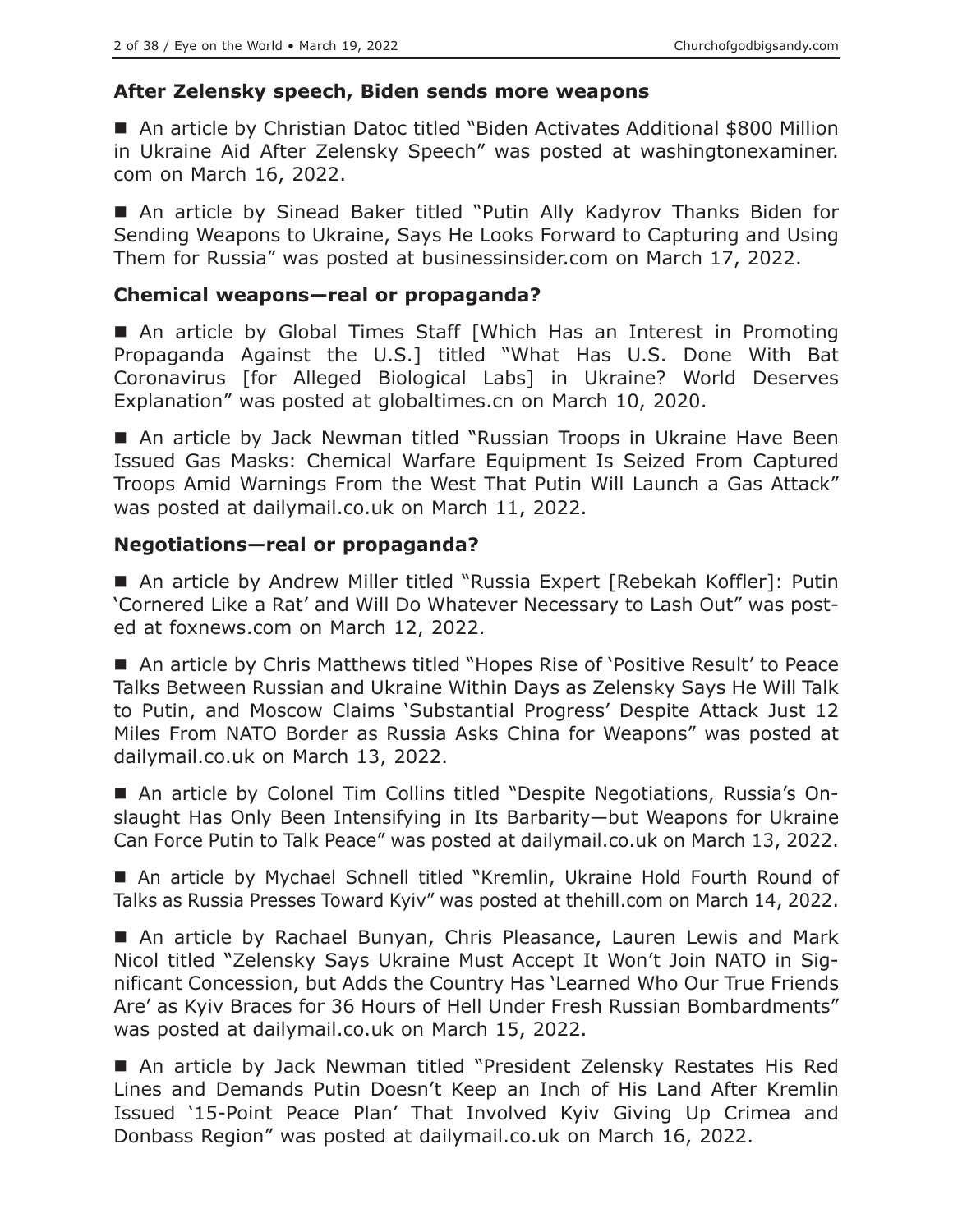#### **After Zelensky speech, Biden sends more weapons**

■ An article by Christian Datoc titled "Biden Activates Additional \$800 Million in Ukraine Aid After Zelensky Speech" was posted at washingtonexaminer. com on March 16, 2022.

■ An article by Sinead Baker titled "Putin Ally Kadyrov Thanks Biden for Sending Weapons to Ukraine, Says He Looks Forward to Capturing and Using Them for Russia" was posted at businessinsider.com on March 17, 2022.

#### **Chemical weapons—real or propaganda?**

 An article by Global Times Staff [Which Has an Interest in Promoting Propaganda Against the U.S.] titled "What Has U.S. Done With Bat Coronavirus [for Alleged Biological Labs] in Ukraine? World Deserves Explanation" was posted at globaltimes.cn on March 10, 2020.

 An article by Jack Newman titled "Russian Troops in Ukraine Have Been Issued Gas Masks: Chemical Warfare Equipment Is Seized From Captured Troops Amid Warnings From the West That Putin Will Launch a Gas Attack" was posted at dailymail.co.uk on March 11, 2022.

#### **Negotiations—real or propaganda?**

■ An article by Andrew Miller titled "Russia Expert [Rebekah Koffler]: Putin 'Cornered Like a Rat' and Will Do Whatever Necessary to Lash Out" was posted at foxnews.com on March 12, 2022.

■ An article by Chris Matthews titled "Hopes Rise of 'Positive Result' to Peace Talks Between Russian and Ukraine Within Days as Zelensky Says He Will Talk to Putin, and Moscow Claims 'Substantial Progress' Despite Attack Just 12 Miles From NATO Border as Russia Asks China for Weapons" was posted at dailymail.co.uk on March 13, 2022.

 An article by Colonel Tim Collins titled "Despite Negotiations, Russia's Onslaught Has Only Been Intensifying in Its Barbarity—but Weapons for Ukraine Can Force Putin to Talk Peace" was posted at dailymail.co.uk on March 13, 2022.

 An article by Mychael Schnell titled "Kremlin, Ukraine Hold Fourth Round of Talks as Russia Presses Toward Kyiv" was posted at thehill.com on March 14, 2022.

■ An article by Rachael Bunyan, Chris Pleasance, Lauren Lewis and Mark Nicol titled "Zelensky Says Ukraine Must Accept It Won't Join NATO in Significant Concession, but Adds the Country Has 'Learned Who Our True Friends Are' as Kyiv Braces for 36 Hours of Hell Under Fresh Russian Bombardments" was posted at dailymail.co.uk on March 15, 2022.

 An article by Jack Newman titled "President Zelensky Restates His Red Lines and Demands Putin Doesn't Keep an Inch of His Land After Kremlin Issued '15-Point Peace Plan' That Involved Kyiv Giving Up Crimea and Donbass Region" was posted at dailymail.co.uk on March 16, 2022.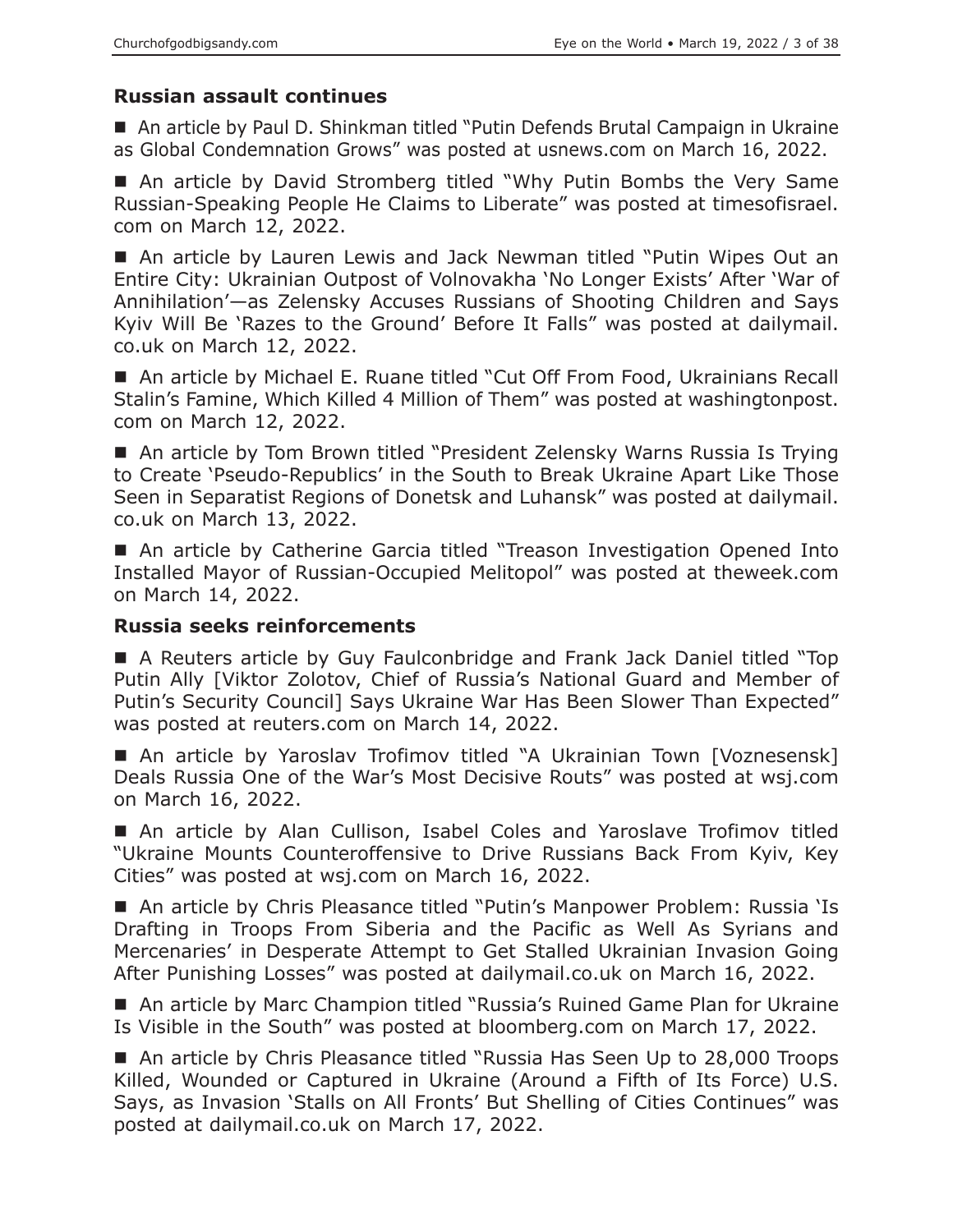## **Russian assault continues**

■ An article by Paul D. Shinkman titled "Putin Defends Brutal Campaign in Ukraine as Global Condemnation Grows" was posted at usnews.com on March 16, 2022.

■ An article by David Stromberg titled "Why Putin Bombs the Very Same Russian-Speaking People He Claims to Liberate" was posted at timesofisrael. com on March 12, 2022.

■ An article by Lauren Lewis and Jack Newman titled "Putin Wipes Out an Entire City: Ukrainian Outpost of Volnovakha 'No Longer Exists' After 'War of Annihilation'—as Zelensky Accuses Russians of Shooting Children and Says Kyiv Will Be 'Razes to the Ground' Before It Falls" was posted at dailymail. co.uk on March 12, 2022.

■ An article by Michael E. Ruane titled "Cut Off From Food, Ukrainians Recall Stalin's Famine, Which Killed 4 Million of Them" was posted at washingtonpost. com on March 12, 2022.

■ An article by Tom Brown titled "President Zelensky Warns Russia Is Trying to Create 'Pseudo-Republics' in the South to Break Ukraine Apart Like Those Seen in Separatist Regions of Donetsk and Luhansk" was posted at dailymail. co.uk on March 13, 2022.

■ An article by Catherine Garcia titled "Treason Investigation Opened Into Installed Mayor of Russian-Occupied Melitopol" was posted at theweek.com on March 14, 2022.

#### **Russia seeks reinforcements**

 A Reuters article by Guy Faulconbridge and Frank Jack Daniel titled "Top Putin Ally [Viktor Zolotov, Chief of Russia's National Guard and Member of Putin's Security Council] Says Ukraine War Has Been Slower Than Expected" was posted at reuters.com on March 14, 2022.

■ An article by Yaroslav Trofimov titled "A Ukrainian Town [Voznesensk] Deals Russia One of the War's Most Decisive Routs" was posted at wsj.com on March 16, 2022.

■ An article by Alan Cullison, Isabel Coles and Yaroslave Trofimov titled "Ukraine Mounts Counteroffensive to Drive Russians Back From Kyiv, Key Cities" was posted at wsj.com on March 16, 2022.

■ An article by Chris Pleasance titled "Putin's Manpower Problem: Russia 'Is Drafting in Troops From Siberia and the Pacific as Well As Syrians and Mercenaries' in Desperate Attempt to Get Stalled Ukrainian Invasion Going After Punishing Losses" was posted at dailymail.co.uk on March 16, 2022.

■ An article by Marc Champion titled "Russia's Ruined Game Plan for Ukraine Is Visible in the South" was posted at bloomberg.com on March 17, 2022.

■ An article by Chris Pleasance titled "Russia Has Seen Up to 28,000 Troops Killed, Wounded or Captured in Ukraine (Around a Fifth of Its Force) U.S. Says, as Invasion 'Stalls on All Fronts' But Shelling of Cities Continues" was posted at dailymail.co.uk on March 17, 2022.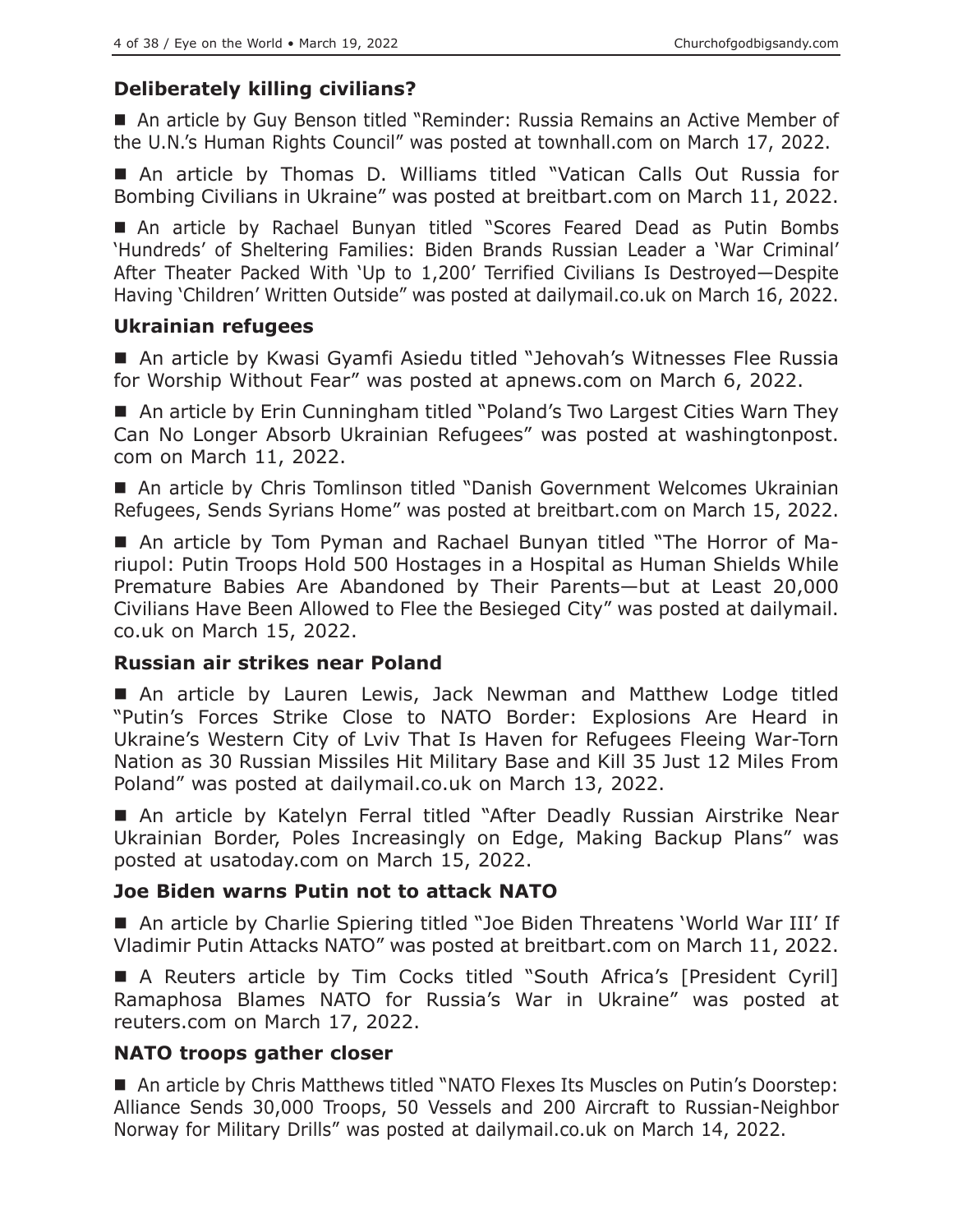# **Deliberately killing civilians?**

 An article by Guy Benson titled "Reminder: Russia Remains an Active Member of the U.N.'s Human Rights Council" was posted at townhall.com on March 17, 2022.

 An article by Thomas D. Williams titled "Vatican Calls Out Russia for Bombing Civilians in Ukraine" was posted at breitbart.com on March 11, 2022.

 An article by Rachael Bunyan titled "Scores Feared Dead as Putin Bombs 'Hundreds' of Sheltering Families: Biden Brands Russian Leader a 'War Criminal' After Theater Packed With 'Up to 1,200' Terrified Civilians Is Destroyed—Despite Having 'Children' Written Outside" was posted at dailymail.co.uk on March 16, 2022.

## **Ukrainian refugees**

■ An article by Kwasi Gyamfi Asiedu titled "Jehovah's Witnesses Flee Russia for Worship Without Fear" was posted at apnews.com on March 6, 2022.

■ An article by Erin Cunningham titled "Poland's Two Largest Cities Warn They Can No Longer Absorb Ukrainian Refugees" was posted at washingtonpost. com on March 11, 2022.

■ An article by Chris Tomlinson titled "Danish Government Welcomes Ukrainian Refugees, Sends Syrians Home" was posted at breitbart.com on March 15, 2022.

 An article by Tom Pyman and Rachael Bunyan titled "The Horror of Mariupol: Putin Troops Hold 500 Hostages in a Hospital as Human Shields While Premature Babies Are Abandoned by Their Parents—but at Least 20,000 Civilians Have Been Allowed to Flee the Besieged City" was posted at dailymail. co.uk on March 15, 2022.

## **Russian air strikes near Poland**

 An article by Lauren Lewis, Jack Newman and Matthew Lodge titled "Putin's Forces Strike Close to NATO Border: Explosions Are Heard in Ukraine's Western City of Lviv That Is Haven for Refugees Fleeing War-Torn Nation as 30 Russian Missiles Hit Military Base and Kill 35 Just 12 Miles From Poland" was posted at dailymail.co.uk on March 13, 2022.

 An article by Katelyn Ferral titled "After Deadly Russian Airstrike Near Ukrainian Border, Poles Increasingly on Edge, Making Backup Plans" was posted at usatoday.com on March 15, 2022.

## **Joe Biden warns Putin not to attack NATO**

 An article by Charlie Spiering titled "Joe Biden Threatens 'World War III' If Vladimir Putin Attacks NATO" was posted at breitbart.com on March 11, 2022.

A Reuters article by Tim Cocks titled "South Africa's [President Cyril] Ramaphosa Blames NATO for Russia's War in Ukraine" was posted at reuters.com on March 17, 2022.

## **NATO troops gather closer**

■ An article by Chris Matthews titled "NATO Flexes Its Muscles on Putin's Doorstep: Alliance Sends 30,000 Troops, 50 Vessels and 200 Aircraft to Russian-Neighbor Norway for Military Drills" was posted at dailymail.co.uk on March 14, 2022.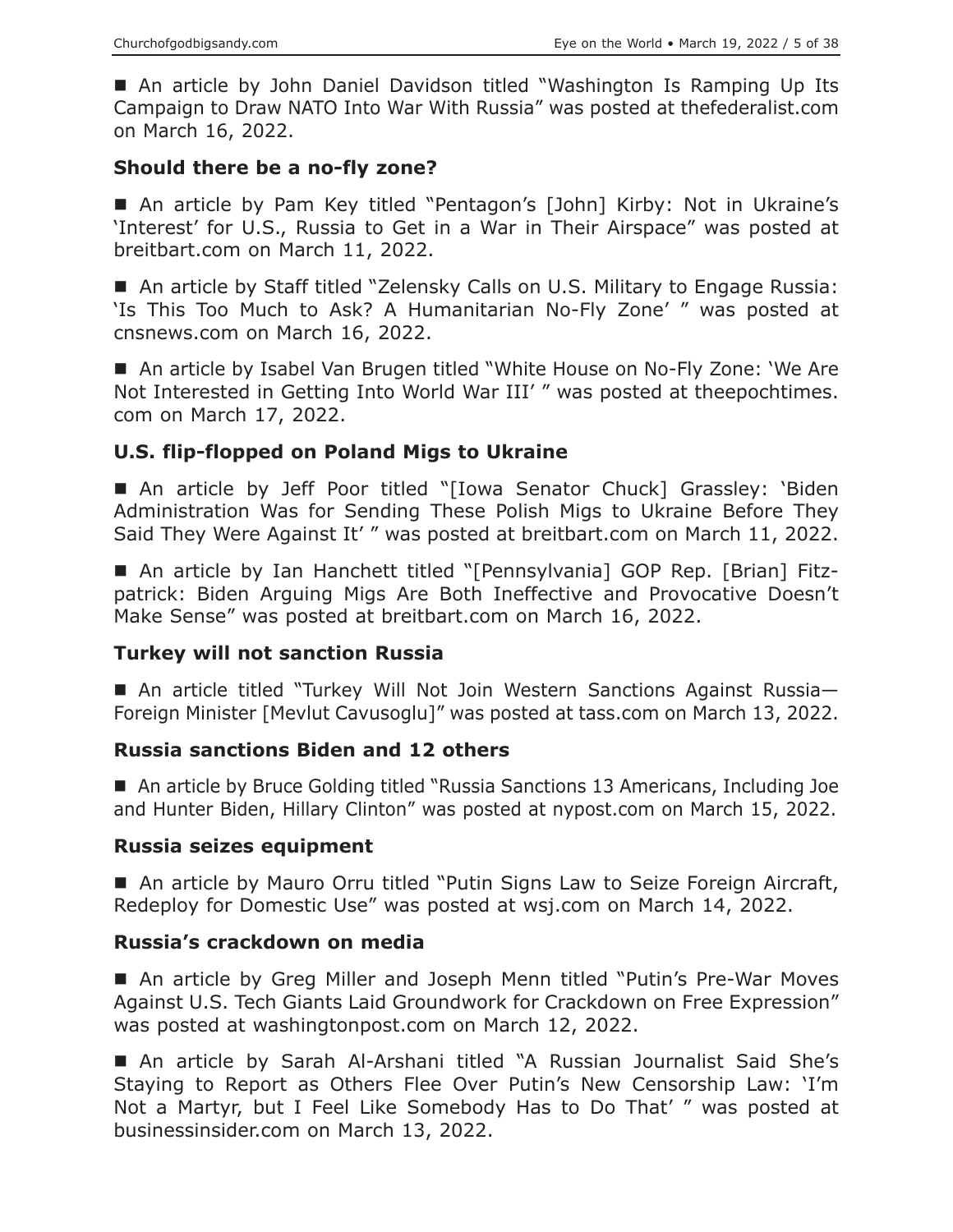■ An article by John Daniel Davidson titled "Washington Is Ramping Up Its Campaign to Draw NATO Into War With Russia" was posted at thefederalist.com on March 16, 2022.

#### **Should there be a no-fly zone?**

■ An article by Pam Key titled "Pentagon's [John] Kirby: Not in Ukraine's 'Interest' for U.S., Russia to Get in a War in Their Airspace" was posted at breitbart.com on March 11, 2022.

■ An article by Staff titled "Zelensky Calls on U.S. Military to Engage Russia: 'Is This Too Much to Ask? A Humanitarian No-Fly Zone' " was posted at cnsnews.com on March 16, 2022.

■ An article by Isabel Van Brugen titled "White House on No-Fly Zone: 'We Are Not Interested in Getting Into World War III' " was posted at theepochtimes. com on March 17, 2022.

## **U.S. flip-flopped on Poland Migs to Ukraine**

 An article by Jeff Poor titled "[Iowa Senator Chuck] Grassley: 'Biden Administration Was for Sending These Polish Migs to Ukraine Before They Said They Were Against It' " was posted at breitbart.com on March 11, 2022.

 An article by Ian Hanchett titled "[Pennsylvania] GOP Rep. [Brian] Fitzpatrick: Biden Arguing Migs Are Both Ineffective and Provocative Doesn't Make Sense" was posted at breitbart.com on March 16, 2022.

#### **Turkey will not sanction Russia**

■ An article titled "Turkey Will Not Join Western Sanctions Against Russia-Foreign Minister [Mevlut Cavusoglu]" was posted at tass.com on March 13, 2022.

#### **Russia sanctions Biden and 12 others**

 An article by Bruce Golding titled "Russia Sanctions 13 Americans, Including Joe and Hunter Biden, Hillary Clinton" was posted at nypost.com on March 15, 2022.

#### **Russia seizes equipment**

■ An article by Mauro Orru titled "Putin Signs Law to Seize Foreign Aircraft, Redeploy for Domestic Use" was posted at wsj.com on March 14, 2022.

#### **Russia's crackdown on media**

■ An article by Greg Miller and Joseph Menn titled "Putin's Pre-War Moves Against U.S. Tech Giants Laid Groundwork for Crackdown on Free Expression" was posted at washingtonpost.com on March 12, 2022.

■ An article by Sarah Al-Arshani titled "A Russian Journalist Said She's Staying to Report as Others Flee Over Putin's New Censorship Law: 'I'm Not a Martyr, but I Feel Like Somebody Has to Do That' " was posted at businessinsider.com on March 13, 2022.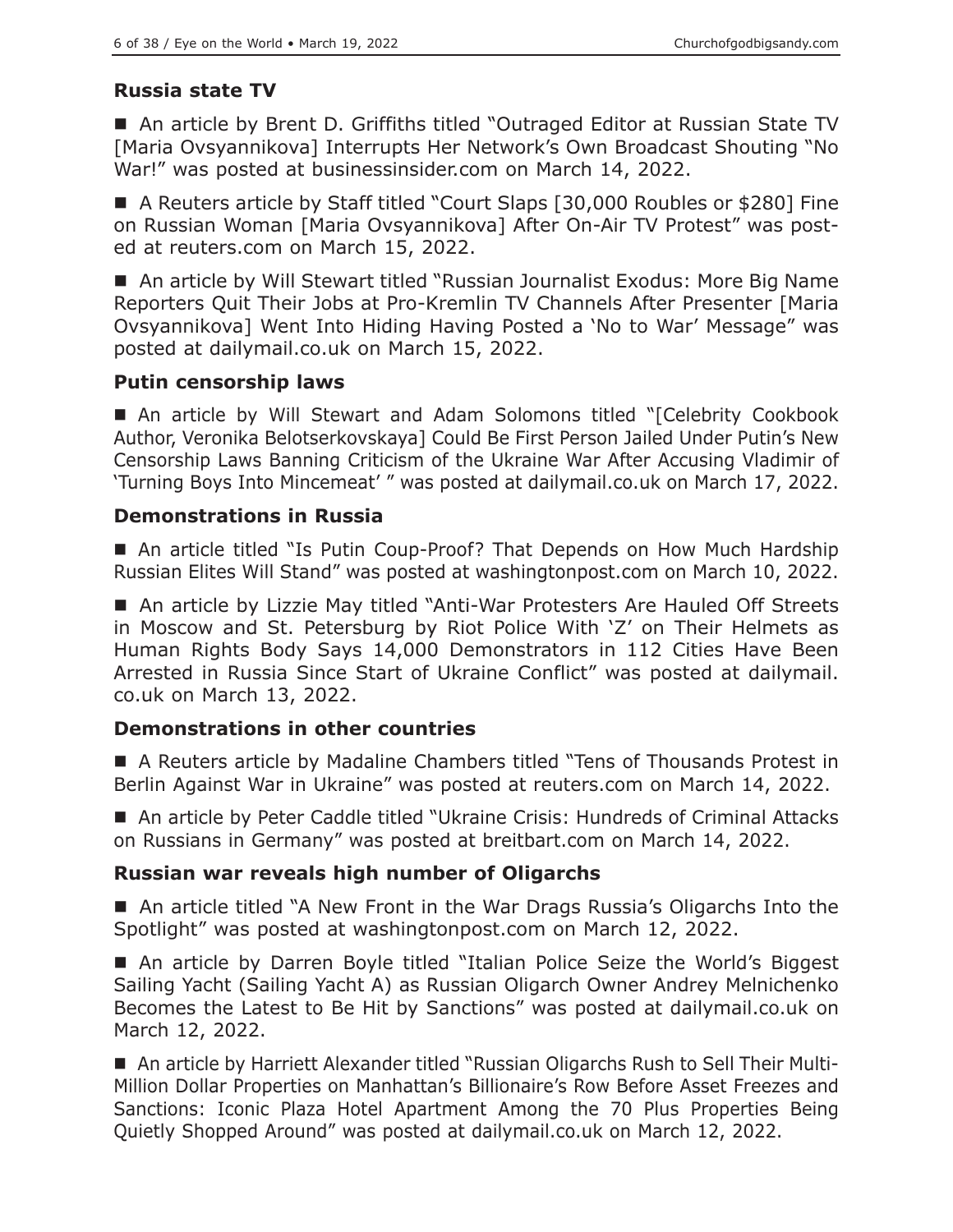## **Russia state TV**

■ An article by Brent D. Griffiths titled "Outraged Editor at Russian State TV [Maria Ovsyannikova] Interrupts Her Network's Own Broadcast Shouting "No War!" was posted at businessinsider.com on March 14, 2022.

■ A Reuters article by Staff titled "Court Slaps [30,000 Roubles or \$280] Fine on Russian Woman [Maria Ovsyannikova] After On-Air TV Protest" was posted at reuters.com on March 15, 2022.

■ An article by Will Stewart titled "Russian Journalist Exodus: More Big Name Reporters Quit Their Jobs at Pro-Kremlin TV Channels After Presenter [Maria Ovsyannikova] Went Into Hiding Having Posted a 'No to War' Message" was posted at dailymail.co.uk on March 15, 2022.

## **Putin censorship laws**

■ An article by Will Stewart and Adam Solomons titled "[Celebrity Cookbook Author, Veronika Belotserkovskaya] Could Be First Person Jailed Under Putin's New Censorship Laws Banning Criticism of the Ukraine War After Accusing Vladimir of 'Turning Boys Into Mincemeat' " was posted at dailymail.co.uk on March 17, 2022.

#### **Demonstrations in Russia**

■ An article titled "Is Putin Coup-Proof? That Depends on How Much Hardship Russian Elites Will Stand" was posted at washingtonpost.com on March 10, 2022.

■ An article by Lizzie May titled "Anti-War Protesters Are Hauled Off Streets in Moscow and St. Petersburg by Riot Police With 'Z' on Their Helmets as Human Rights Body Says 14,000 Demonstrators in 112 Cities Have Been Arrested in Russia Since Start of Ukraine Conflict" was posted at dailymail. co.uk on March 13, 2022.

## **Demonstrations in other countries**

 A Reuters article by Madaline Chambers titled "Tens of Thousands Protest in Berlin Against War in Ukraine" was posted at reuters.com on March 14, 2022.

■ An article by Peter Caddle titled "Ukraine Crisis: Hundreds of Criminal Attacks on Russians in Germany" was posted at breitbart.com on March 14, 2022.

## **Russian war reveals high number of Oligarchs**

■ An article titled "A New Front in the War Drags Russia's Oligarchs Into the Spotlight" was posted at washingtonpost.com on March 12, 2022.

 An article by Darren Boyle titled "Italian Police Seize the World's Biggest Sailing Yacht (Sailing Yacht A) as Russian Oligarch Owner Andrey Melnichenko Becomes the Latest to Be Hit by Sanctions" was posted at dailymail.co.uk on March 12, 2022.

 An article by Harriett Alexander titled "Russian Oligarchs Rush to Sell Their Multi-Million Dollar Properties on Manhattan's Billionaire's Row Before Asset Freezes and Sanctions: Iconic Plaza Hotel Apartment Among the 70 Plus Properties Being Quietly Shopped Around" was posted at dailymail.co.uk on March 12, 2022.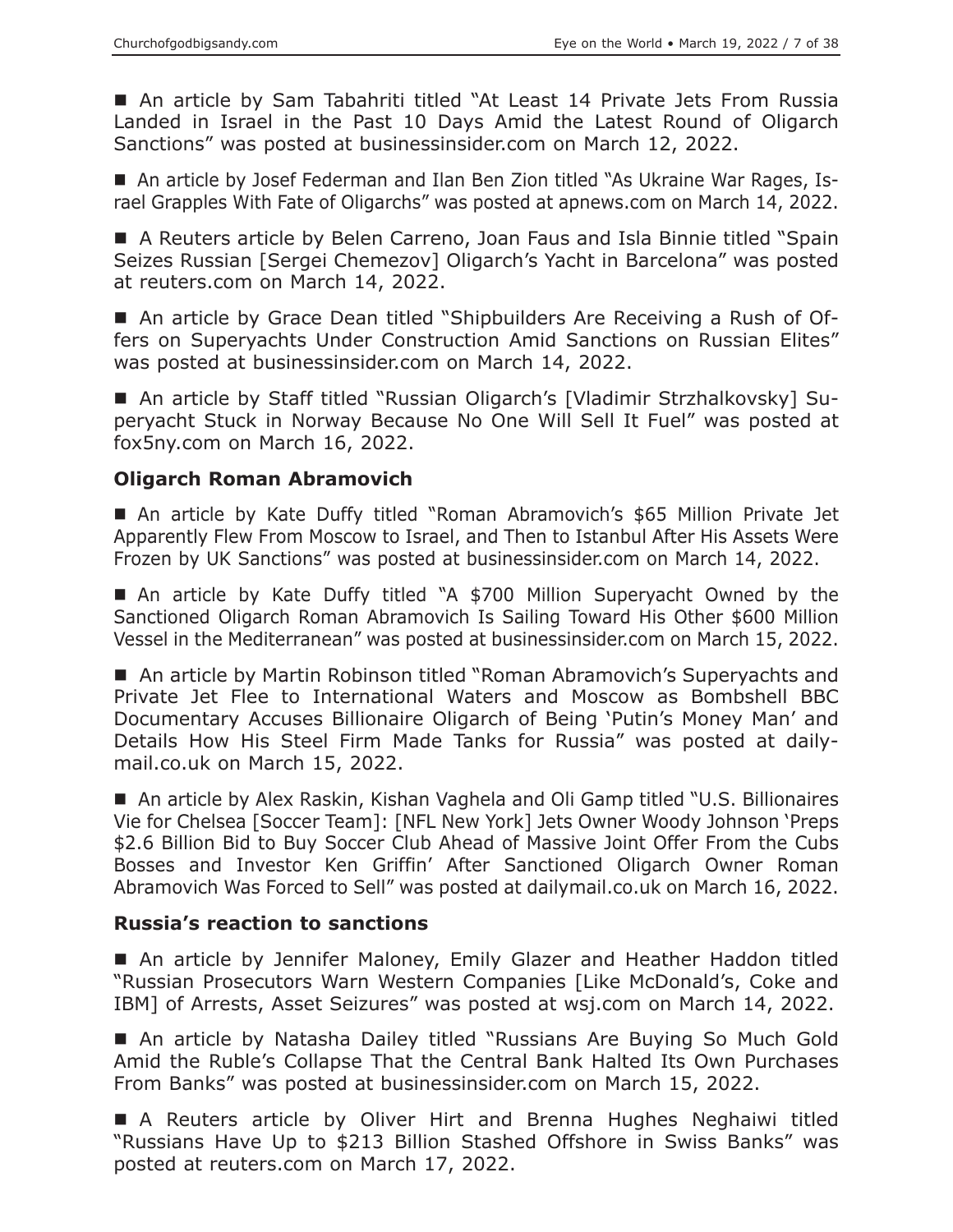■ An article by Sam Tabahriti titled "At Least 14 Private Jets From Russia Landed in Israel in the Past 10 Days Amid the Latest Round of Oligarch Sanctions" was posted at businessinsider.com on March 12, 2022.

 An article by Josef Federman and Ilan Ben Zion titled "As Ukraine War Rages, Israel Grapples With Fate of Oligarchs" was posted at apnews.com on March 14, 2022.

 A Reuters article by Belen Carreno, Joan Faus and Isla Binnie titled "Spain Seizes Russian [Sergei Chemezov] Oligarch's Yacht in Barcelona" was posted at reuters.com on March 14, 2022.

 An article by Grace Dean titled "Shipbuilders Are Receiving a Rush of Offers on Superyachts Under Construction Amid Sanctions on Russian Elites" was posted at businessinsider.com on March 14, 2022.

■ An article by Staff titled "Russian Oligarch's [Vladimir Strzhalkovsky] Superyacht Stuck in Norway Because No One Will Sell It Fuel" was posted at fox5ny.com on March 16, 2022.

## **Oligarch Roman Abramovich**

 An article by Kate Duffy titled "Roman Abramovich's \$65 Million Private Jet Apparently Flew From Moscow to Israel, and Then to Istanbul After His Assets Were Frozen by UK Sanctions" was posted at businessinsider.com on March 14, 2022.

 An article by Kate Duffy titled "A \$700 Million Superyacht Owned by the Sanctioned Oligarch Roman Abramovich Is Sailing Toward His Other \$600 Million Vessel in the Mediterranean" was posted at businessinsider.com on March 15, 2022.

■ An article by Martin Robinson titled "Roman Abramovich's Superyachts and Private Jet Flee to International Waters and Moscow as Bombshell BBC Documentary Accuses Billionaire Oligarch of Being 'Putin's Money Man' and Details How His Steel Firm Made Tanks for Russia" was posted at dailymail.co.uk on March 15, 2022.

■ An article by Alex Raskin, Kishan Vaghela and Oli Gamp titled "U.S. Billionaires Vie for Chelsea [Soccer Team]: [NFL New York] Jets Owner Woody Johnson 'Preps \$2.6 Billion Bid to Buy Soccer Club Ahead of Massive Joint Offer From the Cubs Bosses and Investor Ken Griffin' After Sanctioned Oligarch Owner Roman Abramovich Was Forced to Sell" was posted at dailymail.co.uk on March 16, 2022.

#### **Russia's reaction to sanctions**

■ An article by Jennifer Maloney, Emily Glazer and Heather Haddon titled "Russian Prosecutors Warn Western Companies [Like McDonald's, Coke and IBM] of Arrests, Asset Seizures" was posted at wsj.com on March 14, 2022.

 An article by Natasha Dailey titled "Russians Are Buying So Much Gold Amid the Ruble's Collapse That the Central Bank Halted Its Own Purchases From Banks" was posted at businessinsider.com on March 15, 2022.

 A Reuters article by Oliver Hirt and Brenna Hughes Neghaiwi titled "Russians Have Up to \$213 Billion Stashed Offshore in Swiss Banks" was posted at reuters.com on March 17, 2022.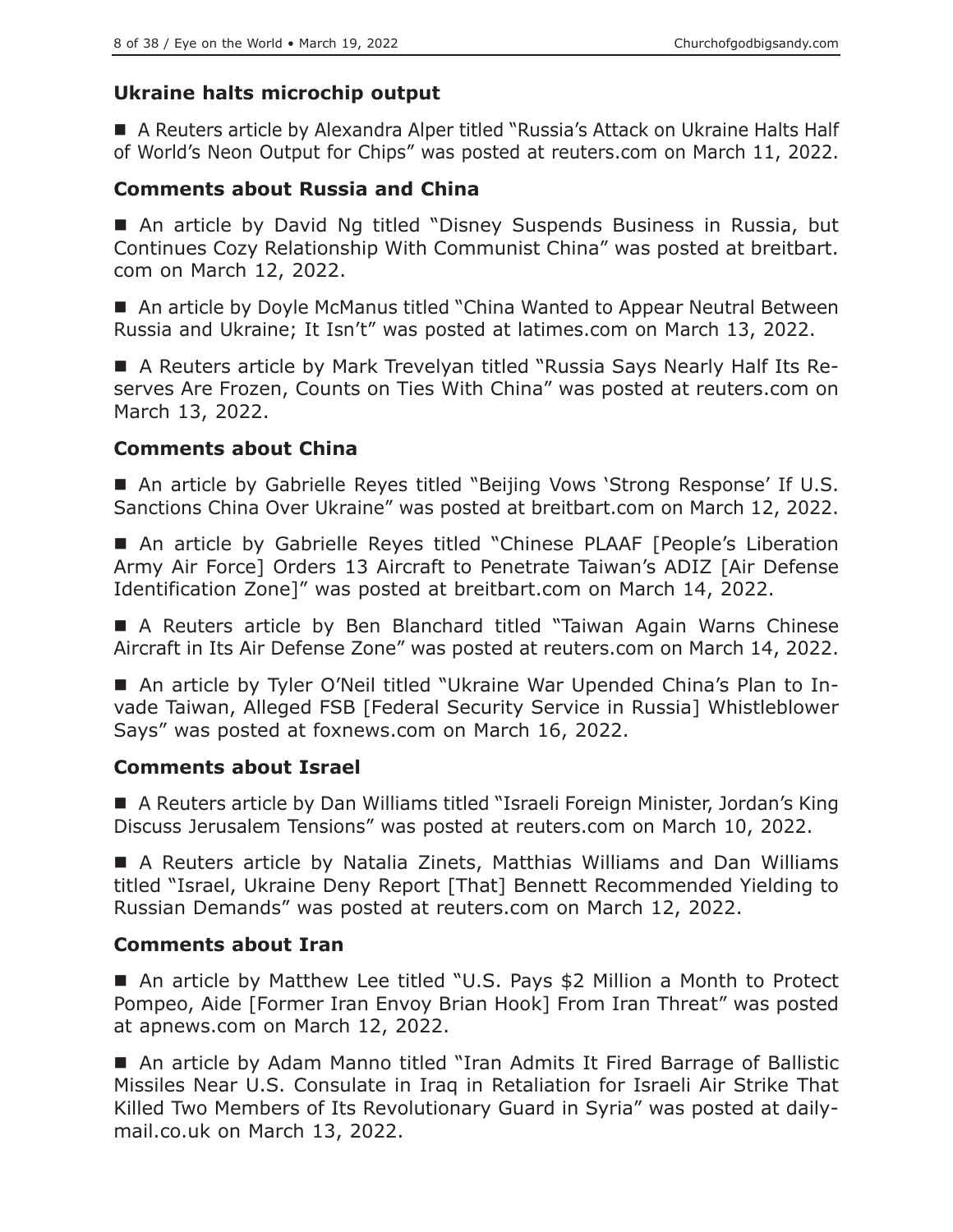# **Ukraine halts microchip output**

 A Reuters article by Alexandra Alper titled "Russia's Attack on Ukraine Halts Half of World's Neon Output for Chips" was posted at reuters.com on March 11, 2022.

## **Comments about Russia and China**

 An article by David Ng titled "Disney Suspends Business in Russia, but Continues Cozy Relationship With Communist China" was posted at breitbart. com on March 12, 2022.

■ An article by Doyle McManus titled "China Wanted to Appear Neutral Between Russia and Ukraine; It Isn't" was posted at latimes.com on March 13, 2022.

 A Reuters article by Mark Trevelyan titled "Russia Says Nearly Half Its Reserves Are Frozen, Counts on Ties With China" was posted at reuters.com on March 13, 2022.

## **Comments about China**

■ An article by Gabrielle Reyes titled "Beijing Vows 'Strong Response' If U.S. Sanctions China Over Ukraine" was posted at breitbart.com on March 12, 2022.

 An article by Gabrielle Reyes titled "Chinese PLAAF [People's Liberation Army Air Force] Orders 13 Aircraft to Penetrate Taiwan's ADIZ [Air Defense Identification Zone]" was posted at breitbart.com on March 14, 2022.

 A Reuters article by Ben Blanchard titled "Taiwan Again Warns Chinese Aircraft in Its Air Defense Zone" was posted at reuters.com on March 14, 2022.

 An article by Tyler O'Neil titled "Ukraine War Upended China's Plan to Invade Taiwan, Alleged FSB [Federal Security Service in Russia] Whistleblower Says" was posted at foxnews.com on March 16, 2022.

#### **Comments about Israel**

 A Reuters article by Dan Williams titled "Israeli Foreign Minister, Jordan's King Discuss Jerusalem Tensions" was posted at reuters.com on March 10, 2022.

 A Reuters article by Natalia Zinets, Matthias Williams and Dan Williams titled "Israel, Ukraine Deny Report [That] Bennett Recommended Yielding to Russian Demands" was posted at reuters.com on March 12, 2022.

## **Comments about Iran**

■ An article by Matthew Lee titled "U.S. Pays \$2 Million a Month to Protect Pompeo, Aide [Former Iran Envoy Brian Hook] From Iran Threat" was posted at apnews.com on March 12, 2022.

■ An article by Adam Manno titled "Iran Admits It Fired Barrage of Ballistic Missiles Near U.S. Consulate in Iraq in Retaliation for Israeli Air Strike That Killed Two Members of Its Revolutionary Guard in Syria" was posted at dailymail.co.uk on March 13, 2022.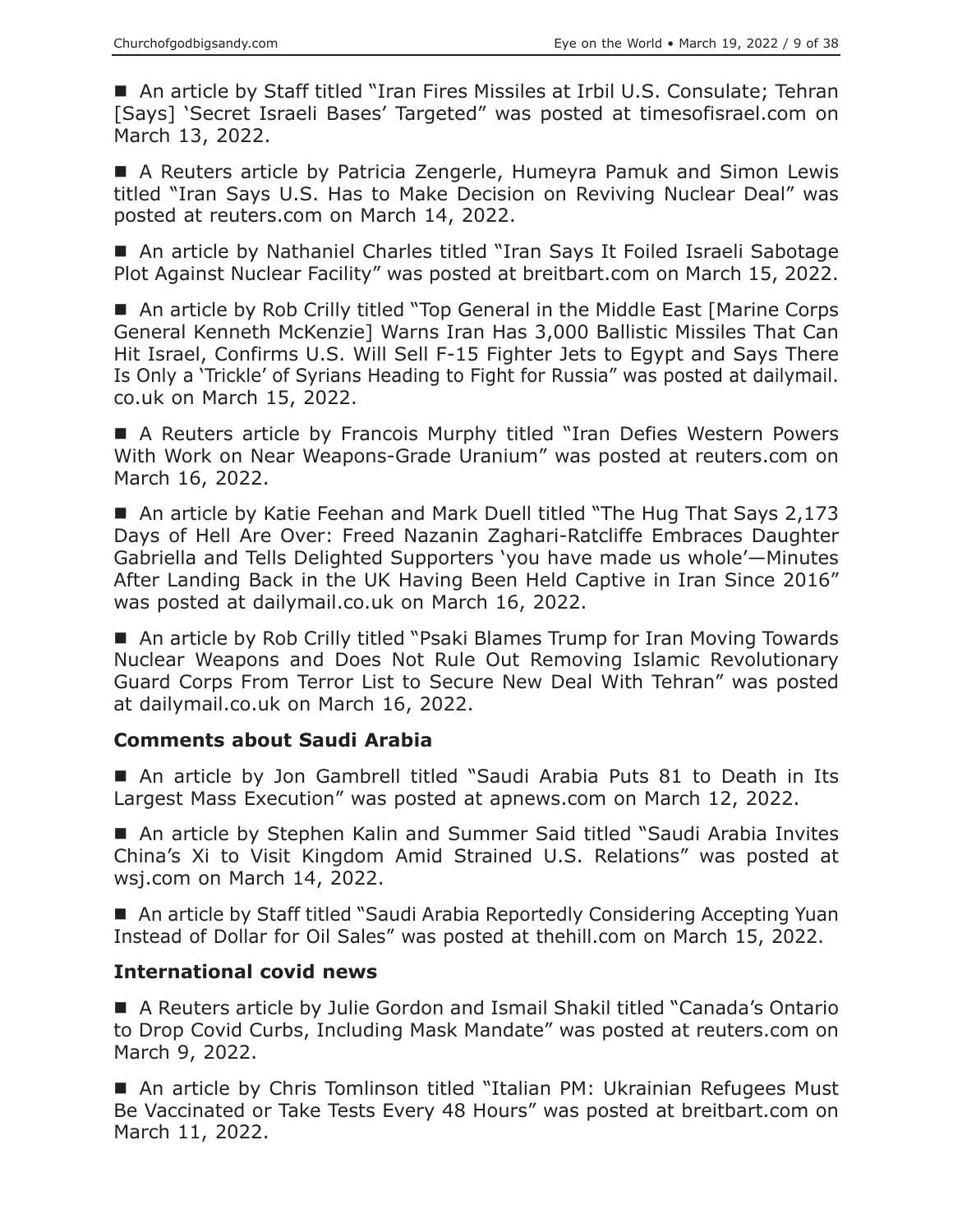■ An article by Staff titled "Iran Fires Missiles at Irbil U.S. Consulate; Tehran [Says] 'Secret Israeli Bases' Targeted" was posted at timesofisrael.com on March 13, 2022.

 A Reuters article by Patricia Zengerle, Humeyra Pamuk and Simon Lewis titled "Iran Says U.S. Has to Make Decision on Reviving Nuclear Deal" was posted at reuters.com on March 14, 2022.

 An article by Nathaniel Charles titled "Iran Says It Foiled Israeli Sabotage Plot Against Nuclear Facility" was posted at breitbart.com on March 15, 2022.

■ An article by Rob Crilly titled "Top General in the Middle East [Marine Corps] General Kenneth McKenzie] Warns Iran Has 3,000 Ballistic Missiles That Can Hit Israel, Confirms U.S. Will Sell F-15 Fighter Jets to Egypt and Says There Is Only a 'Trickle' of Syrians Heading to Fight for Russia" was posted at dailymail. co.uk on March 15, 2022.

 A Reuters article by Francois Murphy titled "Iran Defies Western Powers With Work on Near Weapons-Grade Uranium" was posted at reuters.com on March 16, 2022.

■ An article by Katie Feehan and Mark Duell titled "The Hug That Says 2,173 Days of Hell Are Over: Freed Nazanin Zaghari-Ratcliffe Embraces Daughter Gabriella and Tells Delighted Supporters 'you have made us whole'—Minutes After Landing Back in the UK Having Been Held Captive in Iran Since 2016" was posted at dailymail.co.uk on March 16, 2022.

■ An article by Rob Crilly titled "Psaki Blames Trump for Iran Moving Towards Nuclear Weapons and Does Not Rule Out Removing Islamic Revolutionary Guard Corps From Terror List to Secure New Deal With Tehran" was posted at dailymail.co.uk on March 16, 2022.

# **Comments about Saudi Arabia**

 An article by Jon Gambrell titled "Saudi Arabia Puts 81 to Death in Its Largest Mass Execution" was posted at apnews.com on March 12, 2022.

■ An article by Stephen Kalin and Summer Said titled "Saudi Arabia Invites China's Xi to Visit Kingdom Amid Strained U.S. Relations" was posted at wsj.com on March 14, 2022.

■ An article by Staff titled "Saudi Arabia Reportedly Considering Accepting Yuan Instead of Dollar for Oil Sales" was posted at thehill.com on March 15, 2022.

## **International covid news**

 A Reuters article by Julie Gordon and Ismail Shakil titled "Canada's Ontario to Drop Covid Curbs, Including Mask Mandate" was posted at reuters.com on March 9, 2022.

■ An article by Chris Tomlinson titled "Italian PM: Ukrainian Refugees Must Be Vaccinated or Take Tests Every 48 Hours" was posted at breitbart.com on March 11, 2022.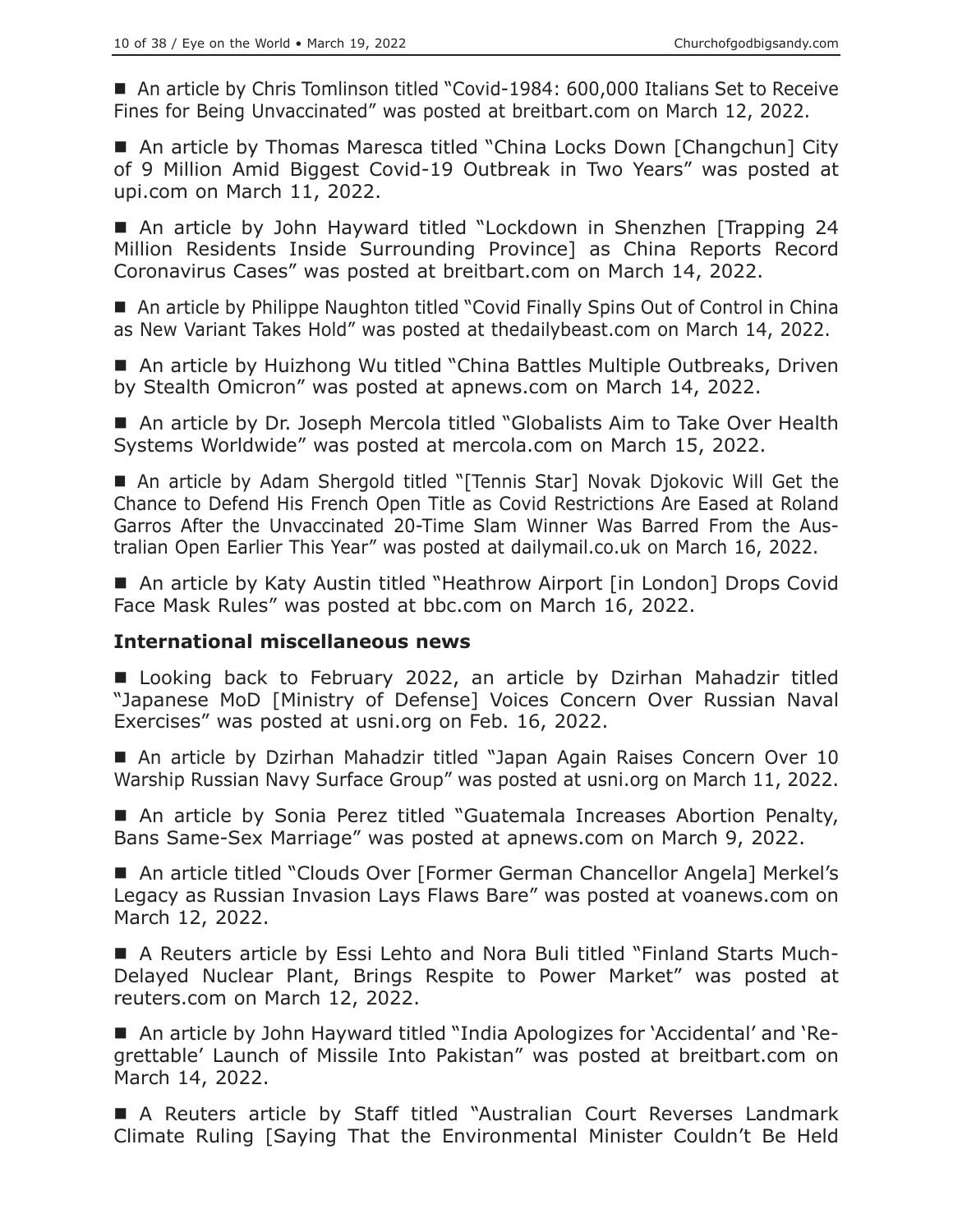■ An article by Chris Tomlinson titled "Covid-1984: 600,000 Italians Set to Receive Fines for Being Unvaccinated" was posted at breitbart.com on March 12, 2022.

■ An article by Thomas Maresca titled "China Locks Down [Changchun] City of 9 Million Amid Biggest Covid-19 Outbreak in Two Years" was posted at upi.com on March 11, 2022.

 An article by John Hayward titled "Lockdown in Shenzhen [Trapping 24 Million Residents Inside Surrounding Province] as China Reports Record Coronavirus Cases" was posted at breitbart.com on March 14, 2022.

■ An article by Philippe Naughton titled "Covid Finally Spins Out of Control in China as New Variant Takes Hold" was posted at thedailybeast.com on March 14, 2022.

■ An article by Huizhong Wu titled "China Battles Multiple Outbreaks, Driven by Stealth Omicron" was posted at apnews.com on March 14, 2022.

■ An article by Dr. Joseph Mercola titled "Globalists Aim to Take Over Health Systems Worldwide" was posted at mercola.com on March 15, 2022.

 An article by Adam Shergold titled "[Tennis Star] Novak Djokovic Will Get the Chance to Defend His French Open Title as Covid Restrictions Are Eased at Roland Garros After the Unvaccinated 20-Time Slam Winner Was Barred From the Australian Open Earlier This Year" was posted at dailymail.co.uk on March 16, 2022.

■ An article by Katy Austin titled "Heathrow Airport [in London] Drops Covid Face Mask Rules" was posted at bbc.com on March 16, 2022.

## **International miscellaneous news**

■ Looking back to February 2022, an article by Dzirhan Mahadzir titled "Japanese MoD [Ministry of Defense] Voices Concern Over Russian Naval Exercises" was posted at usni.org on Feb. 16, 2022.

 An article by Dzirhan Mahadzir titled "Japan Again Raises Concern Over 10 Warship Russian Navy Surface Group" was posted at usni.org on March 11, 2022.

■ An article by Sonia Perez titled "Guatemala Increases Abortion Penalty, Bans Same-Sex Marriage" was posted at apnews.com on March 9, 2022.

■ An article titled "Clouds Over [Former German Chancellor Angela] Merkel's Legacy as Russian Invasion Lays Flaws Bare" was posted at voanews.com on March 12, 2022.

 A Reuters article by Essi Lehto and Nora Buli titled "Finland Starts Much-Delayed Nuclear Plant, Brings Respite to Power Market" was posted at reuters.com on March 12, 2022.

 An article by John Hayward titled "India Apologizes for 'Accidental' and 'Regrettable' Launch of Missile Into Pakistan" was posted at breitbart.com on March 14, 2022.

■ A Reuters article by Staff titled "Australian Court Reverses Landmark Climate Ruling [Saying That the Environmental Minister Couldn't Be Held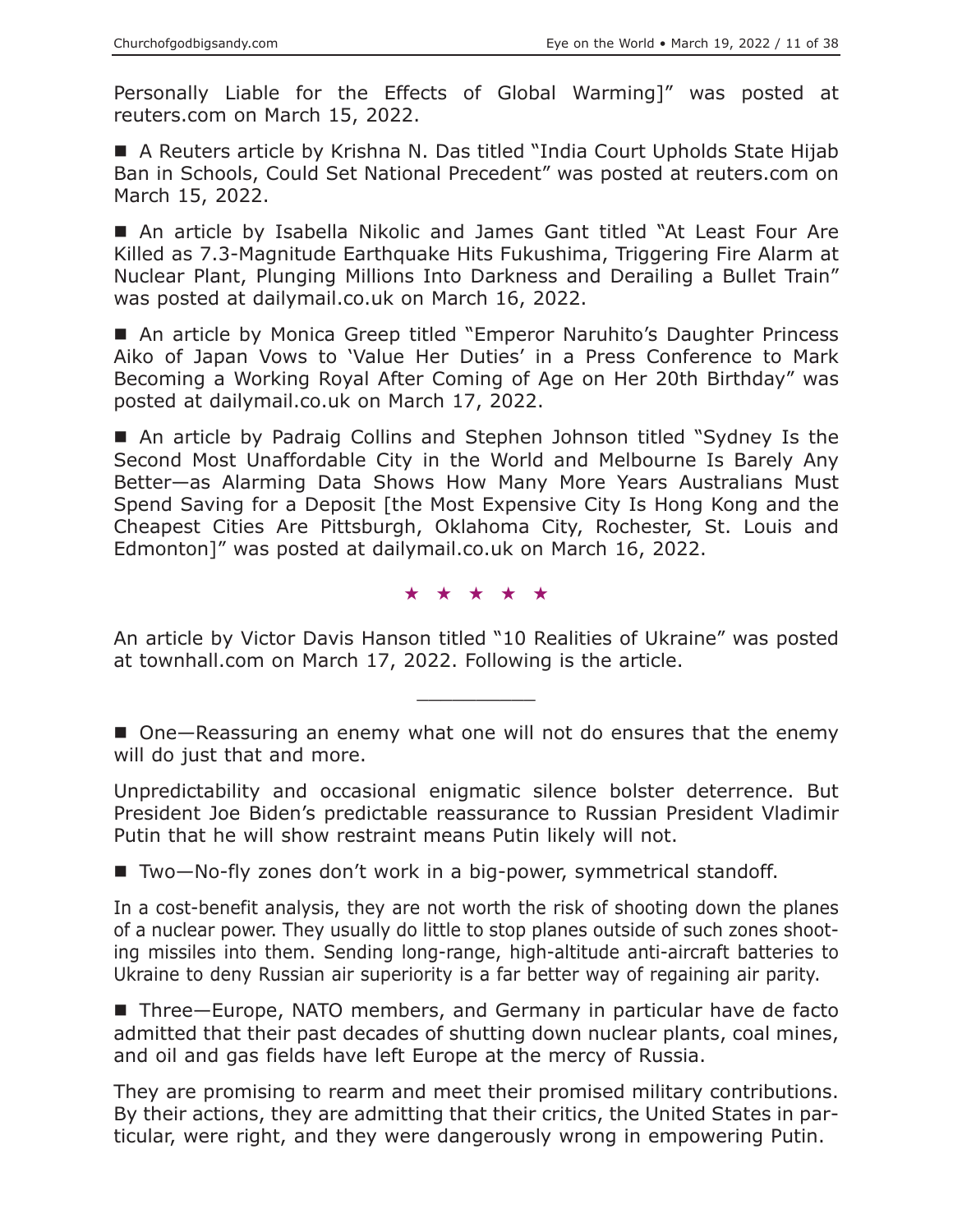Personally Liable for the Effects of Global Warming]" was posted at reuters.com on March 15, 2022.

 A Reuters article by Krishna N. Das titled "India Court Upholds State Hijab Ban in Schools, Could Set National Precedent" was posted at reuters.com on March 15, 2022.

 An article by Isabella Nikolic and James Gant titled "At Least Four Are Killed as 7.3-Magnitude Earthquake Hits Fukushima, Triggering Fire Alarm at Nuclear Plant, Plunging Millions Into Darkness and Derailing a Bullet Train" was posted at dailymail.co.uk on March 16, 2022.

■ An article by Monica Greep titled "Emperor Naruhito's Daughter Princess Aiko of Japan Vows to 'Value Her Duties' in a Press Conference to Mark Becoming a Working Royal After Coming of Age on Her 20th Birthday" was posted at dailymail.co.uk on March 17, 2022.

 An article by Padraig Collins and Stephen Johnson titled "Sydney Is the Second Most Unaffordable City in the World and Melbourne Is Barely Any Better—as Alarming Data Shows How Many More Years Australians Must Spend Saving for a Deposit [the Most Expensive City Is Hong Kong and the Cheapest Cities Are Pittsburgh, Oklahoma City, Rochester, St. Louis and Edmonton]" was posted at dailymail.co.uk on March 16, 2022.

★★★★★

An article by Victor Davis Hanson titled "10 Realities of Ukraine" was posted at townhall.com on March 17, 2022. Following is the article.

 $\overline{\phantom{a}}$  , where  $\overline{\phantom{a}}$ 

■ One—Reassuring an enemy what one will not do ensures that the enemy will do just that and more.

Unpredictability and occasional enigmatic silence bolster deterrence. But President Joe Biden's predictable reassurance to Russian President Vladimir Putin that he will show restraint means Putin likely will not.

■ Two—No-fly zones don't work in a big-power, symmetrical standoff.

In a cost-benefit analysis, they are not worth the risk of shooting down the planes of a nuclear power. They usually do little to stop planes outside of such zones shooting missiles into them. Sending long-range, high-altitude anti-aircraft batteries to Ukraine to deny Russian air superiority is a far better way of regaining air parity.

■ Three—Europe, NATO members, and Germany in particular have de facto admitted that their past decades of shutting down nuclear plants, coal mines, and oil and gas fields have left Europe at the mercy of Russia.

They are promising to rearm and meet their promised military contributions. By their actions, they are admitting that their critics, the United States in particular, were right, and they were dangerously wrong in empowering Putin.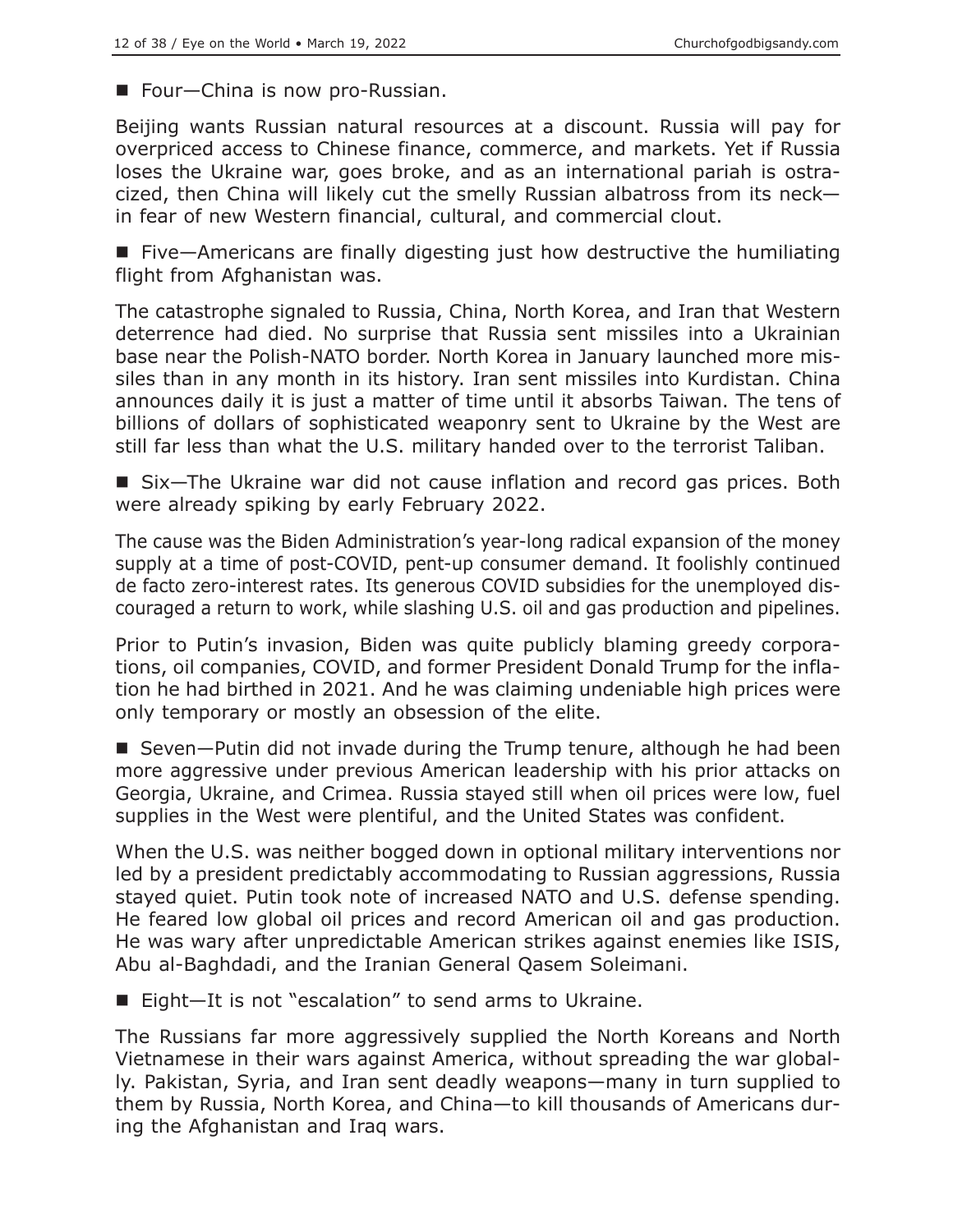■ Four—China is now pro-Russian.

Beijing wants Russian natural resources at a discount. Russia will pay for overpriced access to Chinese finance, commerce, and markets. Yet if Russia loses the Ukraine war, goes broke, and as an international pariah is ostracized, then China will likely cut the smelly Russian albatross from its neck in fear of new Western financial, cultural, and commercial clout.

 $\blacksquare$  Five—Americans are finally digesting just how destructive the humiliating flight from Afghanistan was.

The catastrophe signaled to Russia, China, North Korea, and Iran that Western deterrence had died. No surprise that Russia sent missiles into a Ukrainian base near the Polish-NATO border. North Korea in January launched more missiles than in any month in its history. Iran sent missiles into Kurdistan. China announces daily it is just a matter of time until it absorbs Taiwan. The tens of billions of dollars of sophisticated weaponry sent to Ukraine by the West are still far less than what the U.S. military handed over to the terrorist Taliban.

 Six—The Ukraine war did not cause inflation and record gas prices. Both were already spiking by early February 2022.

The cause was the Biden Administration's year-long radical expansion of the money supply at a time of post-COVID, pent-up consumer demand. It foolishly continued de facto zero-interest rates. Its generous COVID subsidies for the unemployed discouraged a return to work, while slashing U.S. oil and gas production and pipelines.

Prior to Putin's invasion, Biden was quite publicly blaming greedy corporations, oil companies, COVID, and former President Donald Trump for the inflation he had birthed in 2021. And he was claiming undeniable high prices were only temporary or mostly an obsession of the elite.

■ Seven—Putin did not invade during the Trump tenure, although he had been more aggressive under previous American leadership with his prior attacks on Georgia, Ukraine, and Crimea. Russia stayed still when oil prices were low, fuel supplies in the West were plentiful, and the United States was confident.

When the U.S. was neither bogged down in optional military interventions nor led by a president predictably accommodating to Russian aggressions, Russia stayed quiet. Putin took note of increased NATO and U.S. defense spending. He feared low global oil prices and record American oil and gas production. He was wary after unpredictable American strikes against enemies like ISIS, Abu al-Baghdadi, and the Iranian General Qasem Soleimani.

■ Eight-It is not "escalation" to send arms to Ukraine.

The Russians far more aggressively supplied the North Koreans and North Vietnamese in their wars against America, without spreading the war globally. Pakistan, Syria, and Iran sent deadly weapons—many in turn supplied to them by Russia, North Korea, and China—to kill thousands of Americans during the Afghanistan and Iraq wars.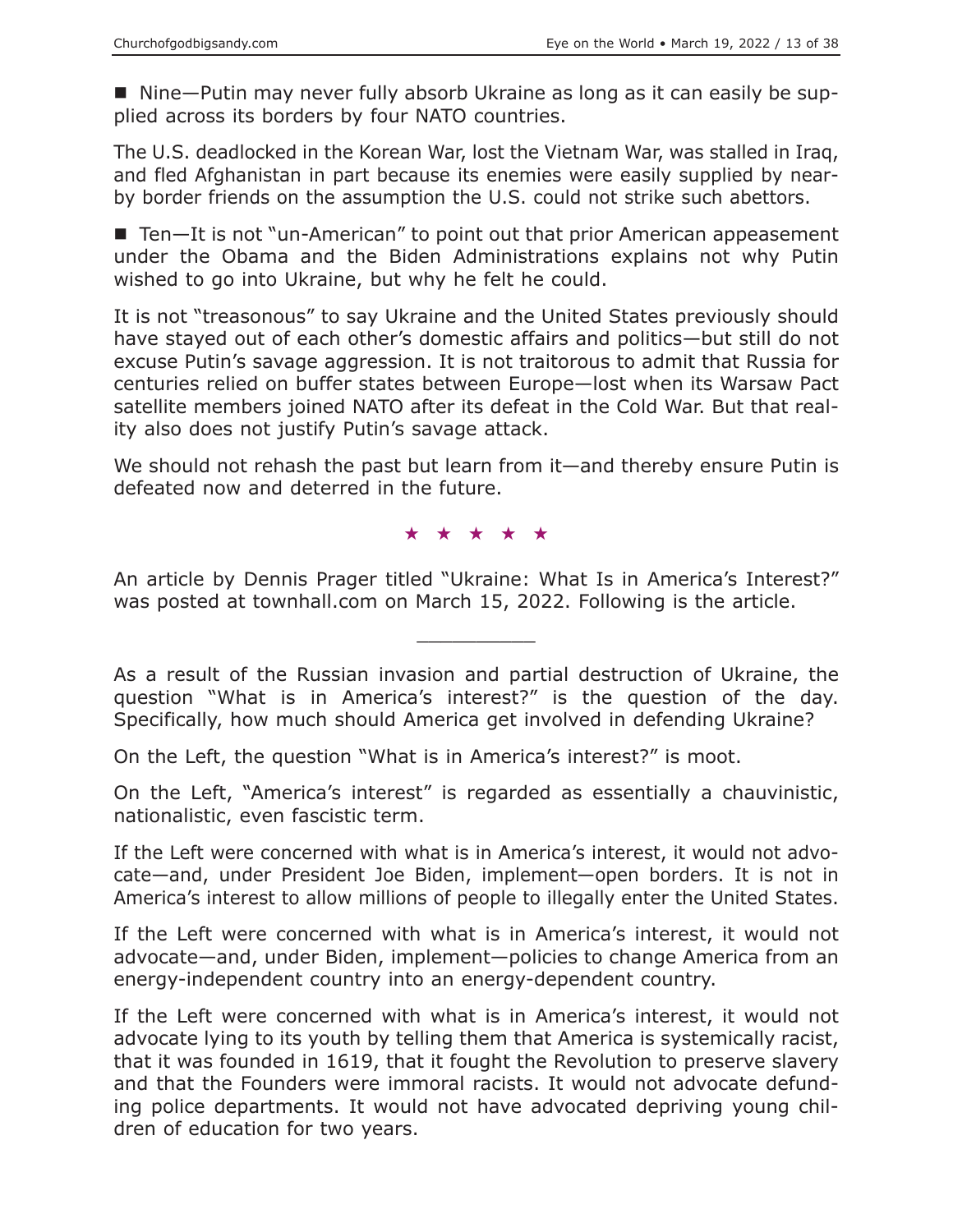■ Nine—Putin may never fully absorb Ukraine as long as it can easily be supplied across its borders by four NATO countries.

The U.S. deadlocked in the Korean War, lost the Vietnam War, was stalled in Iraq, and fled Afghanistan in part because its enemies were easily supplied by nearby border friends on the assumption the U.S. could not strike such abettors.

 $\blacksquare$  Ten—It is not "un-American" to point out that prior American appeasement under the Obama and the Biden Administrations explains not why Putin wished to go into Ukraine, but why he felt he could.

It is not "treasonous" to say Ukraine and the United States previously should have stayed out of each other's domestic affairs and politics—but still do not excuse Putin's savage aggression. It is not traitorous to admit that Russia for centuries relied on buffer states between Europe—lost when its Warsaw Pact satellite members joined NATO after its defeat in the Cold War. But that reality also does not justify Putin's savage attack.

We should not rehash the past but learn from it—and thereby ensure Putin is defeated now and deterred in the future.

#### ★★★★★

An article by Dennis Prager titled "Ukraine: What Is in America's Interest?" was posted at townhall.com on March 15, 2022. Following is the article.

 $\overline{\phantom{a}}$  , where  $\overline{\phantom{a}}$ 

As a result of the Russian invasion and partial destruction of Ukraine, the question "What is in America's interest?" is the question of the day. Specifically, how much should America get involved in defending Ukraine?

On the Left, the question "What is in America's interest?" is moot.

On the Left, "America's interest" is regarded as essentially a chauvinistic, nationalistic, even fascistic term.

If the Left were concerned with what is in America's interest, it would not advocate—and, under President Joe Biden, implement—open borders. It is not in America's interest to allow millions of people to illegally enter the United States.

If the Left were concerned with what is in America's interest, it would not advocate—and, under Biden, implement—policies to change America from an energy-independent country into an energy-dependent country.

If the Left were concerned with what is in America's interest, it would not advocate lying to its youth by telling them that America is systemically racist, that it was founded in 1619, that it fought the Revolution to preserve slavery and that the Founders were immoral racists. It would not advocate defunding police departments. It would not have advocated depriving young children of education for two years.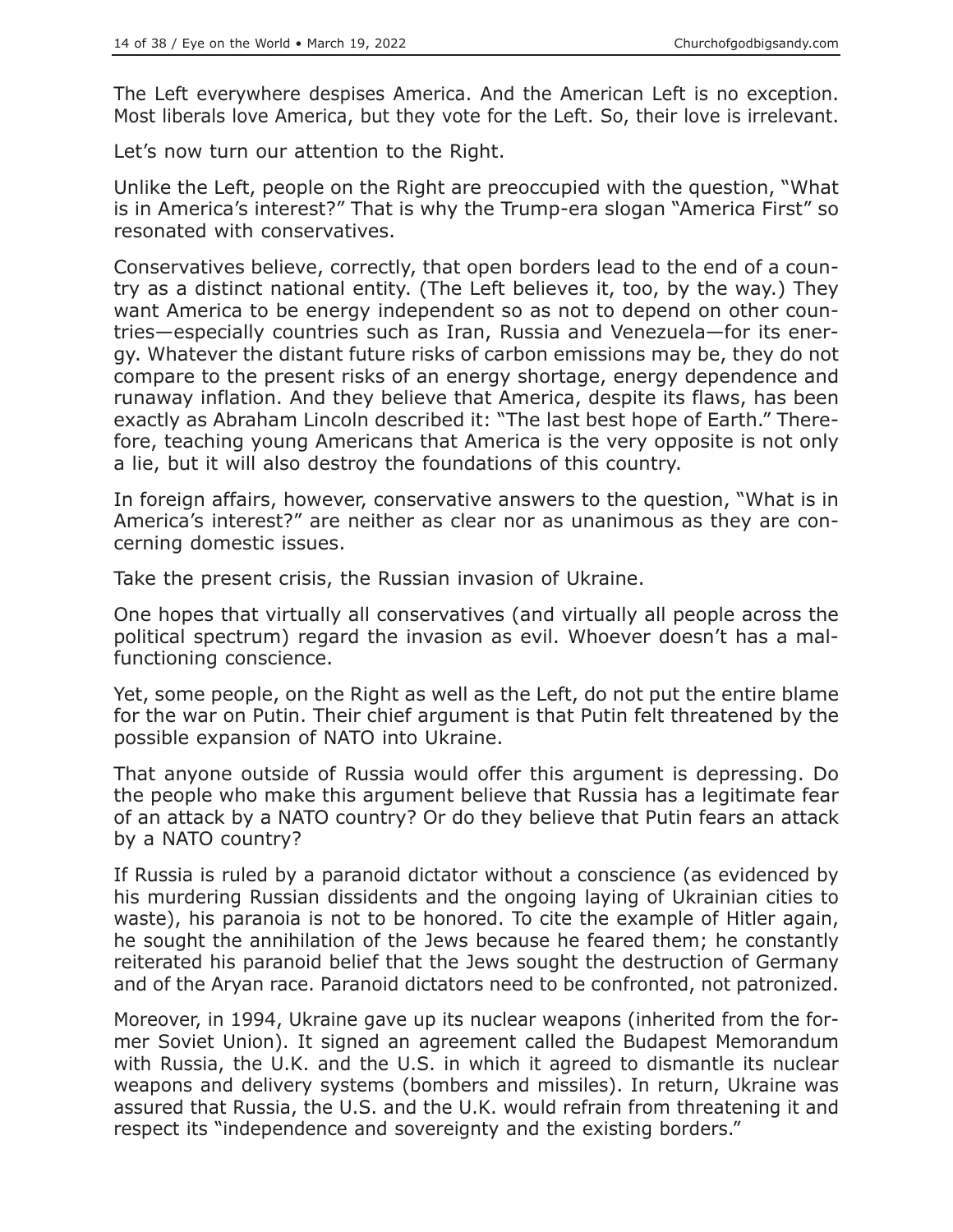The Left everywhere despises America. And the American Left is no exception. Most liberals love America, but they vote for the Left. So, their love is irrelevant.

Let's now turn our attention to the Right.

Unlike the Left, people on the Right are preoccupied with the question, "What is in America's interest?" That is why the Trump-era slogan "America First" so resonated with conservatives.

Conservatives believe, correctly, that open borders lead to the end of a country as a distinct national entity. (The Left believes it, too, by the way.) They want America to be energy independent so as not to depend on other countries—especially countries such as Iran, Russia and Venezuela—for its energy. Whatever the distant future risks of carbon emissions may be, they do not compare to the present risks of an energy shortage, energy dependence and runaway inflation. And they believe that America, despite its flaws, has been exactly as Abraham Lincoln described it: "The last best hope of Earth." Therefore, teaching young Americans that America is the very opposite is not only a lie, but it will also destroy the foundations of this country.

In foreign affairs, however, conservative answers to the question, "What is in America's interest?" are neither as clear nor as unanimous as they are concerning domestic issues.

Take the present crisis, the Russian invasion of Ukraine.

One hopes that virtually all conservatives (and virtually all people across the political spectrum) regard the invasion as evil. Whoever doesn't has a malfunctioning conscience.

Yet, some people, on the Right as well as the Left, do not put the entire blame for the war on Putin. Their chief argument is that Putin felt threatened by the possible expansion of NATO into Ukraine.

That anyone outside of Russia would offer this argument is depressing. Do the people who make this argument believe that Russia has a legitimate fear of an attack by a NATO country? Or do they believe that Putin fears an attack by a NATO country?

If Russia is ruled by a paranoid dictator without a conscience (as evidenced by his murdering Russian dissidents and the ongoing laying of Ukrainian cities to waste), his paranoia is not to be honored. To cite the example of Hitler again, he sought the annihilation of the Jews because he feared them; he constantly reiterated his paranoid belief that the Jews sought the destruction of Germany and of the Aryan race. Paranoid dictators need to be confronted, not patronized.

Moreover, in 1994, Ukraine gave up its nuclear weapons (inherited from the former Soviet Union). It signed an agreement called the Budapest Memorandum with Russia, the U.K. and the U.S. in which it agreed to dismantle its nuclear weapons and delivery systems (bombers and missiles). In return, Ukraine was assured that Russia, the U.S. and the U.K. would refrain from threatening it and respect its "independence and sovereignty and the existing borders."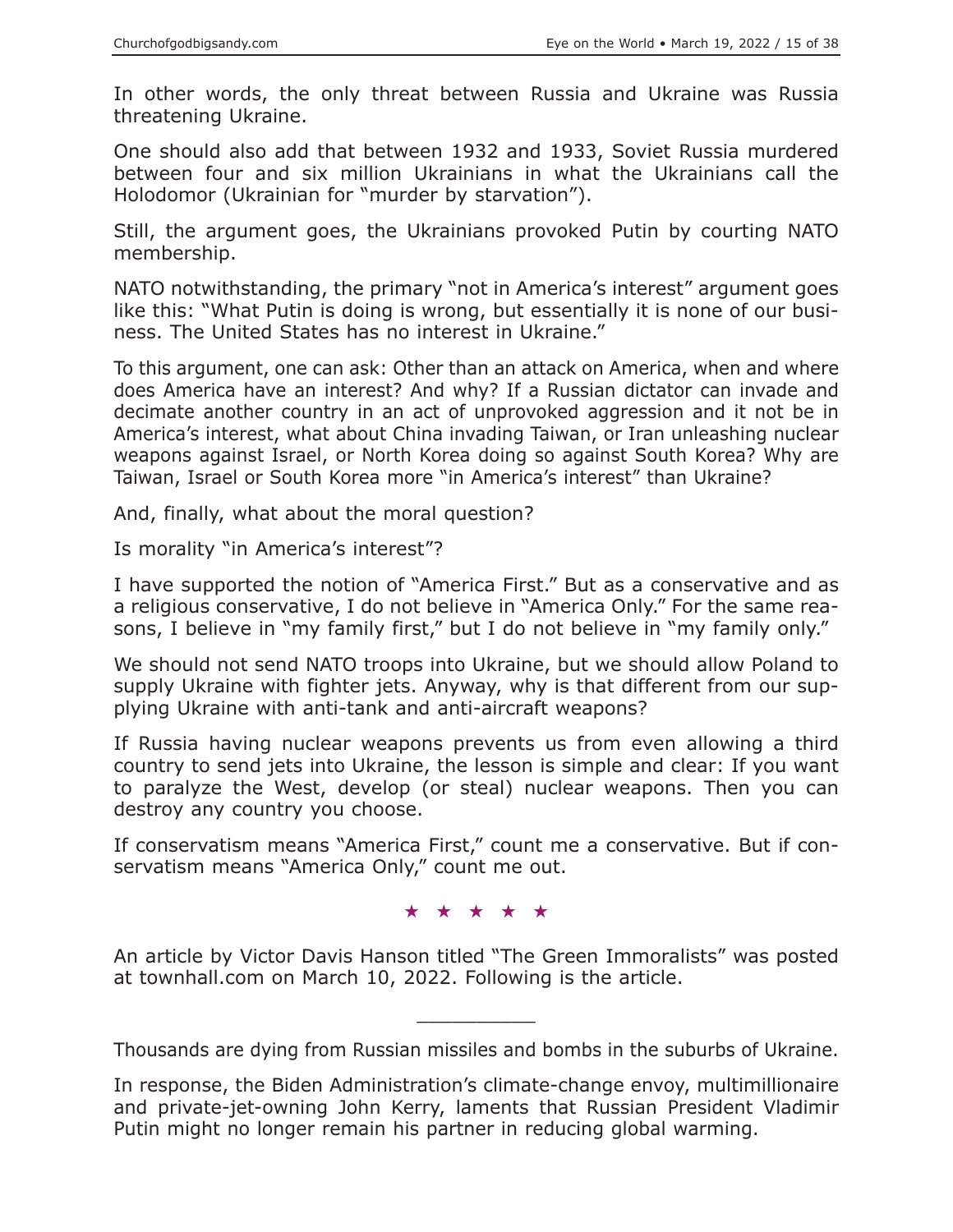In other words, the only threat between Russia and Ukraine was Russia threatening Ukraine.

One should also add that between 1932 and 1933, Soviet Russia murdered between four and six million Ukrainians in what the Ukrainians call the Holodomor (Ukrainian for "murder by starvation").

Still, the argument goes, the Ukrainians provoked Putin by courting NATO membership.

NATO notwithstanding, the primary "not in America's interest" argument goes like this: "What Putin is doing is wrong, but essentially it is none of our business. The United States has no interest in Ukraine."

To this argument, one can ask: Other than an attack on America, when and where does America have an interest? And why? If a Russian dictator can invade and decimate another country in an act of unprovoked aggression and it not be in America's interest, what about China invading Taiwan, or Iran unleashing nuclear weapons against Israel, or North Korea doing so against South Korea? Why are Taiwan, Israel or South Korea more "in America's interest" than Ukraine?

And, finally, what about the moral question?

Is morality "in America's interest"?

I have supported the notion of "America First." But as a conservative and as a religious conservative, I do not believe in "America Only." For the same reasons, I believe in "my family first," but I do not believe in "my family only."

We should not send NATO troops into Ukraine, but we should allow Poland to supply Ukraine with fighter jets. Anyway, why is that different from our supplying Ukraine with anti-tank and anti-aircraft weapons?

If Russia having nuclear weapons prevents us from even allowing a third country to send jets into Ukraine, the lesson is simple and clear: If you want to paralyze the West, develop (or steal) nuclear weapons. Then you can destroy any country you choose.

If conservatism means "America First," count me a conservative. But if conservatism means "America Only," count me out.

★★★★★

An article by Victor Davis Hanson titled "The Green Immoralists" was posted at townhall.com on March 10, 2022. Following is the article.

Thousands are dying from Russian missiles and bombs in the suburbs of Ukraine.

 $\overline{\phantom{a}}$  , where  $\overline{\phantom{a}}$ 

In response, the Biden Administration's climate-change envoy, multimillionaire and private-jet-owning John Kerry, laments that Russian President Vladimir Putin might no longer remain his partner in reducing global warming.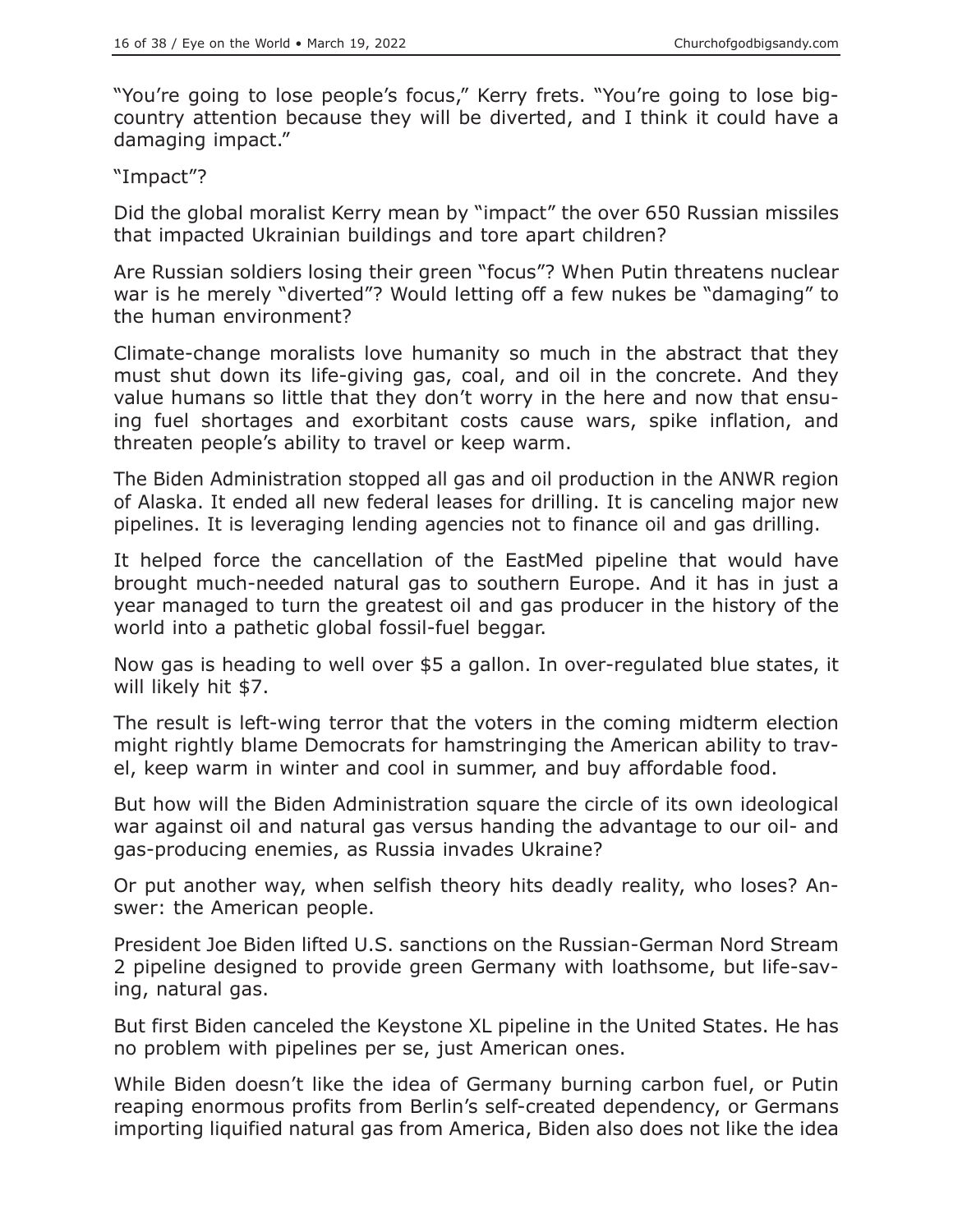"You're going to lose people's focus," Kerry frets. "You're going to lose bigcountry attention because they will be diverted, and I think it could have a damaging impact."

#### "Impact"?

Did the global moralist Kerry mean by "impact" the over 650 Russian missiles that impacted Ukrainian buildings and tore apart children?

Are Russian soldiers losing their green "focus"? When Putin threatens nuclear war is he merely "diverted"? Would letting off a few nukes be "damaging" to the human environment?

Climate-change moralists love humanity so much in the abstract that they must shut down its life-giving gas, coal, and oil in the concrete. And they value humans so little that they don't worry in the here and now that ensuing fuel shortages and exorbitant costs cause wars, spike inflation, and threaten people's ability to travel or keep warm.

The Biden Administration stopped all gas and oil production in the ANWR region of Alaska. It ended all new federal leases for drilling. It is canceling major new pipelines. It is leveraging lending agencies not to finance oil and gas drilling.

It helped force the cancellation of the EastMed pipeline that would have brought much-needed natural gas to southern Europe. And it has in just a year managed to turn the greatest oil and gas producer in the history of the world into a pathetic global fossil-fuel beggar.

Now gas is heading to well over \$5 a gallon. In over-regulated blue states, it will likely hit \$7.

The result is left-wing terror that the voters in the coming midterm election might rightly blame Democrats for hamstringing the American ability to travel, keep warm in winter and cool in summer, and buy affordable food.

But how will the Biden Administration square the circle of its own ideological war against oil and natural gas versus handing the advantage to our oil- and gas-producing enemies, as Russia invades Ukraine?

Or put another way, when selfish theory hits deadly reality, who loses? Answer: the American people.

President Joe Biden lifted U.S. sanctions on the Russian-German Nord Stream 2 pipeline designed to provide green Germany with loathsome, but life-saving, natural gas.

But first Biden canceled the Keystone XL pipeline in the United States. He has no problem with pipelines per se, just American ones.

While Biden doesn't like the idea of Germany burning carbon fuel, or Putin reaping enormous profits from Berlin's self-created dependency, or Germans importing liquified natural gas from America, Biden also does not like the idea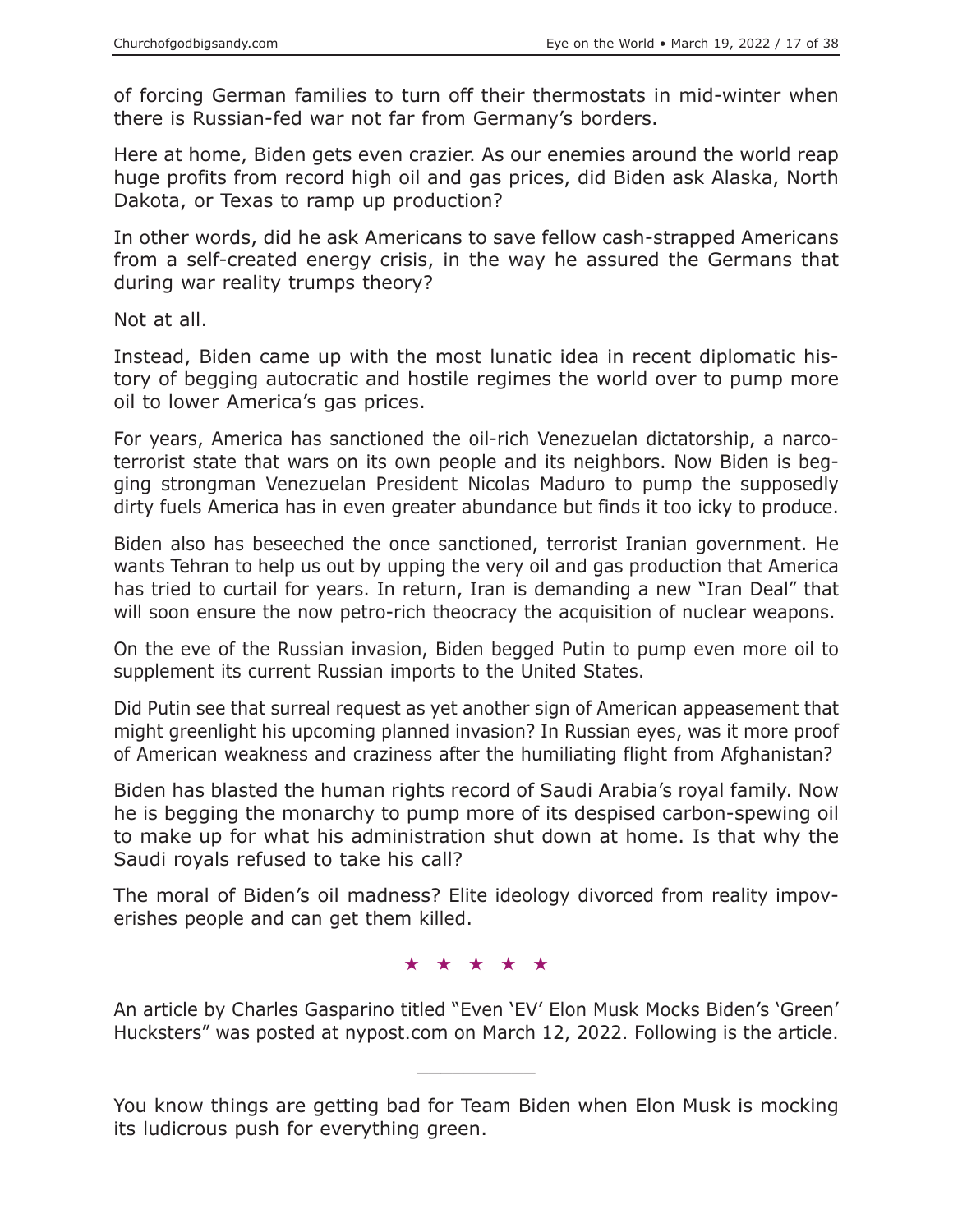of forcing German families to turn off their thermostats in mid-winter when there is Russian-fed war not far from Germany's borders.

Here at home, Biden gets even crazier. As our enemies around the world reap huge profits from record high oil and gas prices, did Biden ask Alaska, North Dakota, or Texas to ramp up production?

In other words, did he ask Americans to save fellow cash-strapped Americans from a self-created energy crisis, in the way he assured the Germans that during war reality trumps theory?

Not at all.

Instead, Biden came up with the most lunatic idea in recent diplomatic history of begging autocratic and hostile regimes the world over to pump more oil to lower America's gas prices.

For years, America has sanctioned the oil-rich Venezuelan dictatorship, a narcoterrorist state that wars on its own people and its neighbors. Now Biden is begging strongman Venezuelan President Nicolas Maduro to pump the supposedly dirty fuels America has in even greater abundance but finds it too icky to produce.

Biden also has beseeched the once sanctioned, terrorist Iranian government. He wants Tehran to help us out by upping the very oil and gas production that America has tried to curtail for years. In return, Iran is demanding a new "Iran Deal" that will soon ensure the now petro-rich theocracy the acquisition of nuclear weapons.

On the eve of the Russian invasion, Biden begged Putin to pump even more oil to supplement its current Russian imports to the United States.

Did Putin see that surreal request as yet another sign of American appeasement that might greenlight his upcoming planned invasion? In Russian eyes, was it more proof of American weakness and craziness after the humiliating flight from Afghanistan?

Biden has blasted the human rights record of Saudi Arabia's royal family. Now he is begging the monarchy to pump more of its despised carbon-spewing oil to make up for what his administration shut down at home. Is that why the Saudi royals refused to take his call?

The moral of Biden's oil madness? Elite ideology divorced from reality impoverishes people and can get them killed.

★★★★★

An article by Charles Gasparino titled "Even 'EV' Elon Musk Mocks Biden's 'Green' Hucksters" was posted at nypost.com on March 12, 2022. Following is the article.

 $\overline{\phantom{a}}$  , where  $\overline{\phantom{a}}$ 

You know things are getting bad for Team Biden when Elon Musk is mocking its ludicrous push for everything green.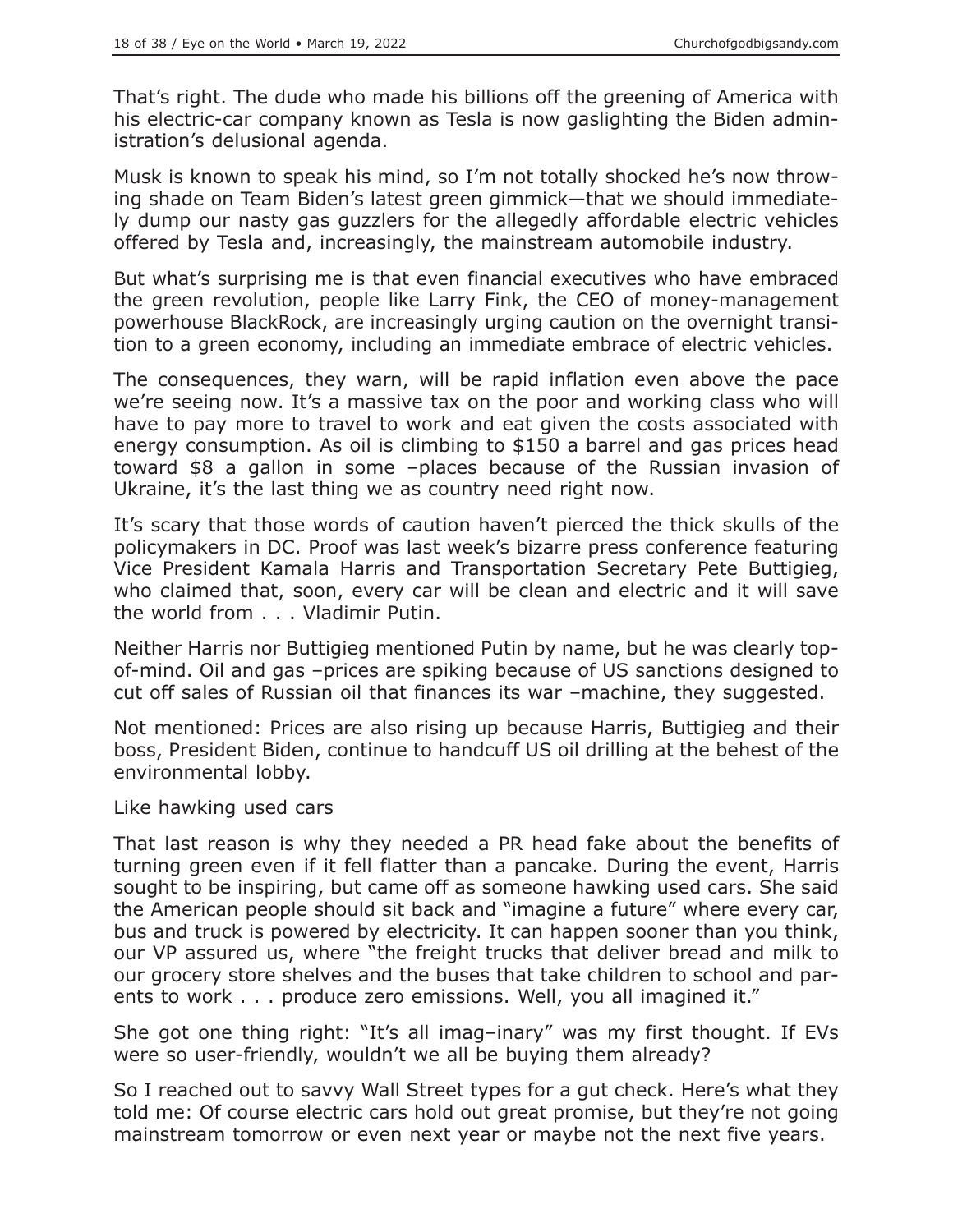That's right. The dude who made his billions off the greening of America with his electric-car company known as Tesla is now gaslighting the Biden administration's delusional agenda.

Musk is known to speak his mind, so I'm not totally shocked he's now throwing shade on Team Biden's latest green gimmick—that we should immediately dump our nasty gas guzzlers for the allegedly affordable electric vehicles offered by Tesla and, increasingly, the mainstream automobile industry.

But what's surprising me is that even financial executives who have embraced the green revolution, people like Larry Fink, the CEO of money-management powerhouse BlackRock, are increasingly urging caution on the overnight transition to a green economy, including an immediate embrace of electric vehicles.

The consequences, they warn, will be rapid inflation even above the pace we're seeing now. It's a massive tax on the poor and working class who will have to pay more to travel to work and eat given the costs associated with energy consumption. As oil is climbing to \$150 a barrel and gas prices head toward \$8 a gallon in some –places because of the Russian invasion of Ukraine, it's the last thing we as country need right now.

It's scary that those words of caution haven't pierced the thick skulls of the policymakers in DC. Proof was last week's bizarre press conference featuring Vice President Kamala Harris and Transportation Secretary Pete Buttigieg, who claimed that, soon, every car will be clean and electric and it will save the world from . . . Vladimir Putin.

Neither Harris nor Buttigieg mentioned Putin by name, but he was clearly topof-mind. Oil and gas –prices are spiking because of US sanctions designed to cut off sales of Russian oil that finances its war –machine, they suggested.

Not mentioned: Prices are also rising up because Harris, Buttigieg and their boss, President Biden, continue to handcuff US oil drilling at the behest of the environmental lobby.

Like hawking used cars

That last reason is why they needed a PR head fake about the benefits of turning green even if it fell flatter than a pancake. During the event, Harris sought to be inspiring, but came off as someone hawking used cars. She said the American people should sit back and "imagine a future" where every car, bus and truck is powered by electricity. It can happen sooner than you think, our VP assured us, where "the freight trucks that deliver bread and milk to our grocery store shelves and the buses that take children to school and parents to work . . . produce zero emissions. Well, you all imagined it."

She got one thing right: "It's all imag–inary" was my first thought. If EVs were so user-friendly, wouldn't we all be buying them already?

So I reached out to savvy Wall Street types for a gut check. Here's what they told me: Of course electric cars hold out great promise, but they're not going mainstream tomorrow or even next year or maybe not the next five years.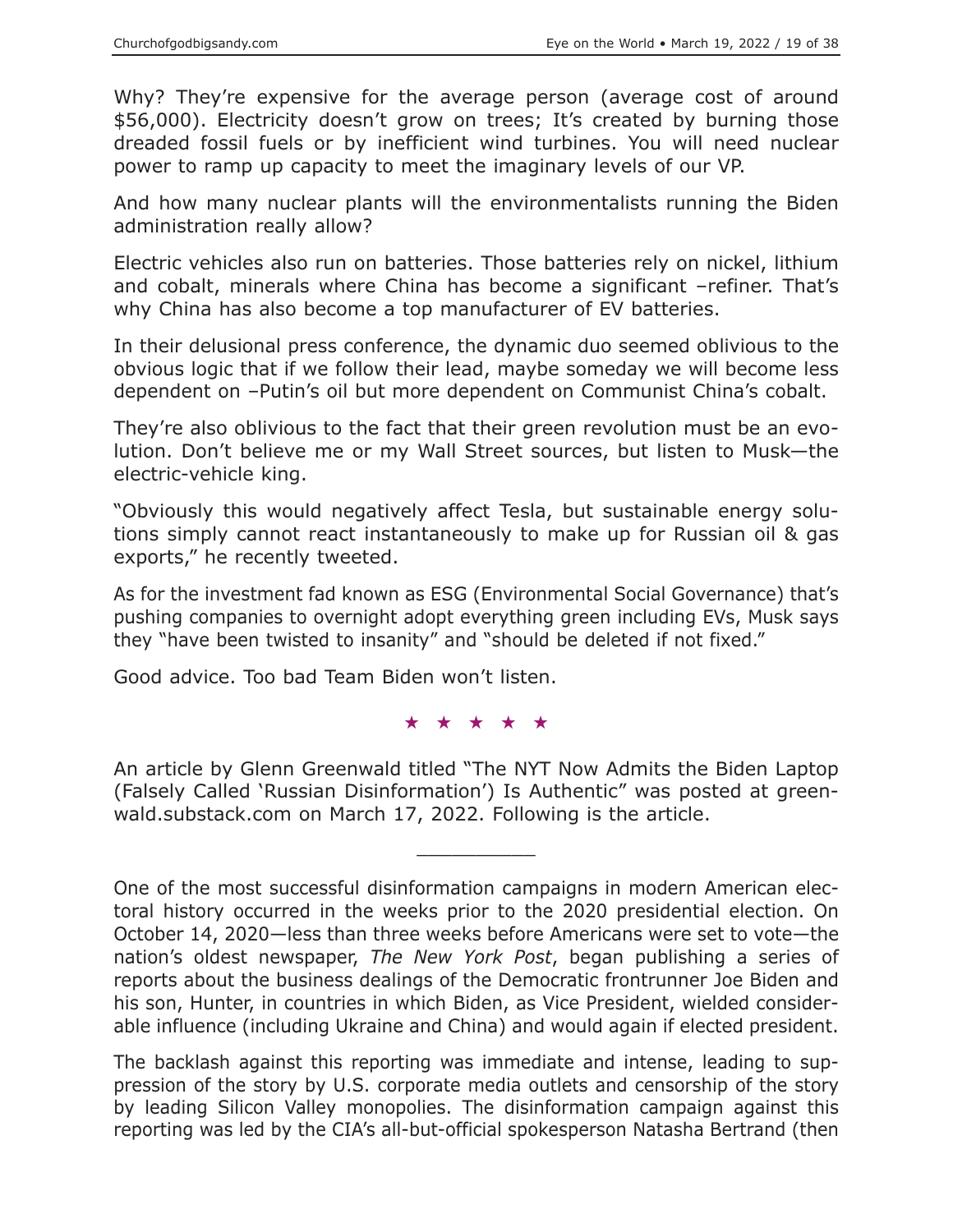Why? They're expensive for the average person (average cost of around \$56,000). Electricity doesn't grow on trees; It's created by burning those dreaded fossil fuels or by inefficient wind turbines. You will need nuclear power to ramp up capacity to meet the imaginary levels of our VP.

And how many nuclear plants will the environmentalists running the Biden administration really allow?

Electric vehicles also run on batteries. Those batteries rely on nickel, lithium and cobalt, minerals where China has become a significant –refiner. That's why China has also become a top manufacturer of EV batteries.

In their delusional press conference, the dynamic duo seemed oblivious to the obvious logic that if we follow their lead, maybe someday we will become less dependent on –Putin's oil but more dependent on Communist China's cobalt.

They're also oblivious to the fact that their green revolution must be an evolution. Don't believe me or my Wall Street sources, but listen to Musk—the electric-vehicle king.

"Obviously this would negatively affect Tesla, but sustainable energy solutions simply cannot react instantaneously to make up for Russian oil & gas exports," he recently tweeted.

As for the investment fad known as ESG (Environmental Social Governance) that's pushing companies to overnight adopt everything green including EVs, Musk says they "have been twisted to insanity" and "should be deleted if not fixed."

Good advice. Too bad Team Biden won't listen.

★★★★★

An article by Glenn Greenwald titled "The NYT Now Admits the Biden Laptop (Falsely Called 'Russian Disinformation') Is Authentic" was posted at greenwald.substack.com on March 17, 2022. Following is the article.

 $\overline{\phantom{a}}$  , where  $\overline{\phantom{a}}$ 

One of the most successful disinformation campaigns in modern American electoral history occurred in the weeks prior to the 2020 presidential election. On October 14, 2020—less than three weeks before Americans were set to vote—the nation's oldest newspaper, *The New York Post*, began publishing a series of reports about the business dealings of the Democratic frontrunner Joe Biden and his son, Hunter, in countries in which Biden, as Vice President, wielded considerable influence (including Ukraine and China) and would again if elected president.

The backlash against this reporting was immediate and intense, leading to suppression of the story by U.S. corporate media outlets and censorship of the story by leading Silicon Valley monopolies. The disinformation campaign against this reporting was led by the CIA's all-but-official spokesperson Natasha Bertrand (then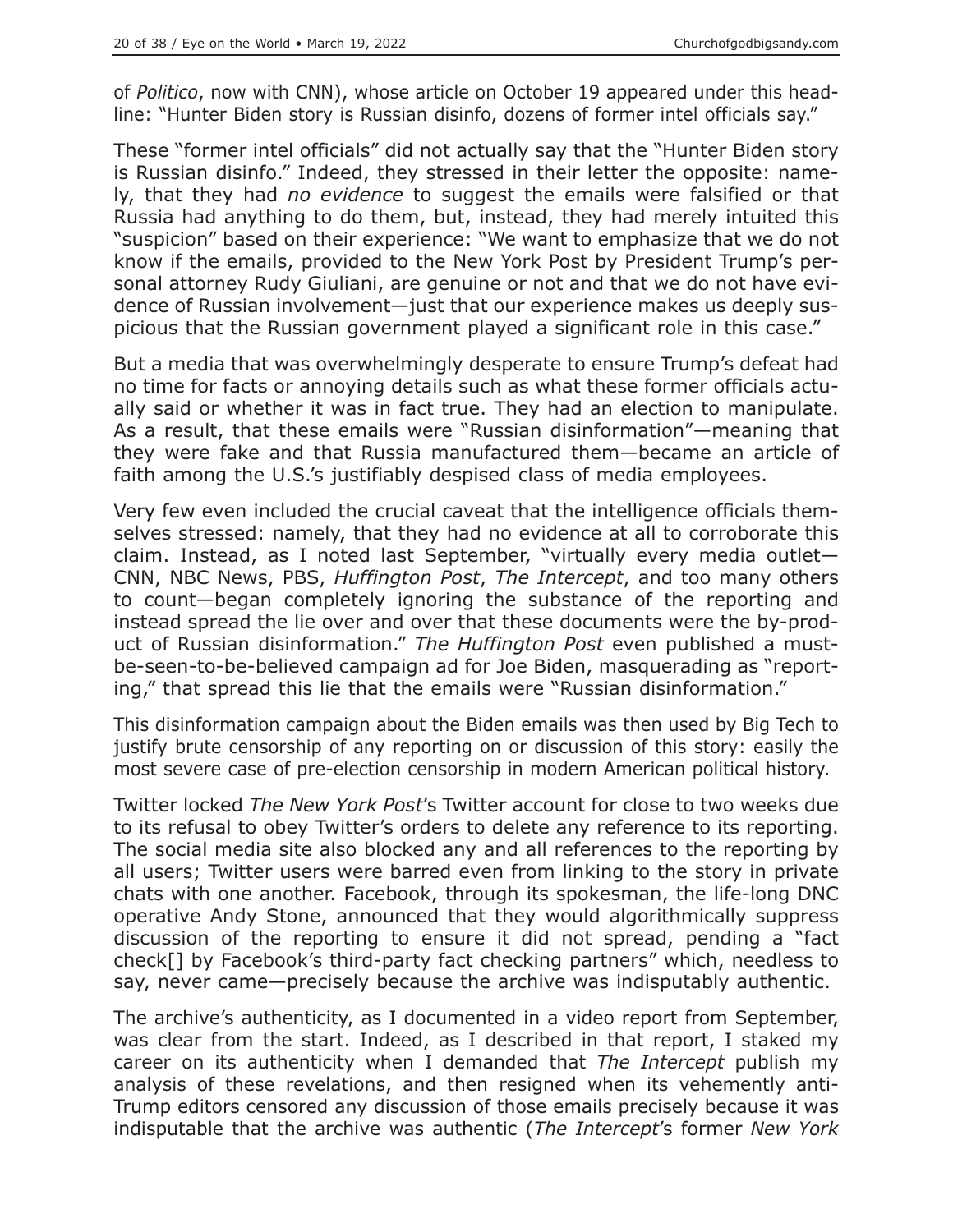of *Politico*, now with CNN), whose article on October 19 appeared under this headline: "Hunter Biden story is Russian disinfo, dozens of former intel officials say."

These "former intel officials" did not actually say that the "Hunter Biden story is Russian disinfo." Indeed, they stressed in their letter the opposite: namely, that they had *no evidence* to suggest the emails were falsified or that Russia had anything to do them, but, instead, they had merely intuited this "suspicion" based on their experience: "We want to emphasize that we do not know if the emails, provided to the New York Post by President Trump's personal attorney Rudy Giuliani, are genuine or not and that we do not have evidence of Russian involvement—just that our experience makes us deeply suspicious that the Russian government played a significant role in this case."

But a media that was overwhelmingly desperate to ensure Trump's defeat had no time for facts or annoying details such as what these former officials actually said or whether it was in fact true. They had an election to manipulate. As a result, that these emails were "Russian disinformation"—meaning that they were fake and that Russia manufactured them—became an article of faith among the U.S.'s justifiably despised class of media employees.

Very few even included the crucial caveat that the intelligence officials themselves stressed: namely, that they had no evidence at all to corroborate this claim. Instead, as I noted last September, "virtually every media outlet— CNN, NBC News, PBS, *Huffington Post*, *The Intercept*, and too many others to count—began completely ignoring the substance of the reporting and instead spread the lie over and over that these documents were the by-product of Russian disinformation." *The Huffington Post* even published a mustbe-seen-to-be-believed campaign ad for Joe Biden, masquerading as "reporting," that spread this lie that the emails were "Russian disinformation."

This disinformation campaign about the Biden emails was then used by Big Tech to justify brute censorship of any reporting on or discussion of this story: easily the most severe case of pre-election censorship in modern American political history.

Twitter locked *The New York Post*'s Twitter account for close to two weeks due to its refusal to obey Twitter's orders to delete any reference to its reporting. The social media site also blocked any and all references to the reporting by all users; Twitter users were barred even from linking to the story in private chats with one another. Facebook, through its spokesman, the life-long DNC operative Andy Stone, announced that they would algorithmically suppress discussion of the reporting to ensure it did not spread, pending a "fact check[] by Facebook's third-party fact checking partners" which, needless to say, never came—precisely because the archive was indisputably authentic.

The archive's authenticity, as I documented in a video report from September, was clear from the start. Indeed, as I described in that report, I staked my career on its authenticity when I demanded that *The Intercept* publish my analysis of these revelations, and then resigned when its vehemently anti-Trump editors censored any discussion of those emails precisely because it was indisputable that the archive was authentic (*The Intercept*'s former *New York*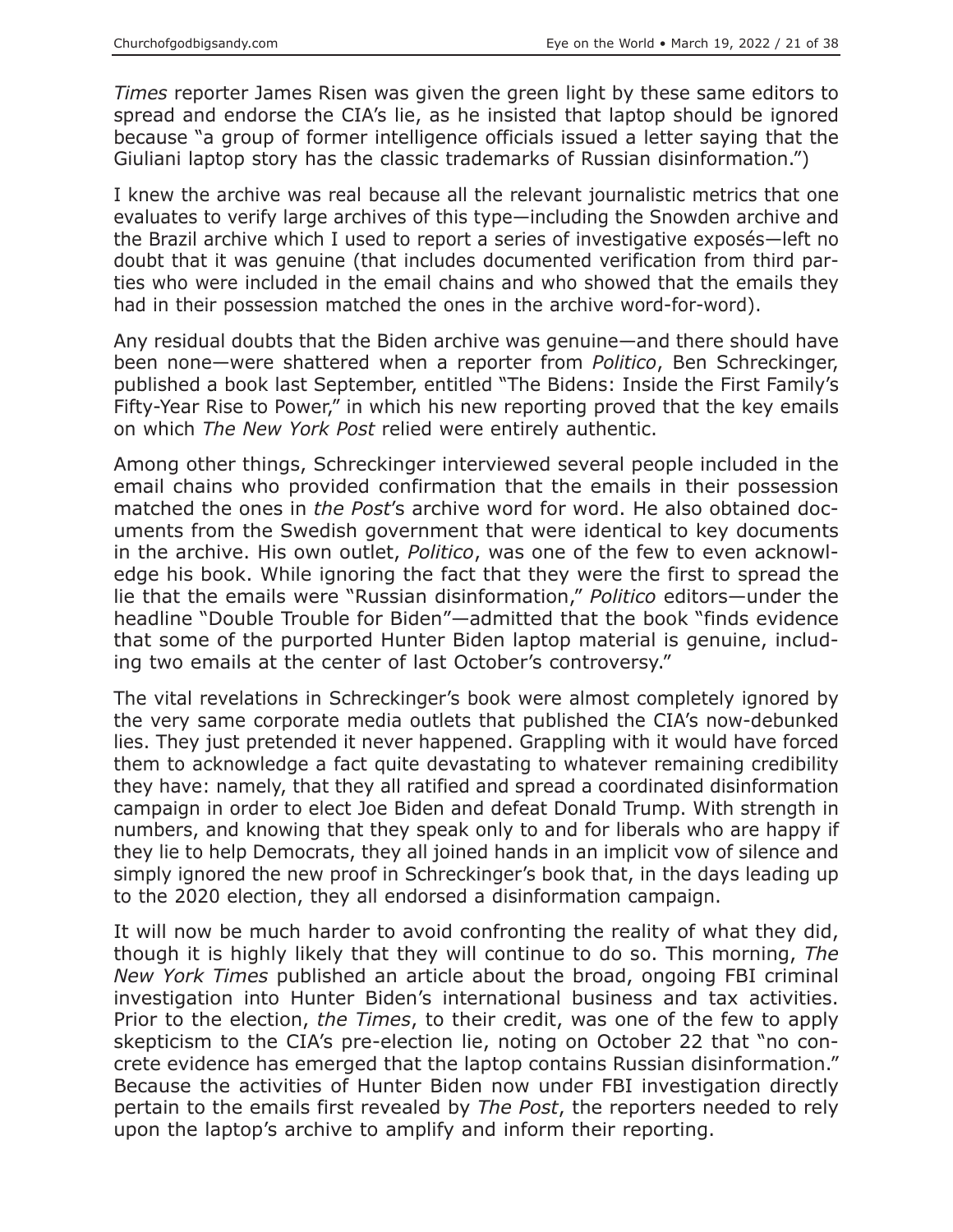*Times* reporter James Risen was given the green light by these same editors to spread and endorse the CIA's lie, as he insisted that laptop should be ignored because "a group of former intelligence officials issued a letter saying that the Giuliani laptop story has the classic trademarks of Russian disinformation.")

I knew the archive was real because all the relevant journalistic metrics that one evaluates to verify large archives of this type—including the Snowden archive and the Brazil archive which I used to report a series of investigative exposés—left no doubt that it was genuine (that includes documented verification from third parties who were included in the email chains and who showed that the emails they had in their possession matched the ones in the archive word-for-word).

Any residual doubts that the Biden archive was genuine—and there should have been none—were shattered when a reporter from *Politico*, Ben Schreckinger, published a book last September, entitled "The Bidens: Inside the First Family's Fifty-Year Rise to Power," in which his new reporting proved that the key emails on which *The New York Post* relied were entirely authentic.

Among other things, Schreckinger interviewed several people included in the email chains who provided confirmation that the emails in their possession matched the ones in *the Post*'s archive word for word. He also obtained documents from the Swedish government that were identical to key documents in the archive. His own outlet, *Politico*, was one of the few to even acknowledge his book. While ignoring the fact that they were the first to spread the lie that the emails were "Russian disinformation," *Politico* editors—under the headline "Double Trouble for Biden"—admitted that the book "finds evidence that some of the purported Hunter Biden laptop material is genuine, including two emails at the center of last October's controversy."

The vital revelations in Schreckinger's book were almost completely ignored by the very same corporate media outlets that published the CIA's now-debunked lies. They just pretended it never happened. Grappling with it would have forced them to acknowledge a fact quite devastating to whatever remaining credibility they have: namely, that they all ratified and spread a coordinated disinformation campaign in order to elect Joe Biden and defeat Donald Trump. With strength in numbers, and knowing that they speak only to and for liberals who are happy if they lie to help Democrats, they all joined hands in an implicit vow of silence and simply ignored the new proof in Schreckinger's book that, in the days leading up to the 2020 election, they all endorsed a disinformation campaign.

It will now be much harder to avoid confronting the reality of what they did, though it is highly likely that they will continue to do so. This morning, *The New York Times* published an article about the broad, ongoing FBI criminal investigation into Hunter Biden's international business and tax activities. Prior to the election, *the Times*, to their credit, was one of the few to apply skepticism to the CIA's pre-election lie, noting on October 22 that "no concrete evidence has emerged that the laptop contains Russian disinformation." Because the activities of Hunter Biden now under FBI investigation directly pertain to the emails first revealed by *The Post*, the reporters needed to rely upon the laptop's archive to amplify and inform their reporting.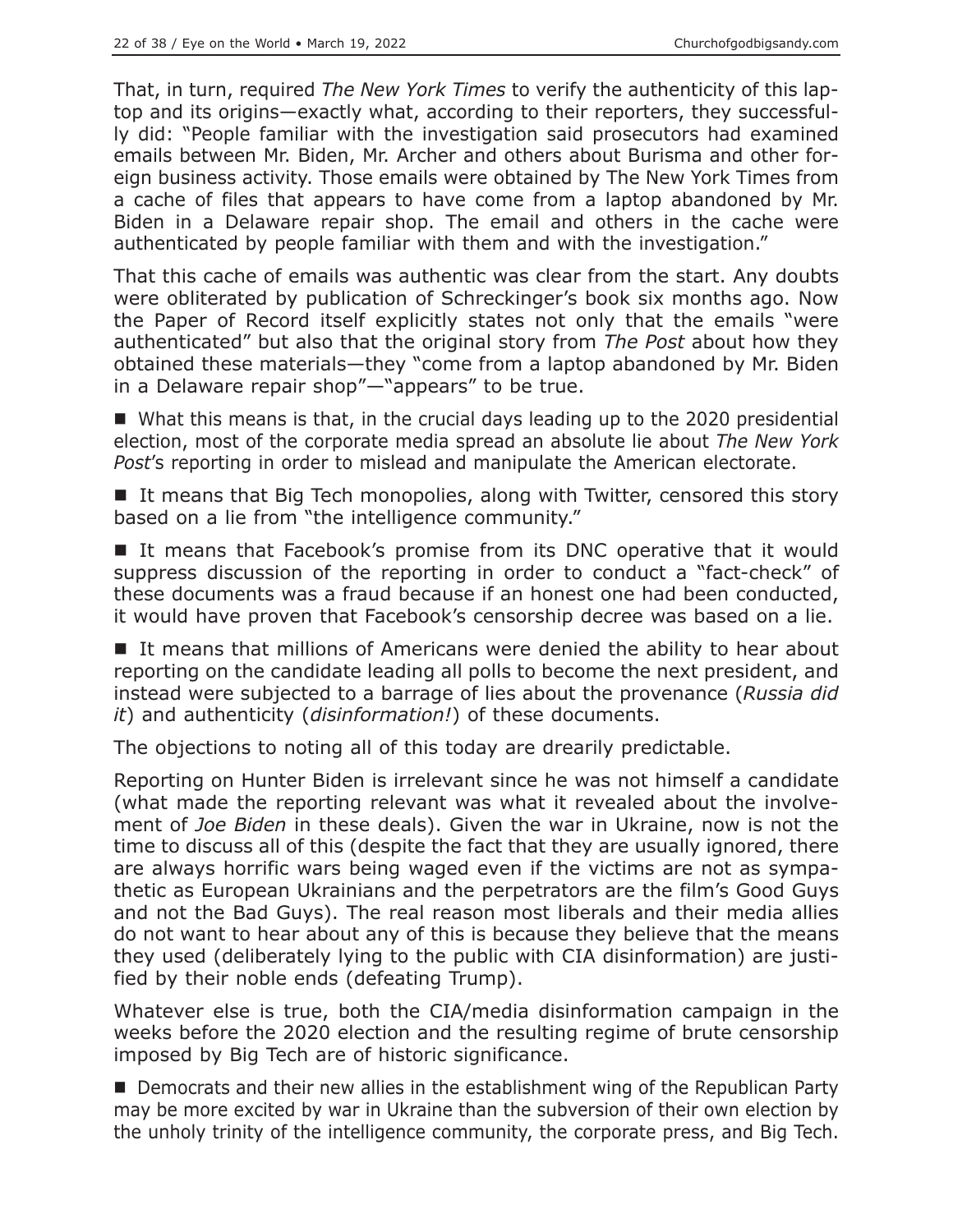That, in turn, required *The New York Times* to verify the authenticity of this laptop and its origins—exactly what, according to their reporters, they successfully did: "People familiar with the investigation said prosecutors had examined emails between Mr. Biden, Mr. Archer and others about Burisma and other foreign business activity. Those emails were obtained by The New York Times from a cache of files that appears to have come from a laptop abandoned by Mr. Biden in a Delaware repair shop. The email and others in the cache were authenticated by people familiar with them and with the investigation."

That this cache of emails was authentic was clear from the start. Any doubts were obliterated by publication of Schreckinger's book six months ago. Now the Paper of Record itself explicitly states not only that the emails "were authenticated" but also that the original story from *The Post* about how they obtained these materials—they "come from a laptop abandoned by Mr. Biden in a Delaware repair shop"—"appears" to be true.

 What this means is that, in the crucial days leading up to the 2020 presidential election, most of the corporate media spread an absolute lie about *The New York Post*'s reporting in order to mislead and manipulate the American electorate.

If It means that Big Tech monopolies, along with Twitter, censored this story based on a lie from "the intelligence community."

If means that Facebook's promise from its DNC operative that it would suppress discussion of the reporting in order to conduct a "fact-check" of these documents was a fraud because if an honest one had been conducted, it would have proven that Facebook's censorship decree was based on a lie.

■ It means that millions of Americans were denied the ability to hear about reporting on the candidate leading all polls to become the next president, and instead were subjected to a barrage of lies about the provenance (*Russia did it*) and authenticity (*disinformation!*) of these documents.

The objections to noting all of this today are drearily predictable.

Reporting on Hunter Biden is irrelevant since he was not himself a candidate (what made the reporting relevant was what it revealed about the involvement of *Joe Biden* in these deals). Given the war in Ukraine, now is not the time to discuss all of this (despite the fact that they are usually ignored, there are always horrific wars being waged even if the victims are not as sympathetic as European Ukrainians and the perpetrators are the film's Good Guys and not the Bad Guys). The real reason most liberals and their media allies do not want to hear about any of this is because they believe that the means they used (deliberately lying to the public with CIA disinformation) are justified by their noble ends (defeating Trump).

Whatever else is true, both the CIA/media disinformation campaign in the weeks before the 2020 election and the resulting regime of brute censorship imposed by Big Tech are of historic significance.

**Democrats and their new allies in the establishment wing of the Republican Party** may be more excited by war in Ukraine than the subversion of their own election by the unholy trinity of the intelligence community, the corporate press, and Big Tech.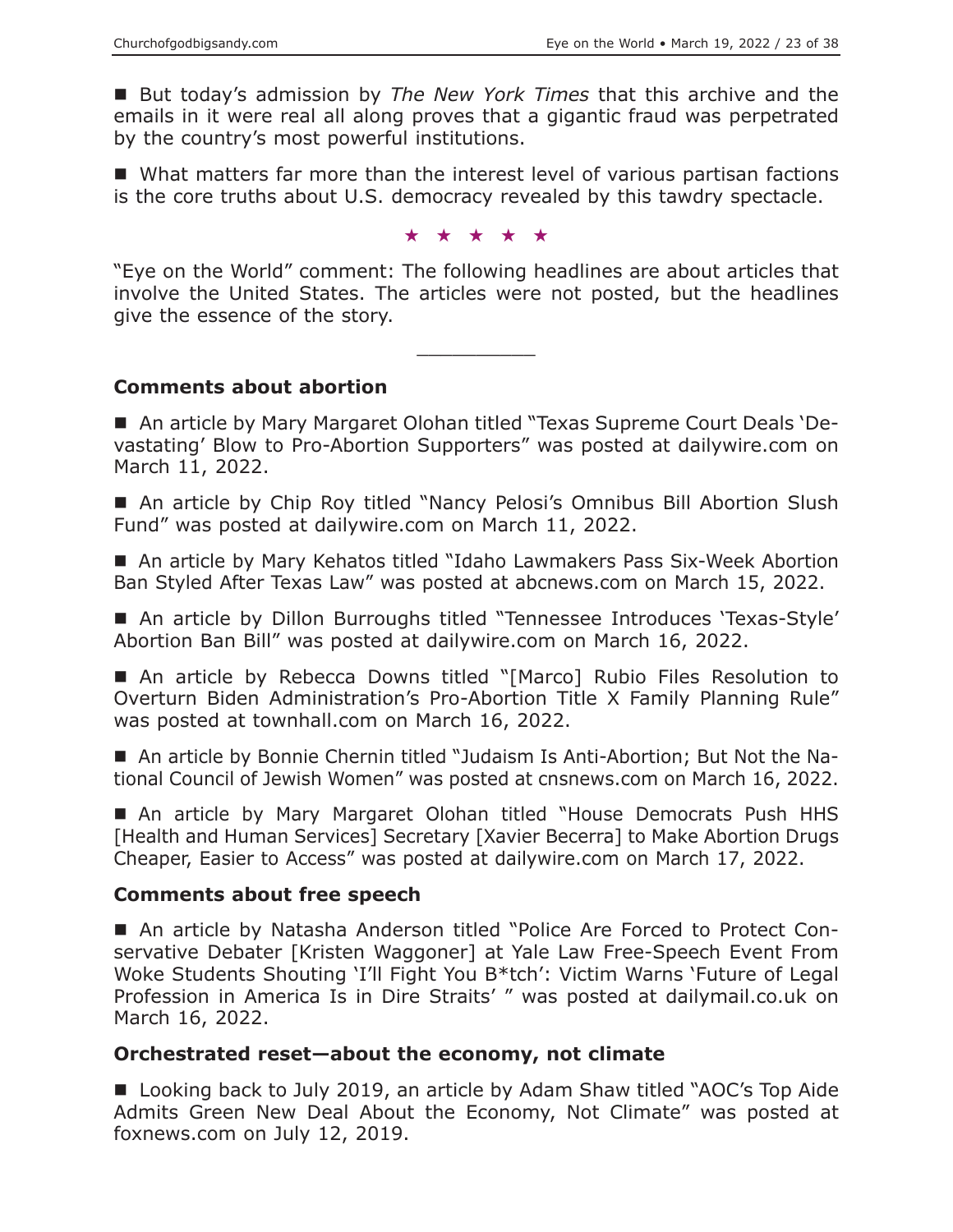■ But today's admission by *The New York Times* that this archive and the emails in it were real all along proves that a gigantic fraud was perpetrated by the country's most powerful institutions.

■ What matters far more than the interest level of various partisan factions is the core truths about U.S. democracy revealed by this tawdry spectacle.

★★★★★

"Eye on the World" comment: The following headlines are about articles that involve the United States. The articles were not posted, but the headlines give the essence of the story.

 $\overline{\phantom{a}}$  , where  $\overline{\phantom{a}}$ 

**Comments about abortion**

■ An article by Mary Margaret Olohan titled "Texas Supreme Court Deals 'Devastating' Blow to Pro-Abortion Supporters" was posted at dailywire.com on March 11, 2022.

■ An article by Chip Roy titled "Nancy Pelosi's Omnibus Bill Abortion Slush Fund" was posted at dailywire.com on March 11, 2022.

■ An article by Mary Kehatos titled "Idaho Lawmakers Pass Six-Week Abortion Ban Styled After Texas Law" was posted at abcnews.com on March 15, 2022.

■ An article by Dillon Burroughs titled "Tennessee Introduces 'Texas-Style' Abortion Ban Bill" was posted at dailywire.com on March 16, 2022.

 An article by Rebecca Downs titled "[Marco] Rubio Files Resolution to Overturn Biden Administration's Pro-Abortion Title X Family Planning Rule" was posted at townhall.com on March 16, 2022.

 An article by Bonnie Chernin titled "Judaism Is Anti-Abortion; But Not the National Council of Jewish Women" was posted at cnsnews.com on March 16, 2022.

 An article by Mary Margaret Olohan titled "House Democrats Push HHS [Health and Human Services] Secretary [Xavier Becerra] to Make Abortion Drugs Cheaper, Easier to Access" was posted at dailywire.com on March 17, 2022.

#### **Comments about free speech**

 An article by Natasha Anderson titled "Police Are Forced to Protect Conservative Debater [Kristen Waggoner] at Yale Law Free-Speech Event From Woke Students Shouting 'I'll Fight You B\*tch': Victim Warns 'Future of Legal Profession in America Is in Dire Straits' " was posted at dailymail.co.uk on March 16, 2022.

#### **Orchestrated reset—about the economy, not climate**

■ Looking back to July 2019, an article by Adam Shaw titled "AOC's Top Aide Admits Green New Deal About the Economy, Not Climate" was posted at foxnews.com on July 12, 2019.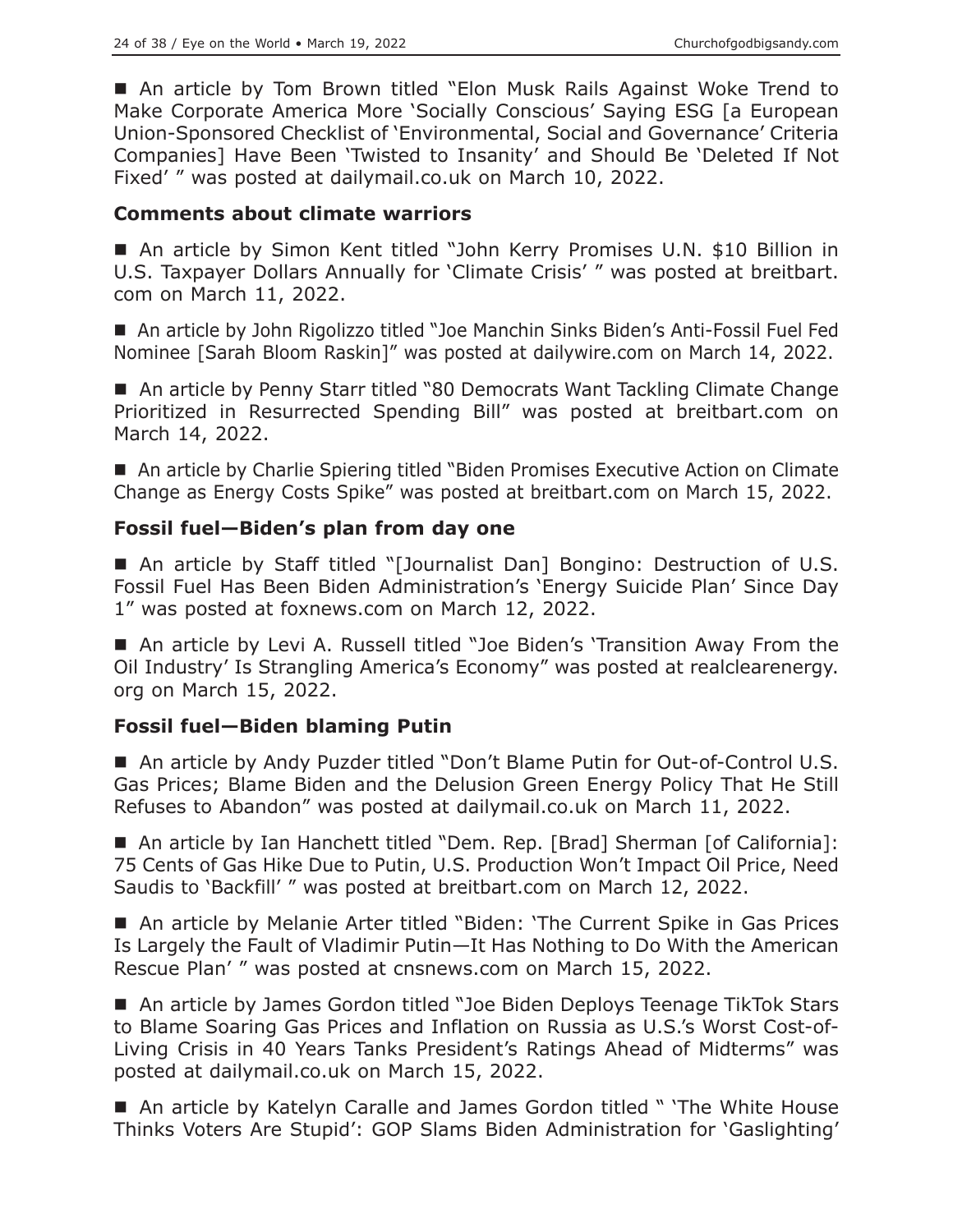■ An article by Tom Brown titled "Elon Musk Rails Against Woke Trend to Make Corporate America More 'Socially Conscious' Saying ESG [a European Union-Sponsored Checklist of 'Environmental, Social and Governance' Criteria Companies] Have Been 'Twisted to Insanity' and Should Be 'Deleted If Not Fixed' " was posted at dailymail.co.uk on March 10, 2022.

#### **Comments about climate warriors**

■ An article by Simon Kent titled "John Kerry Promises U.N. \$10 Billion in U.S. Taxpayer Dollars Annually for 'Climate Crisis' " was posted at breitbart. com on March 11, 2022.

■ An article by John Rigolizzo titled "Joe Manchin Sinks Biden's Anti-Fossil Fuel Fed Nominee [Sarah Bloom Raskin]" was posted at dailywire.com on March 14, 2022.

■ An article by Penny Starr titled "80 Democrats Want Tackling Climate Change Prioritized in Resurrected Spending Bill" was posted at breitbart.com on March 14, 2022.

■ An article by Charlie Spiering titled "Biden Promises Executive Action on Climate Change as Energy Costs Spike" was posted at breitbart.com on March 15, 2022.

#### **Fossil fuel—Biden's plan from day one**

■ An article by Staff titled "[Journalist Dan] Bongino: Destruction of U.S. Fossil Fuel Has Been Biden Administration's 'Energy Suicide Plan' Since Day 1" was posted at foxnews.com on March 12, 2022.

 An article by Levi A. Russell titled "Joe Biden's 'Transition Away From the Oil Industry' Is Strangling America's Economy" was posted at realclearenergy. org on March 15, 2022.

## **Fossil fuel—Biden blaming Putin**

■ An article by Andy Puzder titled "Don't Blame Putin for Out-of-Control U.S. Gas Prices; Blame Biden and the Delusion Green Energy Policy That He Still Refuses to Abandon" was posted at dailymail.co.uk on March 11, 2022.

■ An article by Ian Hanchett titled "Dem. Rep. [Brad] Sherman [of California]: 75 Cents of Gas Hike Due to Putin, U.S. Production Won't Impact Oil Price, Need Saudis to 'Backfill' " was posted at breitbart.com on March 12, 2022.

 An article by Melanie Arter titled "Biden: 'The Current Spike in Gas Prices Is Largely the Fault of Vladimir Putin—It Has Nothing to Do With the American Rescue Plan' " was posted at cnsnews.com on March 15, 2022.

■ An article by James Gordon titled "Joe Biden Deploys Teenage TikTok Stars to Blame Soaring Gas Prices and Inflation on Russia as U.S.'s Worst Cost-of-Living Crisis in 40 Years Tanks President's Ratings Ahead of Midterms" was posted at dailymail.co.uk on March 15, 2022.

■ An article by Katelyn Caralle and James Gordon titled " 'The White House Thinks Voters Are Stupid': GOP Slams Biden Administration for 'Gaslighting'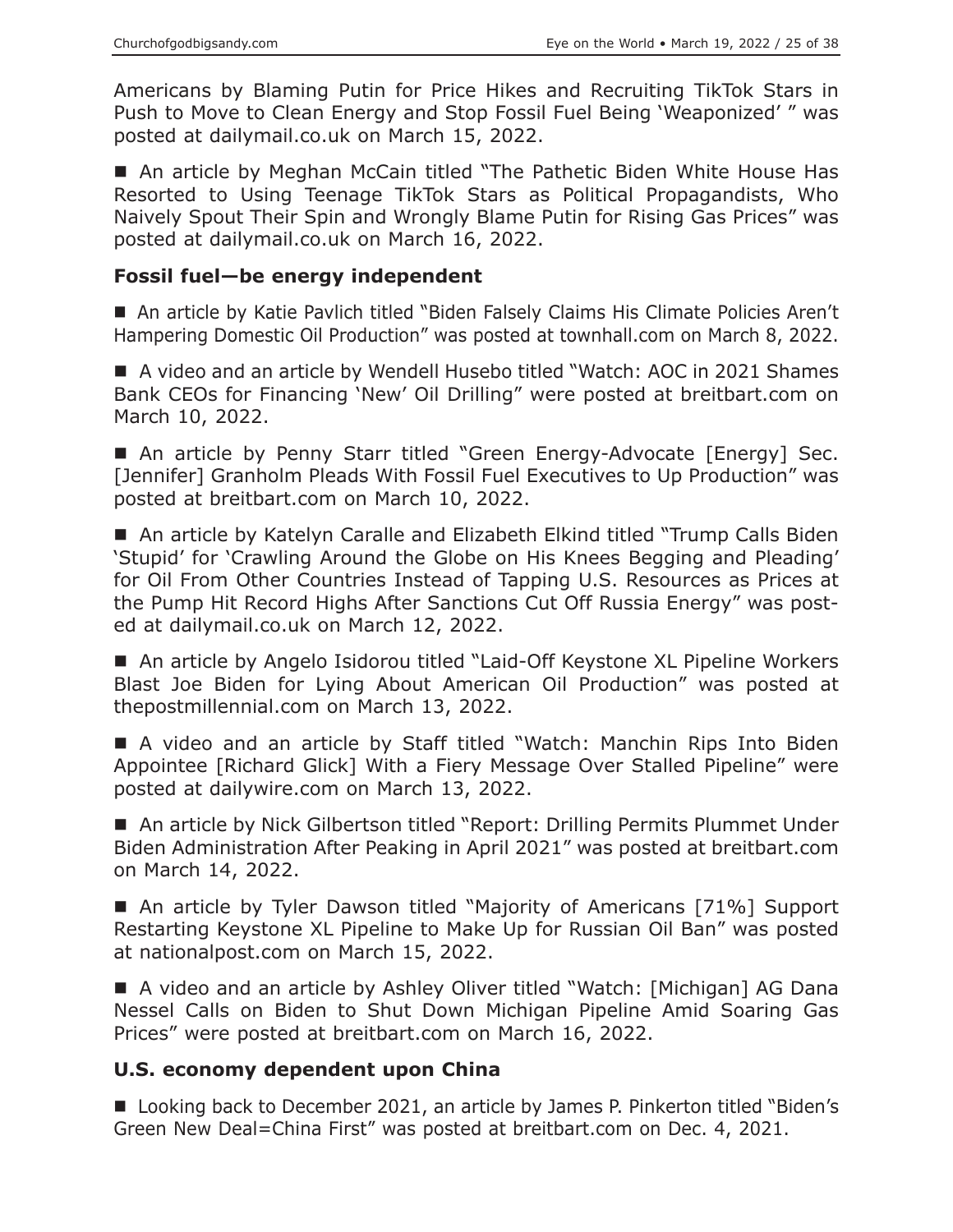Americans by Blaming Putin for Price Hikes and Recruiting TikTok Stars in Push to Move to Clean Energy and Stop Fossil Fuel Being 'Weaponized' " was posted at dailymail.co.uk on March 15, 2022.

■ An article by Meghan McCain titled "The Pathetic Biden White House Has Resorted to Using Teenage TikTok Stars as Political Propagandists, Who Naively Spout Their Spin and Wrongly Blame Putin for Rising Gas Prices" was posted at dailymail.co.uk on March 16, 2022.

## **Fossil fuel—be energy independent**

■ An article by Katie Pavlich titled "Biden Falsely Claims His Climate Policies Aren't Hampering Domestic Oil Production" was posted at townhall.com on March 8, 2022.

■ A video and an article by Wendell Husebo titled "Watch: AOC in 2021 Shames Bank CEOs for Financing 'New' Oil Drilling" were posted at breitbart.com on March 10, 2022.

■ An article by Penny Starr titled "Green Energy-Advocate [Energy] Sec. [Jennifer] Granholm Pleads With Fossil Fuel Executives to Up Production" was posted at breitbart.com on March 10, 2022.

■ An article by Katelyn Caralle and Elizabeth Elkind titled "Trump Calls Biden 'Stupid' for 'Crawling Around the Globe on His Knees Begging and Pleading' for Oil From Other Countries Instead of Tapping U.S. Resources as Prices at the Pump Hit Record Highs After Sanctions Cut Off Russia Energy" was posted at dailymail.co.uk on March 12, 2022.

■ An article by Angelo Isidorou titled "Laid-Off Keystone XL Pipeline Workers Blast Joe Biden for Lying About American Oil Production" was posted at thepostmillennial.com on March 13, 2022.

■ A video and an article by Staff titled "Watch: Manchin Rips Into Biden Appointee [Richard Glick] With a Fiery Message Over Stalled Pipeline" were posted at dailywire.com on March 13, 2022.

■ An article by Nick Gilbertson titled "Report: Drilling Permits Plummet Under Biden Administration After Peaking in April 2021" was posted at breitbart.com on March 14, 2022.

■ An article by Tyler Dawson titled "Majority of Americans [71%] Support Restarting Keystone XL Pipeline to Make Up for Russian Oil Ban" was posted at nationalpost.com on March 15, 2022.

■ A video and an article by Ashley Oliver titled "Watch: [Michigan] AG Dana Nessel Calls on Biden to Shut Down Michigan Pipeline Amid Soaring Gas Prices" were posted at breitbart.com on March 16, 2022.

# **U.S. economy dependent upon China**

■ Looking back to December 2021, an article by James P. Pinkerton titled "Biden's Green New Deal=China First" was posted at breitbart.com on Dec. 4, 2021.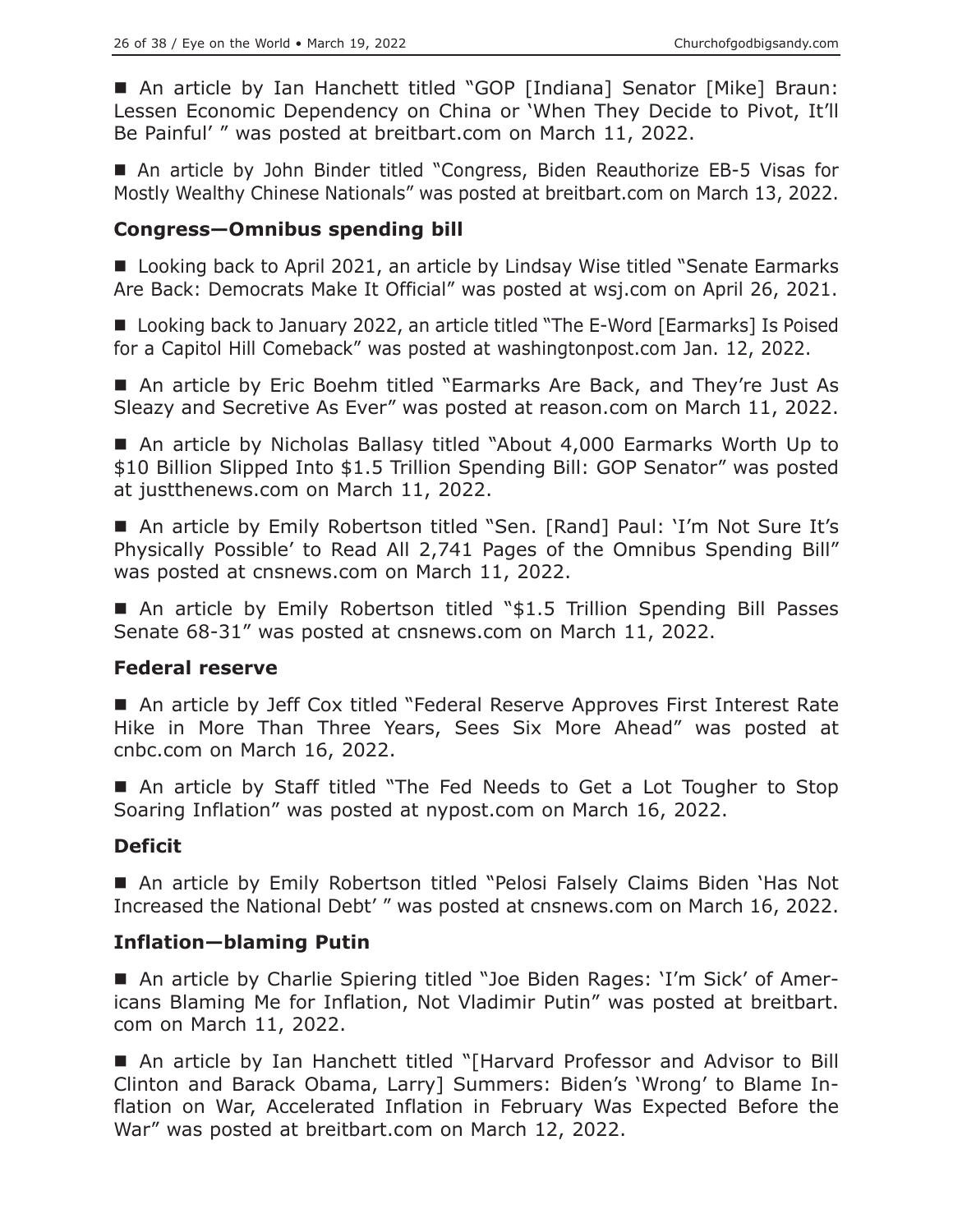An article by Ian Hanchett titled "GOP [Indiana] Senator [Mike] Braun: Lessen Economic Dependency on China or 'When They Decide to Pivot, It'll Be Painful' " was posted at breitbart.com on March 11, 2022.

■ An article by John Binder titled "Congress, Biden Reauthorize EB-5 Visas for Mostly Wealthy Chinese Nationals" was posted at breitbart.com on March 13, 2022.

## **Congress—Omnibus spending bill**

■ Looking back to April 2021, an article by Lindsay Wise titled "Senate Earmarks Are Back: Democrats Make It Official" was posted at wsj.com on April 26, 2021.

■ Looking back to January 2022, an article titled "The E-Word [Earmarks] Is Poised for a Capitol Hill Comeback" was posted at washingtonpost.com Jan. 12, 2022.

■ An article by Eric Boehm titled "Earmarks Are Back, and They're Just As Sleazy and Secretive As Ever" was posted at reason.com on March 11, 2022.

■ An article by Nicholas Ballasy titled "About 4,000 Earmarks Worth Up to \$10 Billion Slipped Into \$1.5 Trillion Spending Bill: GOP Senator" was posted at justthenews.com on March 11, 2022.

■ An article by Emily Robertson titled "Sen. [Rand] Paul: 'I'm Not Sure It's Physically Possible' to Read All 2,741 Pages of the Omnibus Spending Bill" was posted at cnsnews.com on March 11, 2022.

■ An article by Emily Robertson titled "\$1.5 Trillion Spending Bill Passes Senate 68-31" was posted at cnsnews.com on March 11, 2022.

## **Federal reserve**

■ An article by Jeff Cox titled "Federal Reserve Approves First Interest Rate Hike in More Than Three Years, Sees Six More Ahead" was posted at cnbc.com on March 16, 2022.

■ An article by Staff titled "The Fed Needs to Get a Lot Tougher to Stop Soaring Inflation" was posted at nypost.com on March 16, 2022.

# **Deficit**

 An article by Emily Robertson titled "Pelosi Falsely Claims Biden 'Has Not Increased the National Debt' " was posted at cnsnews.com on March 16, 2022.

## **Inflation—blaming Putin**

■ An article by Charlie Spiering titled "Joe Biden Rages: 'I'm Sick' of Americans Blaming Me for Inflation, Not Vladimir Putin" was posted at breitbart. com on March 11, 2022.

■ An article by Ian Hanchett titled "[Harvard Professor and Advisor to Bill Clinton and Barack Obama, Larry] Summers: Biden's 'Wrong' to Blame Inflation on War, Accelerated Inflation in February Was Expected Before the War" was posted at breitbart.com on March 12, 2022.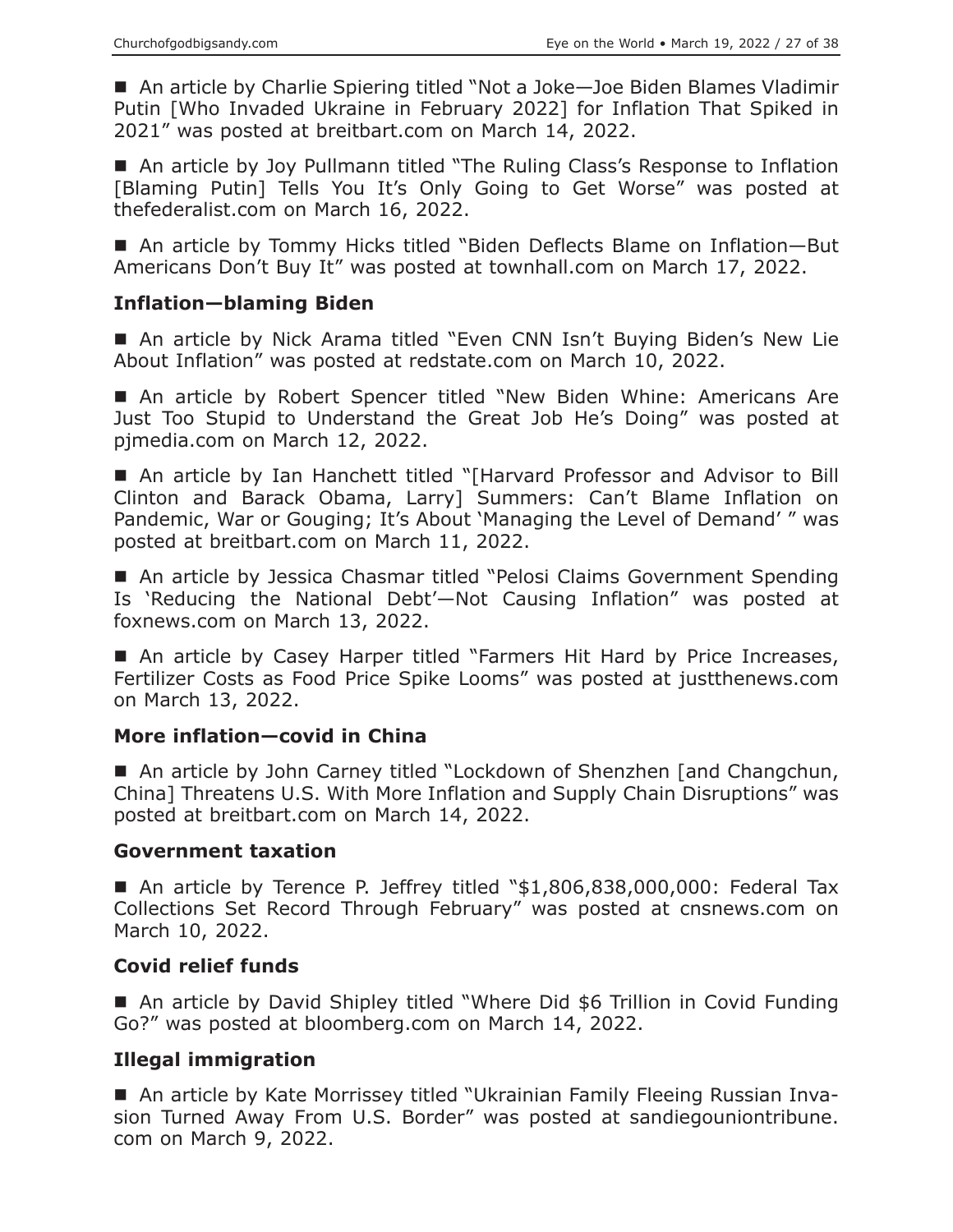■ An article by Charlie Spiering titled "Not a Joke-Joe Biden Blames Vladimir Putin [Who Invaded Ukraine in February 2022] for Inflation That Spiked in 2021" was posted at breitbart.com on March 14, 2022.

■ An article by Joy Pullmann titled "The Ruling Class's Response to Inflation [Blaming Putin] Tells You It's Only Going to Get Worse" was posted at thefederalist.com on March 16, 2022.

■ An article by Tommy Hicks titled "Biden Deflects Blame on Inflation-But Americans Don't Buy It" was posted at townhall.com on March 17, 2022.

## **Inflation—blaming Biden**

■ An article by Nick Arama titled "Even CNN Isn't Buying Biden's New Lie About Inflation" was posted at redstate.com on March 10, 2022.

 An article by Robert Spencer titled "New Biden Whine: Americans Are Just Too Stupid to Understand the Great Job He's Doing" was posted at pjmedia.com on March 12, 2022.

■ An article by Ian Hanchett titled "[Harvard Professor and Advisor to Bill Clinton and Barack Obama, Larry] Summers: Can't Blame Inflation on Pandemic, War or Gouging; It's About 'Managing the Level of Demand' " was posted at breitbart.com on March 11, 2022.

■ An article by Jessica Chasmar titled "Pelosi Claims Government Spending Is 'Reducing the National Debt'—Not Causing Inflation" was posted at foxnews.com on March 13, 2022.

■ An article by Casey Harper titled "Farmers Hit Hard by Price Increases, Fertilizer Costs as Food Price Spike Looms" was posted at justthenews.com on March 13, 2022.

#### **More inflation—covid in China**

■ An article by John Carney titled "Lockdown of Shenzhen [and Changchun, China] Threatens U.S. With More Inflation and Supply Chain Disruptions" was posted at breitbart.com on March 14, 2022.

## **Government taxation**

■ An article by Terence P. Jeffrey titled "\$1,806,838,000,000: Federal Tax Collections Set Record Through February" was posted at cnsnews.com on March 10, 2022.

## **Covid relief funds**

■ An article by David Shipley titled "Where Did \$6 Trillion in Covid Funding Go?" was posted at bloomberg.com on March 14, 2022.

## **Illegal immigration**

 An article by Kate Morrissey titled "Ukrainian Family Fleeing Russian Invasion Turned Away From U.S. Border" was posted at sandiegouniontribune. com on March 9, 2022.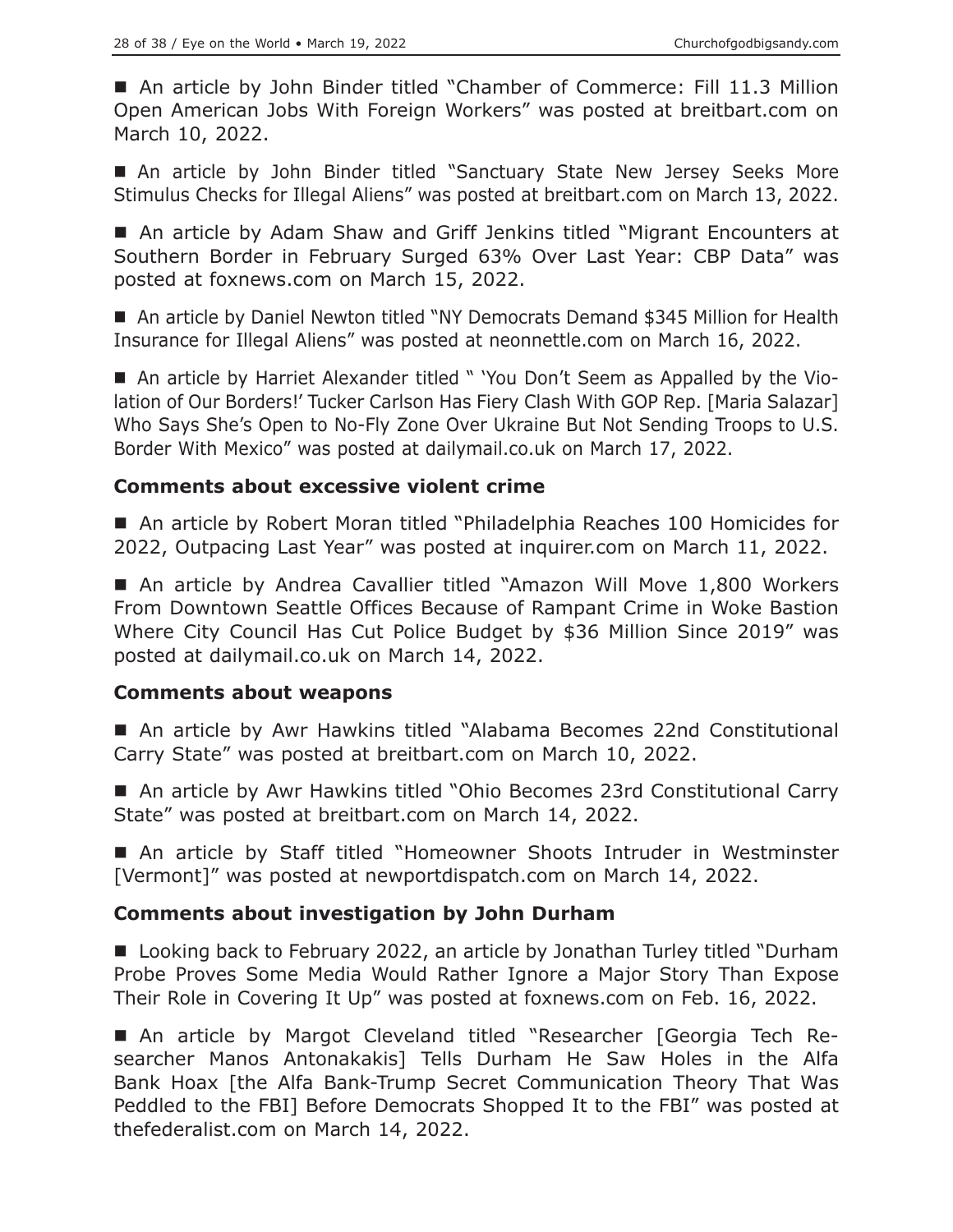■ An article by John Binder titled "Chamber of Commerce: Fill 11.3 Million Open American Jobs With Foreign Workers" was posted at breitbart.com on March 10, 2022.

■ An article by John Binder titled "Sanctuary State New Jersey Seeks More Stimulus Checks for Illegal Aliens" was posted at breitbart.com on March 13, 2022.

■ An article by Adam Shaw and Griff Jenkins titled "Migrant Encounters at Southern Border in February Surged 63% Over Last Year: CBP Data" was posted at foxnews.com on March 15, 2022.

■ An article by Daniel Newton titled "NY Democrats Demand \$345 Million for Health Insurance for Illegal Aliens" was posted at neonnettle.com on March 16, 2022.

 An article by Harriet Alexander titled " 'You Don't Seem as Appalled by the Violation of Our Borders!' Tucker Carlson Has Fiery Clash With GOP Rep. [Maria Salazar] Who Says She's Open to No-Fly Zone Over Ukraine But Not Sending Troops to U.S. Border With Mexico" was posted at dailymail.co.uk on March 17, 2022.

## **Comments about excessive violent crime**

■ An article by Robert Moran titled "Philadelphia Reaches 100 Homicides for 2022, Outpacing Last Year" was posted at inquirer.com on March 11, 2022.

■ An article by Andrea Cavallier titled "Amazon Will Move 1,800 Workers From Downtown Seattle Offices Because of Rampant Crime in Woke Bastion Where City Council Has Cut Police Budget by \$36 Million Since 2019" was posted at dailymail.co.uk on March 14, 2022.

#### **Comments about weapons**

 An article by Awr Hawkins titled "Alabama Becomes 22nd Constitutional Carry State" was posted at breitbart.com on March 10, 2022.

■ An article by Awr Hawkins titled "Ohio Becomes 23rd Constitutional Carry State" was posted at breitbart.com on March 14, 2022.

■ An article by Staff titled "Homeowner Shoots Intruder in Westminster [Vermont]" was posted at newportdispatch.com on March 14, 2022.

## **Comments about investigation by John Durham**

■ Looking back to February 2022, an article by Jonathan Turley titled "Durham Probe Proves Some Media Would Rather Ignore a Major Story Than Expose Their Role in Covering It Up" was posted at foxnews.com on Feb. 16, 2022.

 An article by Margot Cleveland titled "Researcher [Georgia Tech Researcher Manos Antonakakis] Tells Durham He Saw Holes in the Alfa Bank Hoax [the Alfa Bank-Trump Secret Communication Theory That Was Peddled to the FBI] Before Democrats Shopped It to the FBI" was posted at thefederalist.com on March 14, 2022.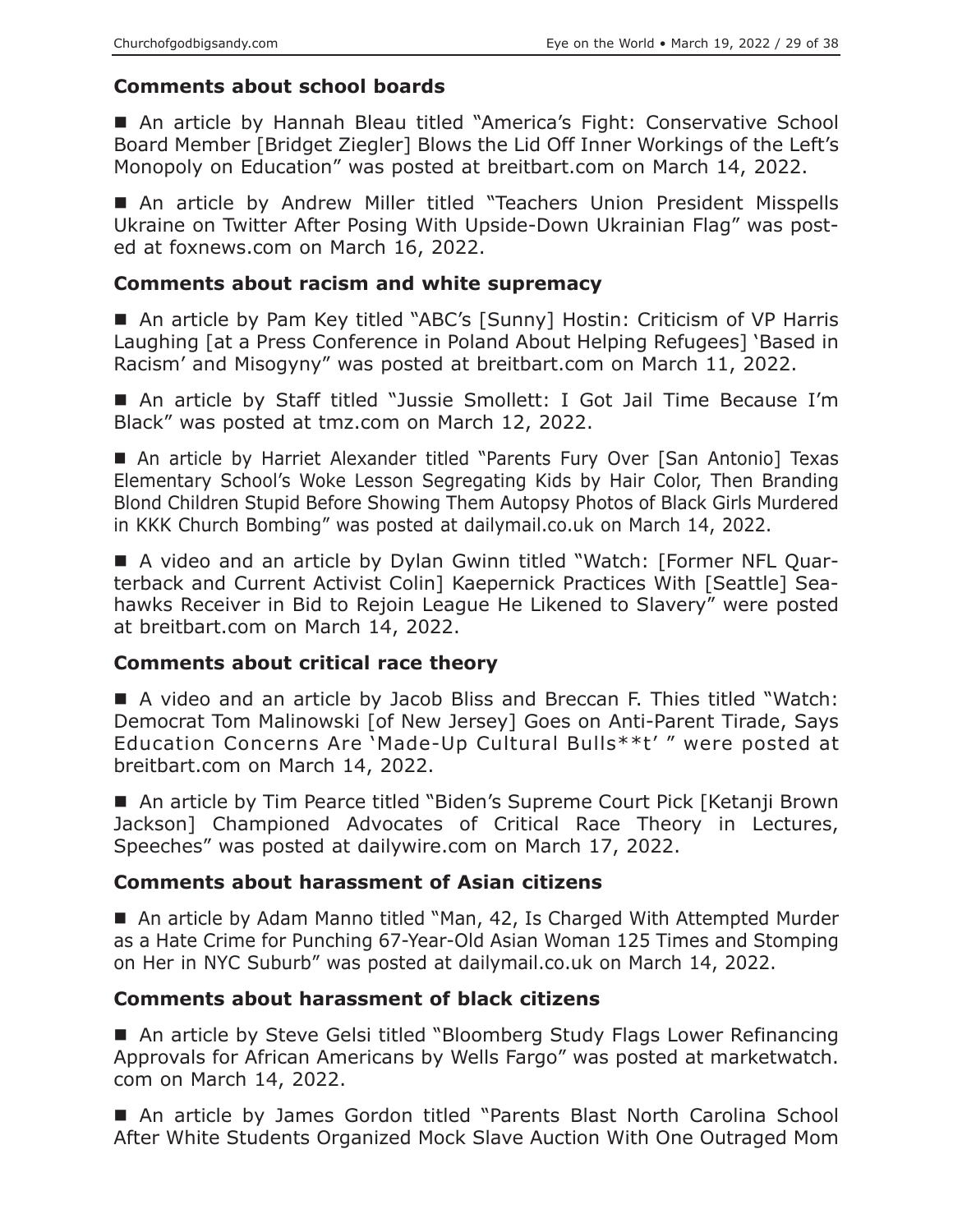# **Comments about school boards**

■ An article by Hannah Bleau titled "America's Fight: Conservative School Board Member [Bridget Ziegler] Blows the Lid Off Inner Workings of the Left's Monopoly on Education" was posted at breitbart.com on March 14, 2022.

■ An article by Andrew Miller titled "Teachers Union President Misspells Ukraine on Twitter After Posing With Upside-Down Ukrainian Flag" was posted at foxnews.com on March 16, 2022.

## **Comments about racism and white supremacy**

■ An article by Pam Key titled "ABC's [Sunny] Hostin: Criticism of VP Harris Laughing [at a Press Conference in Poland About Helping Refugees] 'Based in Racism' and Misogyny" was posted at breitbart.com on March 11, 2022.

 An article by Staff titled "Jussie Smollett: I Got Jail Time Because I'm Black" was posted at tmz.com on March 12, 2022.

 An article by Harriet Alexander titled "Parents Fury Over [San Antonio] Texas Elementary School's Woke Lesson Segregating Kids by Hair Color, Then Branding Blond Children Stupid Before Showing Them Autopsy Photos of Black Girls Murdered in KKK Church Bombing" was posted at dailymail.co.uk on March 14, 2022.

 A video and an article by Dylan Gwinn titled "Watch: [Former NFL Quarterback and Current Activist Colin] Kaepernick Practices With [Seattle] Seahawks Receiver in Bid to Rejoin League He Likened to Slavery" were posted at breitbart.com on March 14, 2022.

## **Comments about critical race theory**

■ A video and an article by Jacob Bliss and Breccan F. Thies titled "Watch: Democrat Tom Malinowski [of New Jersey] Goes on Anti-Parent Tirade, Says Education Concerns Are 'Made-Up Cultural Bulls\*\*t' " were posted at breitbart.com on March 14, 2022.

■ An article by Tim Pearce titled "Biden's Supreme Court Pick [Ketanji Brown Jackson] Championed Advocates of Critical Race Theory in Lectures, Speeches" was posted at dailywire.com on March 17, 2022.

## **Comments about harassment of Asian citizens**

■ An article by Adam Manno titled "Man, 42, Is Charged With Attempted Murder as a Hate Crime for Punching 67-Year-Old Asian Woman 125 Times and Stomping on Her in NYC Suburb" was posted at dailymail.co.uk on March 14, 2022.

## **Comments about harassment of black citizens**

■ An article by Steve Gelsi titled "Bloomberg Study Flags Lower Refinancing Approvals for African Americans by Wells Fargo" was posted at marketwatch. com on March 14, 2022.

 An article by James Gordon titled "Parents Blast North Carolina School After White Students Organized Mock Slave Auction With One Outraged Mom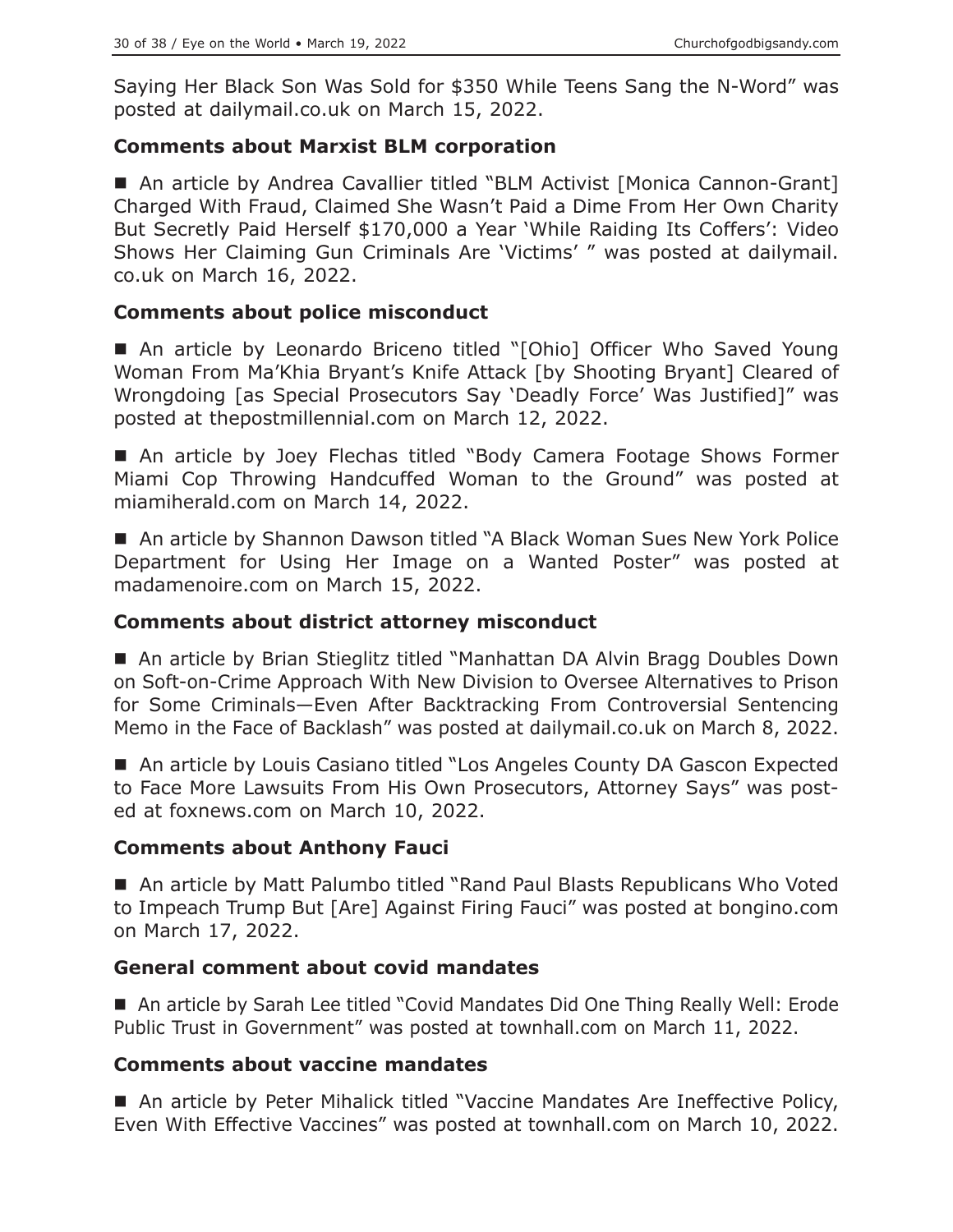Saying Her Black Son Was Sold for \$350 While Teens Sang the N-Word" was posted at dailymail.co.uk on March 15, 2022.

## **Comments about Marxist BLM corporation**

■ An article by Andrea Cavallier titled "BLM Activist [Monica Cannon-Grant] Charged With Fraud, Claimed She Wasn't Paid a Dime From Her Own Charity But Secretly Paid Herself \$170,000 a Year 'While Raiding Its Coffers': Video Shows Her Claiming Gun Criminals Are 'Victims' " was posted at dailymail. co.uk on March 16, 2022.

## **Comments about police misconduct**

■ An article by Leonardo Briceno titled "[Ohio] Officer Who Saved Young Woman From Ma'Khia Bryant's Knife Attack [by Shooting Bryant] Cleared of Wrongdoing [as Special Prosecutors Say 'Deadly Force' Was Justified]" was posted at thepostmillennial.com on March 12, 2022.

■ An article by Joey Flechas titled "Body Camera Footage Shows Former Miami Cop Throwing Handcuffed Woman to the Ground" was posted at miamiherald.com on March 14, 2022.

■ An article by Shannon Dawson titled "A Black Woman Sues New York Police Department for Using Her Image on a Wanted Poster" was posted at madamenoire.com on March 15, 2022.

## **Comments about district attorney misconduct**

■ An article by Brian Stieglitz titled "Manhattan DA Alvin Bragg Doubles Down on Soft-on-Crime Approach With New Division to Oversee Alternatives to Prison for Some Criminals—Even After Backtracking From Controversial Sentencing Memo in the Face of Backlash" was posted at dailymail.co.uk on March 8, 2022.

■ An article by Louis Casiano titled "Los Angeles County DA Gascon Expected to Face More Lawsuits From His Own Prosecutors, Attorney Says" was posted at foxnews.com on March 10, 2022.

## **Comments about Anthony Fauci**

■ An article by Matt Palumbo titled "Rand Paul Blasts Republicans Who Voted to Impeach Trump But [Are] Against Firing Fauci" was posted at bongino.com on March 17, 2022.

## **General comment about covid mandates**

■ An article by Sarah Lee titled "Covid Mandates Did One Thing Really Well: Erode Public Trust in Government" was posted at townhall.com on March 11, 2022.

## **Comments about vaccine mandates**

 An article by Peter Mihalick titled "Vaccine Mandates Are Ineffective Policy, Even With Effective Vaccines" was posted at townhall.com on March 10, 2022.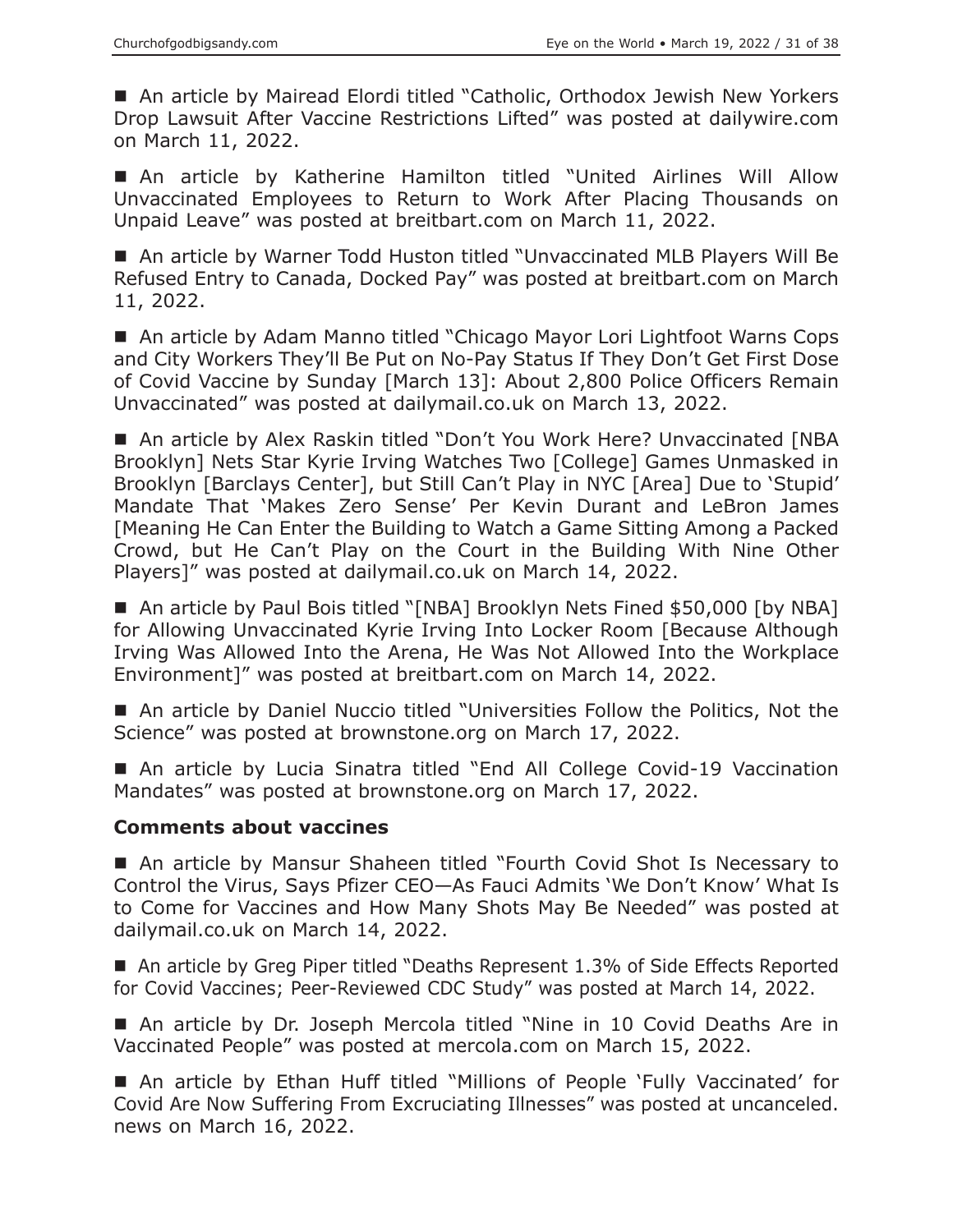■ An article by Mairead Elordi titled "Catholic, Orthodox Jewish New Yorkers Drop Lawsuit After Vaccine Restrictions Lifted" was posted at dailywire.com on March 11, 2022.

 An article by Katherine Hamilton titled "United Airlines Will Allow Unvaccinated Employees to Return to Work After Placing Thousands on Unpaid Leave" was posted at breitbart.com on March 11, 2022.

■ An article by Warner Todd Huston titled "Unvaccinated MLB Players Will Be Refused Entry to Canada, Docked Pay" was posted at breitbart.com on March 11, 2022.

■ An article by Adam Manno titled "Chicago Mayor Lori Lightfoot Warns Cops and City Workers They'll Be Put on No-Pay Status If They Don't Get First Dose of Covid Vaccine by Sunday [March 13]: About 2,800 Police Officers Remain Unvaccinated" was posted at dailymail.co.uk on March 13, 2022.

■ An article by Alex Raskin titled "Don't You Work Here? Unvaccinated [NBA Brooklyn] Nets Star Kyrie Irving Watches Two [College] Games Unmasked in Brooklyn [Barclays Center], but Still Can't Play in NYC [Area] Due to 'Stupid' Mandate That 'Makes Zero Sense' Per Kevin Durant and LeBron James [Meaning He Can Enter the Building to Watch a Game Sitting Among a Packed Crowd, but He Can't Play on the Court in the Building With Nine Other Players]" was posted at dailymail.co.uk on March 14, 2022.

■ An article by Paul Bois titled "[NBA] Brooklyn Nets Fined \$50,000 [by NBA] for Allowing Unvaccinated Kyrie Irving Into Locker Room [Because Although Irving Was Allowed Into the Arena, He Was Not Allowed Into the Workplace Environment]" was posted at breitbart.com on March 14, 2022.

 An article by Daniel Nuccio titled "Universities Follow the Politics, Not the Science" was posted at brownstone.org on March 17, 2022.

■ An article by Lucia Sinatra titled "End All College Covid-19 Vaccination Mandates" was posted at brownstone.org on March 17, 2022.

#### **Comments about vaccines**

■ An article by Mansur Shaheen titled "Fourth Covid Shot Is Necessary to Control the Virus, Says Pfizer CEO—As Fauci Admits 'We Don't Know' What Is to Come for Vaccines and How Many Shots May Be Needed" was posted at dailymail.co.uk on March 14, 2022.

■ An article by Greg Piper titled "Deaths Represent 1.3% of Side Effects Reported for Covid Vaccines; Peer-Reviewed CDC Study" was posted at March 14, 2022.

■ An article by Dr. Joseph Mercola titled "Nine in 10 Covid Deaths Are in Vaccinated People" was posted at mercola.com on March 15, 2022.

 An article by Ethan Huff titled "Millions of People 'Fully Vaccinated' for Covid Are Now Suffering From Excruciating Illnesses" was posted at uncanceled. news on March 16, 2022.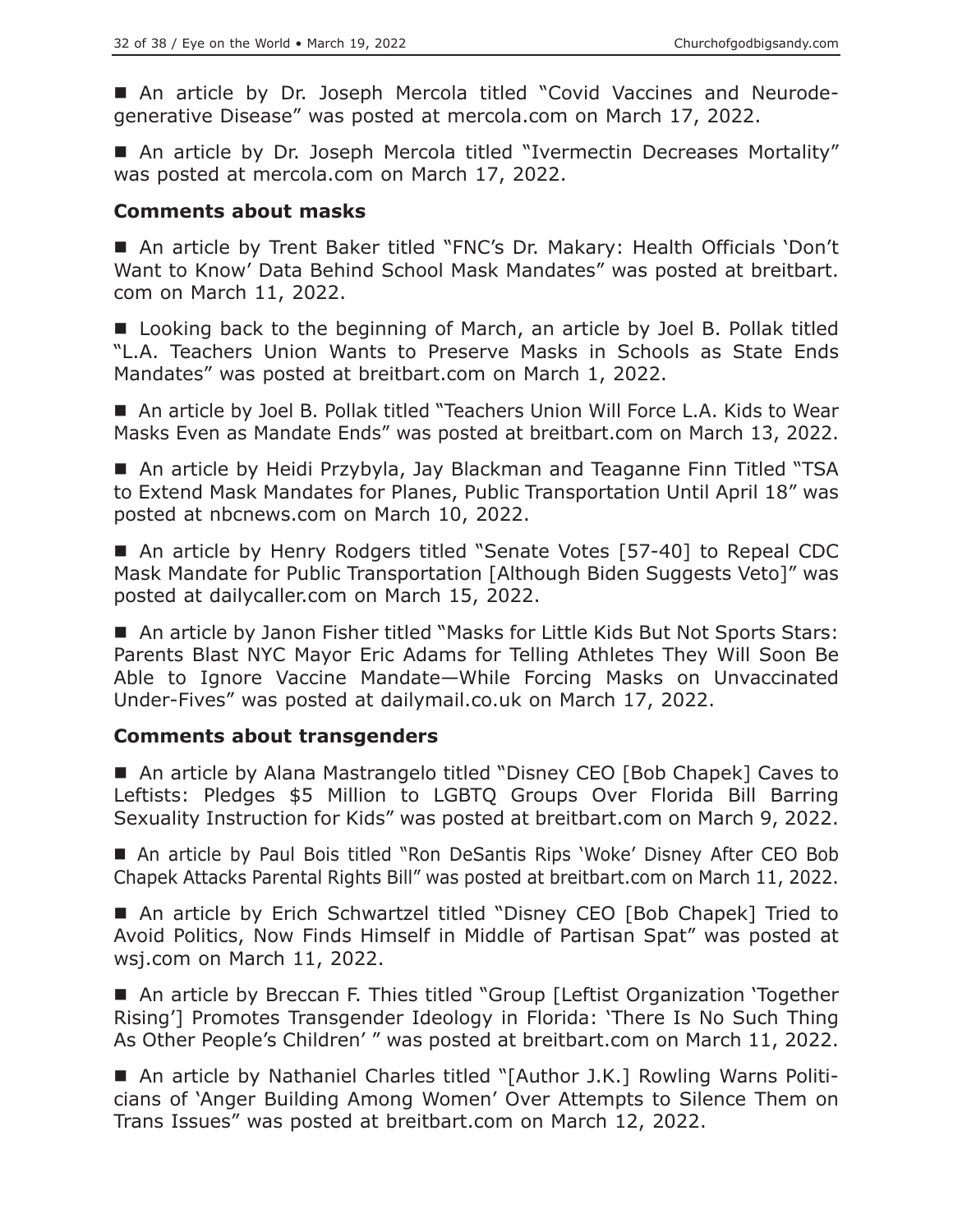An article by Dr. Joseph Mercola titled "Covid Vaccines and Neurodegenerative Disease" was posted at mercola.com on March 17, 2022.

■ An article by Dr. Joseph Mercola titled "Ivermectin Decreases Mortality" was posted at mercola.com on March 17, 2022.

#### **Comments about masks**

■ An article by Trent Baker titled "FNC's Dr. Makary: Health Officials 'Don't Want to Know' Data Behind School Mask Mandates" was posted at breitbart. com on March 11, 2022.

■ Looking back to the beginning of March, an article by Joel B. Pollak titled "L.A. Teachers Union Wants to Preserve Masks in Schools as State Ends Mandates" was posted at breitbart.com on March 1, 2022.

■ An article by Joel B. Pollak titled "Teachers Union Will Force L.A. Kids to Wear Masks Even as Mandate Ends" was posted at breitbart.com on March 13, 2022.

■ An article by Heidi Przybyla, Jay Blackman and Teaganne Finn Titled "TSA to Extend Mask Mandates for Planes, Public Transportation Until April 18" was posted at nbcnews.com on March 10, 2022.

■ An article by Henry Rodgers titled "Senate Votes [57-40] to Repeal CDC Mask Mandate for Public Transportation [Although Biden Suggests Veto]" was posted at dailycaller.com on March 15, 2022.

■ An article by Janon Fisher titled "Masks for Little Kids But Not Sports Stars: Parents Blast NYC Mayor Eric Adams for Telling Athletes They Will Soon Be Able to Ignore Vaccine Mandate—While Forcing Masks on Unvaccinated Under-Fives" was posted at dailymail.co.uk on March 17, 2022.

## **Comments about transgenders**

■ An article by Alana Mastrangelo titled "Disney CEO [Bob Chapek] Caves to Leftists: Pledges \$5 Million to LGBTQ Groups Over Florida Bill Barring Sexuality Instruction for Kids" was posted at breitbart.com on March 9, 2022.

 An article by Paul Bois titled "Ron DeSantis Rips 'Woke' Disney After CEO Bob Chapek Attacks Parental Rights Bill" was posted at breitbart.com on March 11, 2022.

 An article by Erich Schwartzel titled "Disney CEO [Bob Chapek] Tried to Avoid Politics, Now Finds Himself in Middle of Partisan Spat" was posted at wsj.com on March 11, 2022.

■ An article by Breccan F. Thies titled "Group [Leftist Organization 'Together Rising'] Promotes Transgender Ideology in Florida: 'There Is No Such Thing As Other People's Children' " was posted at breitbart.com on March 11, 2022.

 An article by Nathaniel Charles titled "[Author J.K.] Rowling Warns Politicians of 'Anger Building Among Women' Over Attempts to Silence Them on Trans Issues" was posted at breitbart.com on March 12, 2022.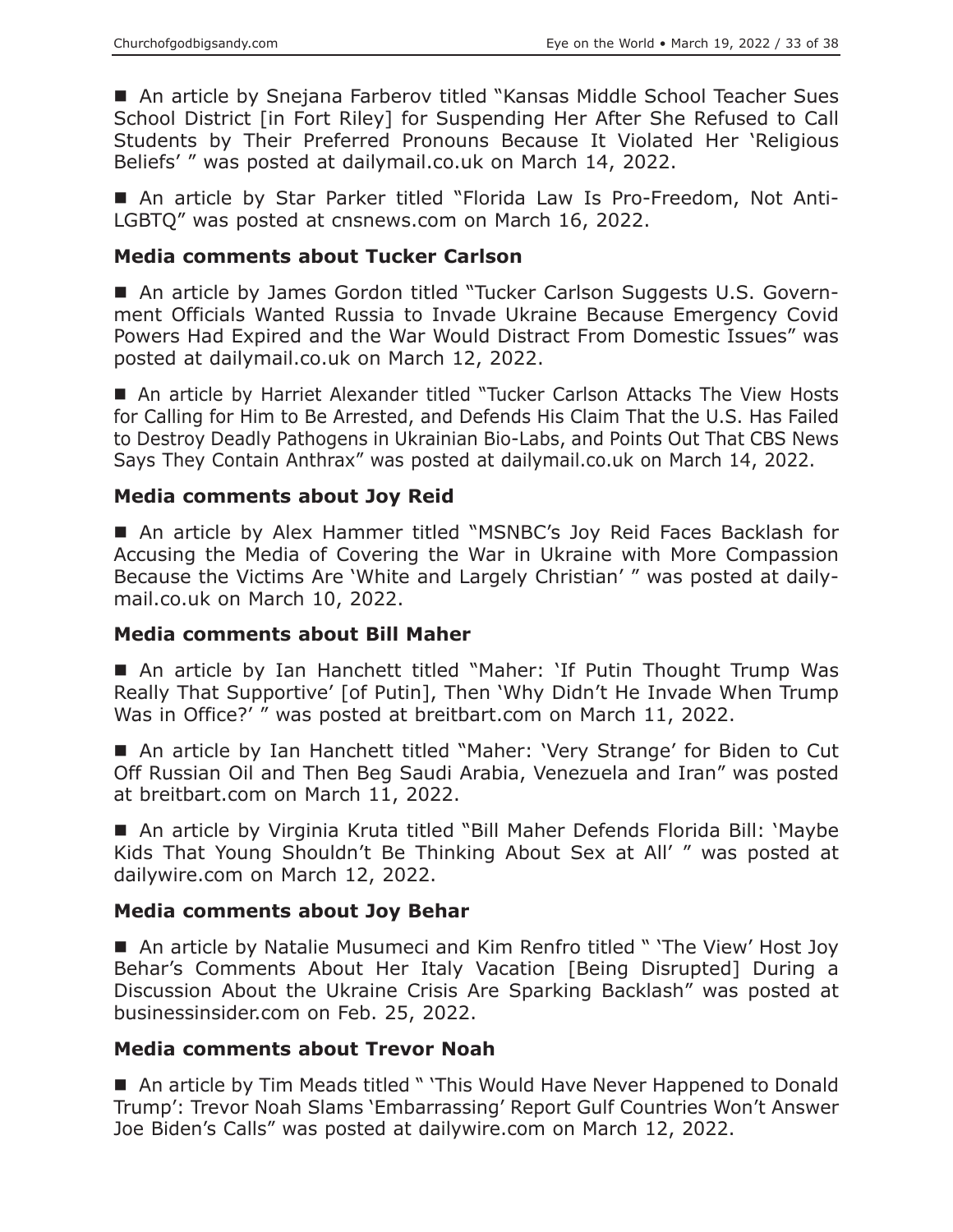■ An article by Snejana Farberov titled "Kansas Middle School Teacher Sues School District [in Fort Riley] for Suspending Her After She Refused to Call Students by Their Preferred Pronouns Because It Violated Her 'Religious Beliefs' " was posted at dailymail.co.uk on March 14, 2022.

 An article by Star Parker titled "Florida Law Is Pro-Freedom, Not Anti-LGBTQ" was posted at cnsnews.com on March 16, 2022.

#### **Media comments about Tucker Carlson**

■ An article by James Gordon titled "Tucker Carlson Suggests U.S. Government Officials Wanted Russia to Invade Ukraine Because Emergency Covid Powers Had Expired and the War Would Distract From Domestic Issues" was posted at dailymail.co.uk on March 12, 2022.

■ An article by Harriet Alexander titled "Tucker Carlson Attacks The View Hosts for Calling for Him to Be Arrested, and Defends His Claim That the U.S. Has Failed to Destroy Deadly Pathogens in Ukrainian Bio-Labs, and Points Out That CBS News Says They Contain Anthrax" was posted at dailymail.co.uk on March 14, 2022.

#### **Media comments about Joy Reid**

■ An article by Alex Hammer titled "MSNBC's Joy Reid Faces Backlash for Accusing the Media of Covering the War in Ukraine with More Compassion Because the Victims Are 'White and Largely Christian' " was posted at dailymail.co.uk on March 10, 2022.

#### **Media comments about Bill Maher**

 An article by Ian Hanchett titled "Maher: 'If Putin Thought Trump Was Really That Supportive' [of Putin], Then 'Why Didn't He Invade When Trump Was in Office?' " was posted at breitbart.com on March 11, 2022.

■ An article by Ian Hanchett titled "Maher: 'Very Strange' for Biden to Cut Off Russian Oil and Then Beg Saudi Arabia, Venezuela and Iran" was posted at breitbart.com on March 11, 2022.

 An article by Virginia Kruta titled "Bill Maher Defends Florida Bill: 'Maybe Kids That Young Shouldn't Be Thinking About Sex at All' " was posted at dailywire.com on March 12, 2022.

#### **Media comments about Joy Behar**

■ An article by Natalie Musumeci and Kim Renfro titled " 'The View' Host Joy Behar's Comments About Her Italy Vacation [Being Disrupted] During a Discussion About the Ukraine Crisis Are Sparking Backlash" was posted at businessinsider.com on Feb. 25, 2022.

#### **Media comments about Trevor Noah**

■ An article by Tim Meads titled " 'This Would Have Never Happened to Donald Trump': Trevor Noah Slams 'Embarrassing' Report Gulf Countries Won't Answer Joe Biden's Calls" was posted at dailywire.com on March 12, 2022.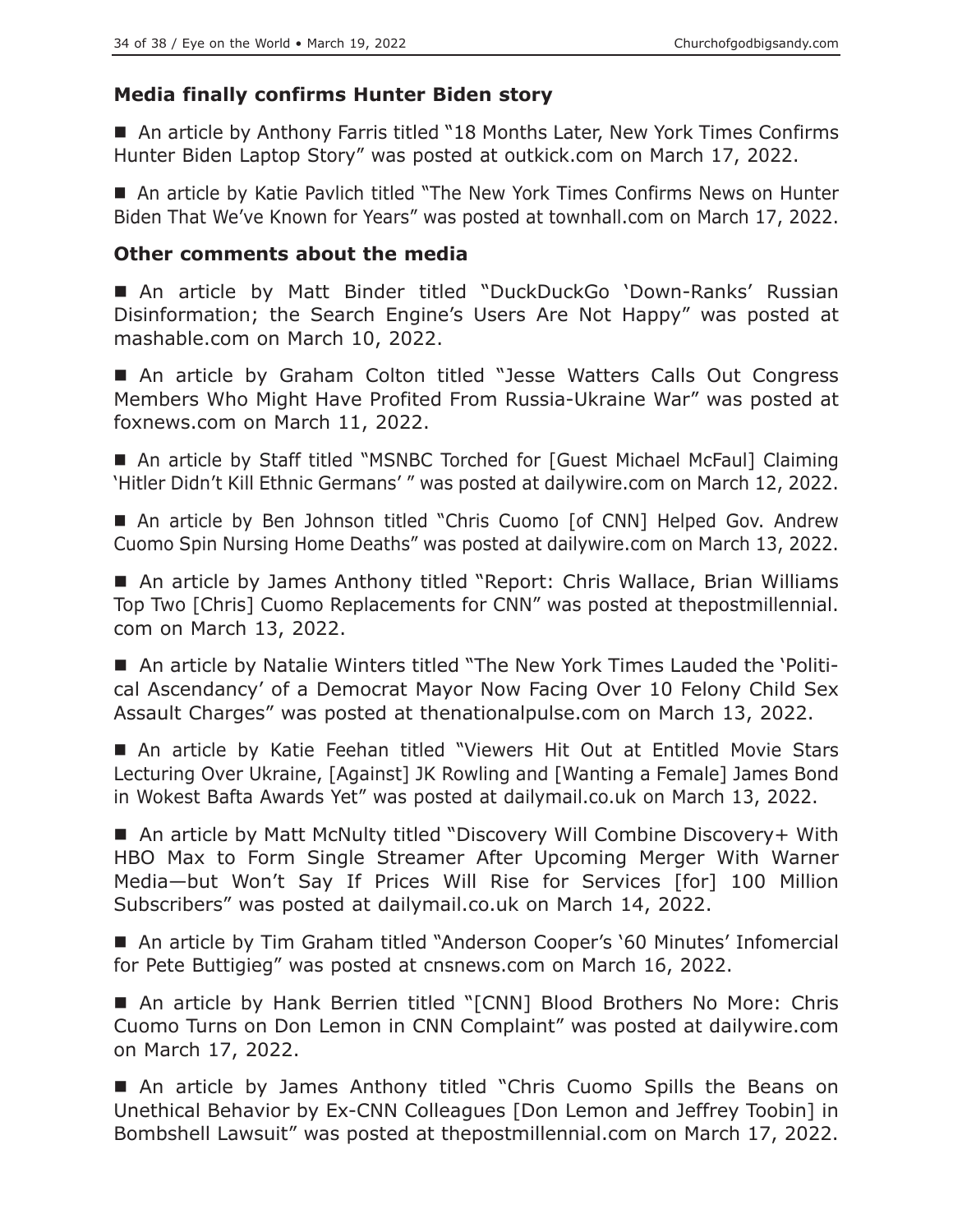## **Media finally confirms Hunter Biden story**

■ An article by Anthony Farris titled "18 Months Later, New York Times Confirms Hunter Biden Laptop Story" was posted at outkick.com on March 17, 2022.

■ An article by Katie Pavlich titled "The New York Times Confirms News on Hunter Biden That We've Known for Years" was posted at townhall.com on March 17, 2022.

## **Other comments about the media**

 An article by Matt Binder titled "DuckDuckGo 'Down-Ranks' Russian Disinformation; the Search Engine's Users Are Not Happy" was posted at mashable.com on March 10, 2022.

■ An article by Graham Colton titled "Jesse Watters Calls Out Congress Members Who Might Have Profited From Russia-Ukraine War" was posted at foxnews.com on March 11, 2022.

■ An article by Staff titled "MSNBC Torched for [Guest Michael McFaul] Claiming 'Hitler Didn't Kill Ethnic Germans' " was posted at dailywire.com on March 12, 2022.

 An article by Ben Johnson titled "Chris Cuomo [of CNN] Helped Gov. Andrew Cuomo Spin Nursing Home Deaths" was posted at dailywire.com on March 13, 2022.

■ An article by James Anthony titled "Report: Chris Wallace, Brian Williams Top Two [Chris] Cuomo Replacements for CNN" was posted at thepostmillennial. com on March 13, 2022.

 An article by Natalie Winters titled "The New York Times Lauded the 'Political Ascendancy' of a Democrat Mayor Now Facing Over 10 Felony Child Sex Assault Charges" was posted at thenationalpulse.com on March 13, 2022.

 An article by Katie Feehan titled "Viewers Hit Out at Entitled Movie Stars Lecturing Over Ukraine, [Against] JK Rowling and [Wanting a Female] James Bond in Wokest Bafta Awards Yet" was posted at dailymail.co.uk on March 13, 2022.

■ An article by Matt McNulty titled "Discovery Will Combine Discovery+ With HBO Max to Form Single Streamer After Upcoming Merger With Warner Media—but Won't Say If Prices Will Rise for Services [for] 100 Million Subscribers" was posted at dailymail.co.uk on March 14, 2022.

■ An article by Tim Graham titled "Anderson Cooper's '60 Minutes' Infomercial for Pete Buttigieg" was posted at cnsnews.com on March 16, 2022.

■ An article by Hank Berrien titled "[CNN] Blood Brothers No More: Chris Cuomo Turns on Don Lemon in CNN Complaint" was posted at dailywire.com on March 17, 2022.

■ An article by James Anthony titled "Chris Cuomo Spills the Beans on Unethical Behavior by Ex-CNN Colleagues [Don Lemon and Jeffrey Toobin] in Bombshell Lawsuit" was posted at thepostmillennial.com on March 17, 2022.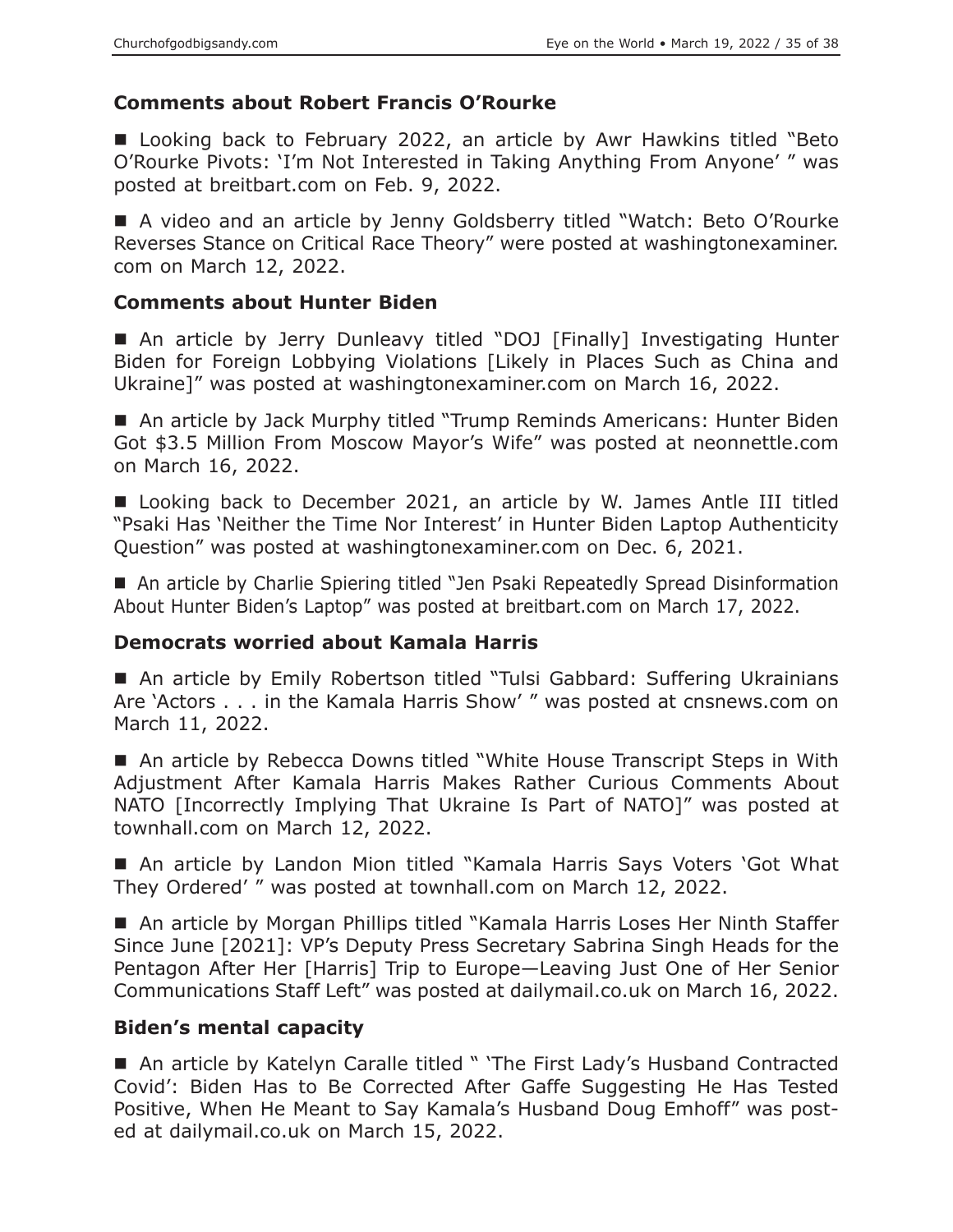# **Comments about Robert Francis O'Rourke**

■ Looking back to February 2022, an article by Awr Hawkins titled "Beto O'Rourke Pivots: 'I'm Not Interested in Taking Anything From Anyone' " was posted at breitbart.com on Feb. 9, 2022.

 A video and an article by Jenny Goldsberry titled "Watch: Beto O'Rourke Reverses Stance on Critical Race Theory" were posted at washingtonexaminer. com on March 12, 2022.

## **Comments about Hunter Biden**

■ An article by Jerry Dunleavy titled "DOJ [Finally] Investigating Hunter Biden for Foreign Lobbying Violations [Likely in Places Such as China and Ukraine]" was posted at washingtonexaminer.com on March 16, 2022.

■ An article by Jack Murphy titled "Trump Reminds Americans: Hunter Biden Got \$3.5 Million From Moscow Mayor's Wife" was posted at neonnettle.com on March 16, 2022.

■ Looking back to December 2021, an article by W. James Antle III titled "Psaki Has 'Neither the Time Nor Interest' in Hunter Biden Laptop Authenticity Question" was posted at washingtonexaminer.com on Dec. 6, 2021.

■ An article by Charlie Spiering titled "Jen Psaki Repeatedly Spread Disinformation About Hunter Biden's Laptop" was posted at breitbart.com on March 17, 2022.

# **Democrats worried about Kamala Harris**

■ An article by Emily Robertson titled "Tulsi Gabbard: Suffering Ukrainians Are 'Actors . . . in the Kamala Harris Show' " was posted at cnsnews.com on March 11, 2022.

■ An article by Rebecca Downs titled "White House Transcript Steps in With Adjustment After Kamala Harris Makes Rather Curious Comments About NATO [Incorrectly Implying That Ukraine Is Part of NATO]" was posted at townhall.com on March 12, 2022.

 An article by Landon Mion titled "Kamala Harris Says Voters 'Got What They Ordered' " was posted at townhall.com on March 12, 2022.

■ An article by Morgan Phillips titled "Kamala Harris Loses Her Ninth Staffer Since June [2021]: VP's Deputy Press Secretary Sabrina Singh Heads for the Pentagon After Her [Harris] Trip to Europe—Leaving Just One of Her Senior Communications Staff Left" was posted at dailymail.co.uk on March 16, 2022.

# **Biden's mental capacity**

■ An article by Katelyn Caralle titled " 'The First Lady's Husband Contracted Covid': Biden Has to Be Corrected After Gaffe Suggesting He Has Tested Positive, When He Meant to Say Kamala's Husband Doug Emhoff" was posted at dailymail.co.uk on March 15, 2022.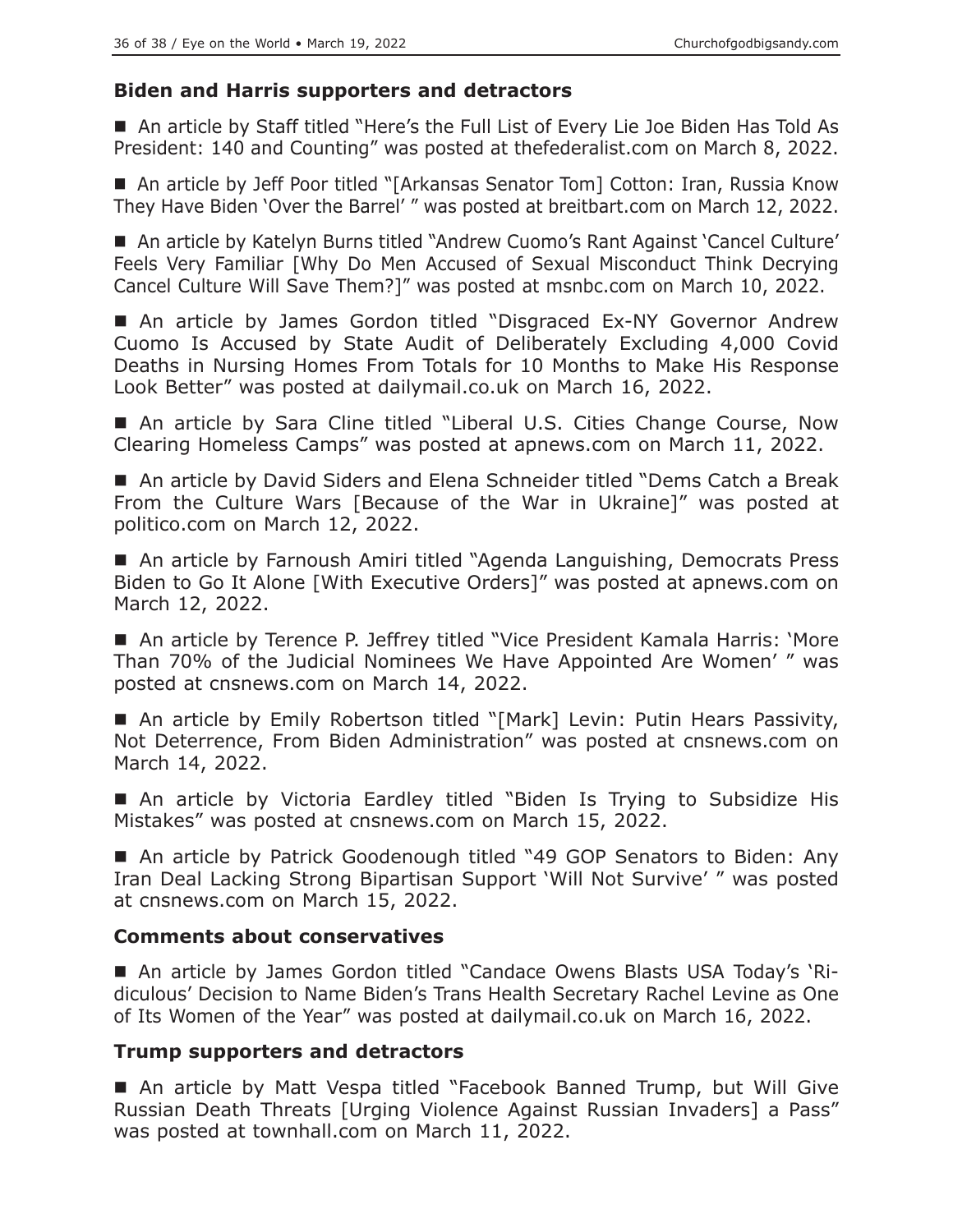## **Biden and Harris supporters and detractors**

■ An article by Staff titled "Here's the Full List of Every Lie Joe Biden Has Told As President: 140 and Counting" was posted at thefederalist.com on March 8, 2022.

■ An article by Jeff Poor titled "[Arkansas Senator Tom] Cotton: Iran, Russia Know They Have Biden 'Over the Barrel' " was posted at breitbart.com on March 12, 2022.

■ An article by Katelyn Burns titled "Andrew Cuomo's Rant Against 'Cancel Culture' Feels Very Familiar [Why Do Men Accused of Sexual Misconduct Think Decrying Cancel Culture Will Save Them?]" was posted at msnbc.com on March 10, 2022.

■ An article by James Gordon titled "Disgraced Ex-NY Governor Andrew Cuomo Is Accused by State Audit of Deliberately Excluding 4,000 Covid Deaths in Nursing Homes From Totals for 10 Months to Make His Response Look Better" was posted at dailymail.co.uk on March 16, 2022.

■ An article by Sara Cline titled "Liberal U.S. Cities Change Course, Now Clearing Homeless Camps" was posted at apnews.com on March 11, 2022.

■ An article by David Siders and Elena Schneider titled "Dems Catch a Break From the Culture Wars [Because of the War in Ukraine]" was posted at politico.com on March 12, 2022.

■ An article by Farnoush Amiri titled "Agenda Languishing, Democrats Press Biden to Go It Alone [With Executive Orders]" was posted at apnews.com on March 12, 2022.

■ An article by Terence P. Jeffrey titled "Vice President Kamala Harris: 'More Than 70% of the Judicial Nominees We Have Appointed Are Women' " was posted at cnsnews.com on March 14, 2022.

An article by Emily Robertson titled "[Mark] Levin: Putin Hears Passivity, Not Deterrence, From Biden Administration" was posted at cnsnews.com on March 14, 2022.

 An article by Victoria Eardley titled "Biden Is Trying to Subsidize His Mistakes" was posted at cnsnews.com on March 15, 2022.

■ An article by Patrick Goodenough titled "49 GOP Senators to Biden: Any Iran Deal Lacking Strong Bipartisan Support 'Will Not Survive' " was posted at cnsnews.com on March 15, 2022.

## **Comments about conservatives**

 An article by James Gordon titled "Candace Owens Blasts USA Today's 'Ridiculous' Decision to Name Biden's Trans Health Secretary Rachel Levine as One of Its Women of the Year" was posted at dailymail.co.uk on March 16, 2022.

## **Trump supporters and detractors**

■ An article by Matt Vespa titled "Facebook Banned Trump, but Will Give Russian Death Threats [Urging Violence Against Russian Invaders] a Pass" was posted at townhall.com on March 11, 2022.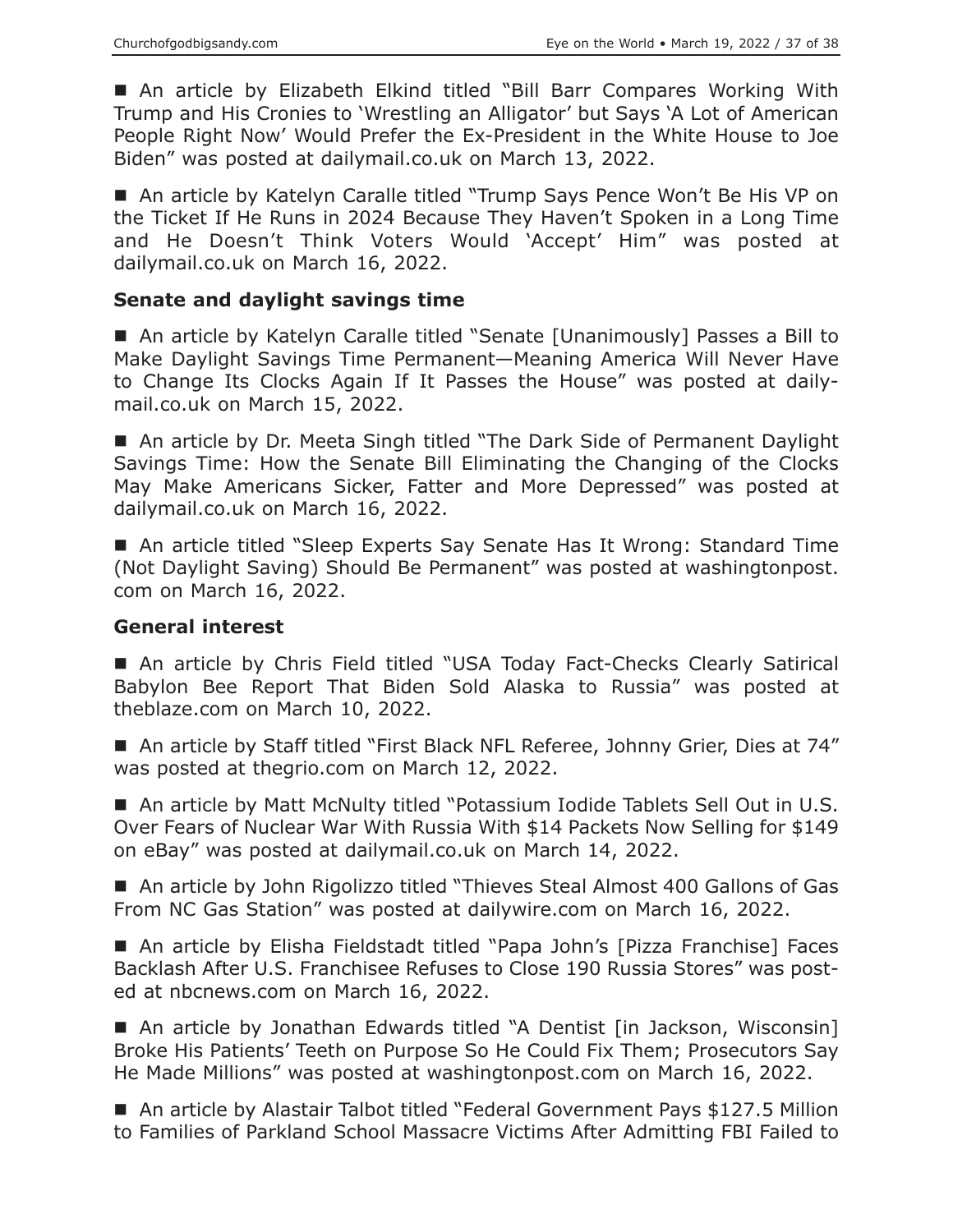An article by Elizabeth Elkind titled "Bill Barr Compares Working With Trump and His Cronies to 'Wrestling an Alligator' but Says 'A Lot of American People Right Now' Would Prefer the Ex-President in the White House to Joe Biden" was posted at dailymail.co.uk on March 13, 2022.

■ An article by Katelyn Caralle titled "Trump Says Pence Won't Be His VP on the Ticket If He Runs in 2024 Because They Haven't Spoken in a Long Time and He Doesn't Think Voters Would 'Accept' Him" was posted at dailymail.co.uk on March 16, 2022.

#### **Senate and daylight savings time**

■ An article by Katelyn Caralle titled "Senate [Unanimously] Passes a Bill to Make Daylight Savings Time Permanent—Meaning America Will Never Have to Change Its Clocks Again If It Passes the House" was posted at dailymail.co.uk on March 15, 2022.

■ An article by Dr. Meeta Singh titled "The Dark Side of Permanent Daylight Savings Time: How the Senate Bill Eliminating the Changing of the Clocks May Make Americans Sicker, Fatter and More Depressed" was posted at dailymail.co.uk on March 16, 2022.

■ An article titled "Sleep Experts Say Senate Has It Wrong: Standard Time (Not Daylight Saving) Should Be Permanent" was posted at washingtonpost. com on March 16, 2022.

#### **General interest**

■ An article by Chris Field titled "USA Today Fact-Checks Clearly Satirical Babylon Bee Report That Biden Sold Alaska to Russia" was posted at theblaze.com on March 10, 2022.

■ An article by Staff titled "First Black NFL Referee, Johnny Grier, Dies at 74" was posted at thegrio.com on March 12, 2022.

 An article by Matt McNulty titled "Potassium Iodide Tablets Sell Out in U.S. Over Fears of Nuclear War With Russia With \$14 Packets Now Selling for \$149 on eBay" was posted at dailymail.co.uk on March 14, 2022.

■ An article by John Rigolizzo titled "Thieves Steal Almost 400 Gallons of Gas From NC Gas Station" was posted at dailywire.com on March 16, 2022.

 An article by Elisha Fieldstadt titled "Papa John's [Pizza Franchise] Faces Backlash After U.S. Franchisee Refuses to Close 190 Russia Stores" was posted at nbcnews.com on March 16, 2022.

■ An article by Jonathan Edwards titled "A Dentist [in Jackson, Wisconsin] Broke His Patients' Teeth on Purpose So He Could Fix Them; Prosecutors Say He Made Millions" was posted at washingtonpost.com on March 16, 2022.

■ An article by Alastair Talbot titled "Federal Government Pays \$127.5 Million to Families of Parkland School Massacre Victims After Admitting FBI Failed to